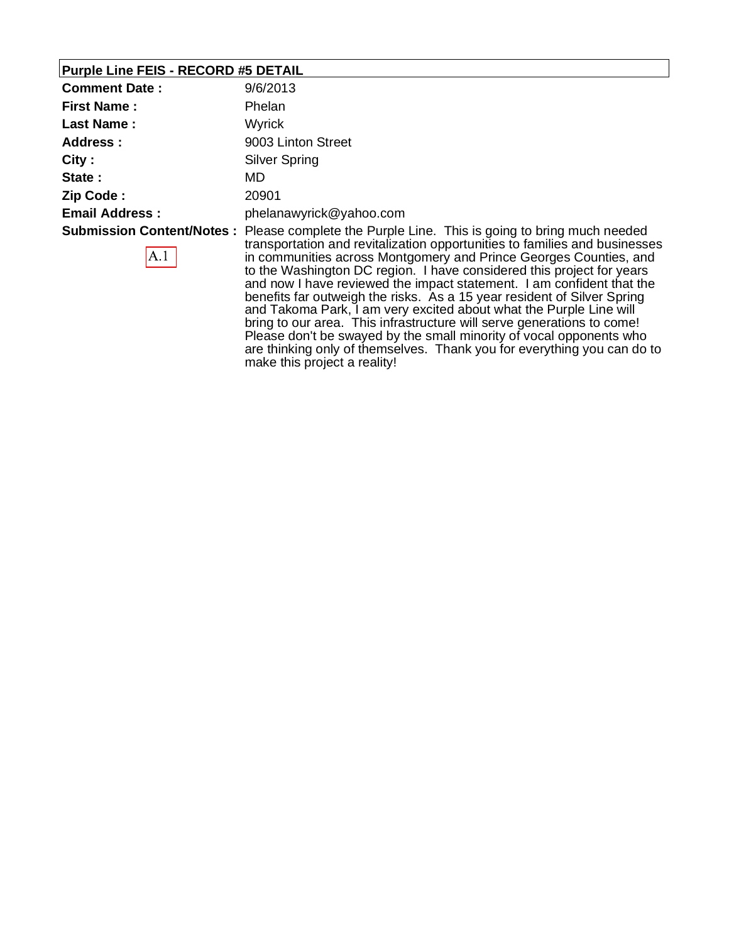### **Purple Line FEIS - RECORD #5 DETAIL**

| <b>Comment Date:</b>  | 9/6/2013                                                                                                                                                                                                                                                                                                                                                                                                        |
|-----------------------|-----------------------------------------------------------------------------------------------------------------------------------------------------------------------------------------------------------------------------------------------------------------------------------------------------------------------------------------------------------------------------------------------------------------|
| <b>First Name:</b>    | Phelan                                                                                                                                                                                                                                                                                                                                                                                                          |
| <b>Last Name:</b>     | Wyrick                                                                                                                                                                                                                                                                                                                                                                                                          |
| Address:              | 9003 Linton Street                                                                                                                                                                                                                                                                                                                                                                                              |
| City:                 | <b>Silver Spring</b>                                                                                                                                                                                                                                                                                                                                                                                            |
| State :               | MD.                                                                                                                                                                                                                                                                                                                                                                                                             |
| Zip Code:             | 20901                                                                                                                                                                                                                                                                                                                                                                                                           |
| <b>Email Address:</b> | phelanawyrick@yahoo.com                                                                                                                                                                                                                                                                                                                                                                                         |
| A.1                   | <b>Submission Content/Notes:</b> Please complete the Purple Line. This is going to bring much needed<br>transportation and revitalization opportunities to families and businesses<br>in communities across Montgomery and Prince Georges Counties, and<br>to the Washington DC region. I have considered this project for years<br>and raul leave raviausal the important atomore that have confident that the |

and now I have reviewed the impact statement. I am confident that the benefits far outweigh the risks. As a 15 year resident of Silver Spring and Takoma Park, I am very excited about what the Purple Line will bring to our area. This infrastructure will serve generations to come! Please don't be swayed by the small minority of vocal opponents who are thinking only of themselves. Thank you for everything you can do to make this project a reality!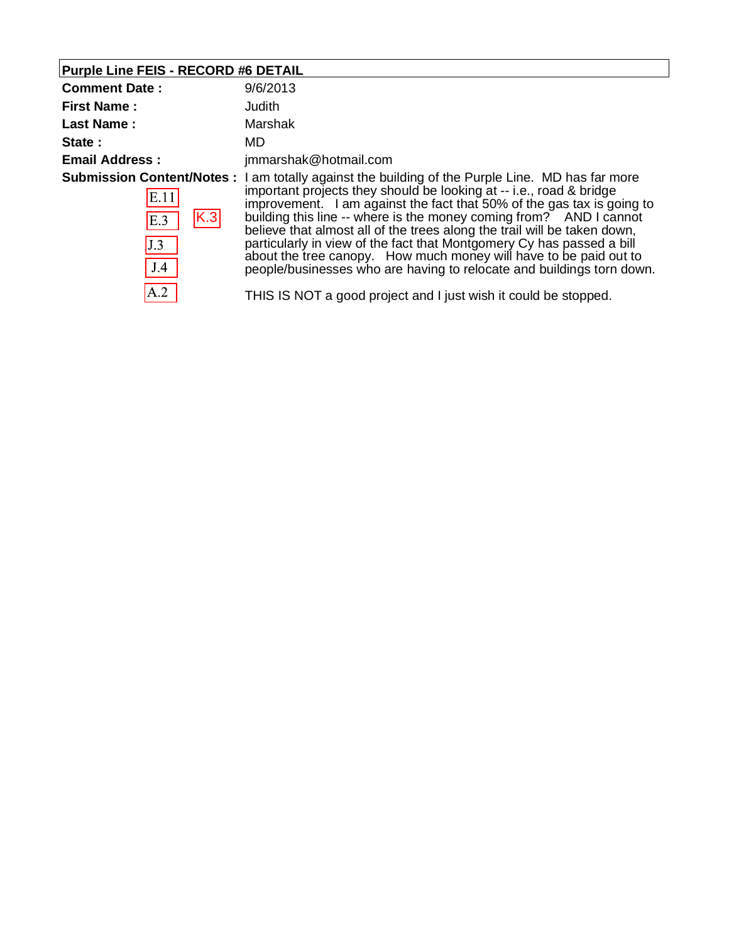# **Purple Line FEIS - RECORD #6 DETAIL**

| <b>Comment Date:</b>                      | 9/6/2013                                                                                                                                                                                                                                                                                                                                                                                                                                                                                                                                                                                                                                                                                             |
|-------------------------------------------|------------------------------------------------------------------------------------------------------------------------------------------------------------------------------------------------------------------------------------------------------------------------------------------------------------------------------------------------------------------------------------------------------------------------------------------------------------------------------------------------------------------------------------------------------------------------------------------------------------------------------------------------------------------------------------------------------|
| <b>First Name:</b>                        | Judith                                                                                                                                                                                                                                                                                                                                                                                                                                                                                                                                                                                                                                                                                               |
| <b>Last Name:</b>                         | Marshak                                                                                                                                                                                                                                                                                                                                                                                                                                                                                                                                                                                                                                                                                              |
| State:                                    | MD.                                                                                                                                                                                                                                                                                                                                                                                                                                                                                                                                                                                                                                                                                                  |
| <b>Email Address:</b>                     | jmmarshak@hotmail.com                                                                                                                                                                                                                                                                                                                                                                                                                                                                                                                                                                                                                                                                                |
| E.11<br> K.3 <br>E.3<br>J.3<br>J.4<br>A.2 | <b>Submission Content/Notes</b> : I am totally against the building of the Purple Line. MD has far more<br>important projects they should be looking at -- i.e., road & bridge<br>improvement. I am against the fact that 50% of the gas tax is going to<br>building this line -- where is the money coming from? AND I cannot<br>believe that almost all of the trees along the trail will be taken down,<br>particularly in view of the fact that Montgomery Cy has passed a bill<br>about the tree canopy. How much money will have to be paid out to<br>people/businesses who are having to relocate and buildings torn down.<br>THIS IS NOT a good project and I just wish it could be stopped. |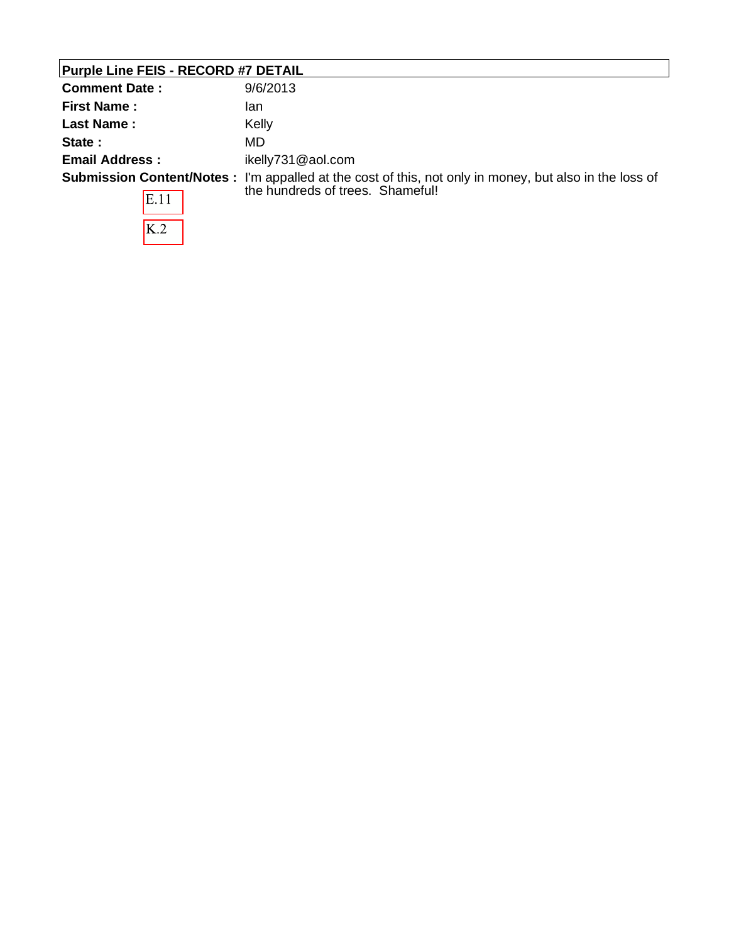| <b>Comment Date:</b>  | 9/6/2013                                                                                                       |
|-----------------------|----------------------------------------------------------------------------------------------------------------|
| <b>First Name:</b>    | lan                                                                                                            |
| <b>Last Name:</b>     | Kelly                                                                                                          |
| State:                | MD                                                                                                             |
| <b>Email Address:</b> | ikelly731@aol.com                                                                                              |
|                       | <b>Submission Content/Notes</b> : I'm appalled at the cost of this, not only in money, but also in the loss of |
| E.11                  | the hundreds of trees. Shameful!                                                                               |
| K.2                   |                                                                                                                |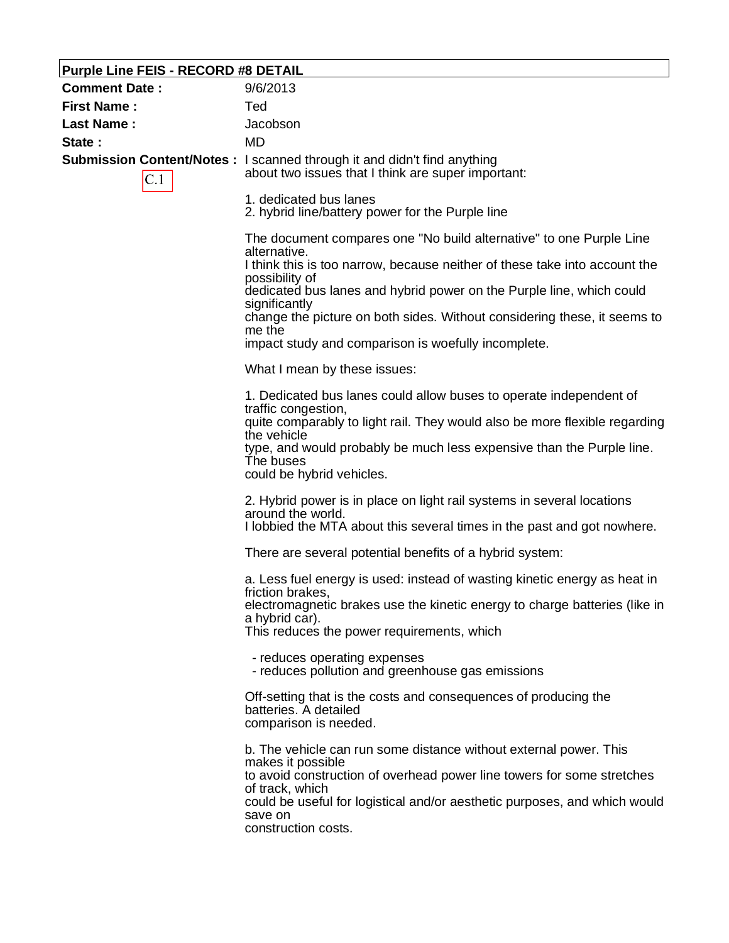| <b>Purple Line FEIS - RECORD #8 DETAIL</b> |                                                                                                                                                                                                                                                                                                           |
|--------------------------------------------|-----------------------------------------------------------------------------------------------------------------------------------------------------------------------------------------------------------------------------------------------------------------------------------------------------------|
| <b>Comment Date:</b>                       | 9/6/2013                                                                                                                                                                                                                                                                                                  |
| <b>First Name:</b>                         | Ted                                                                                                                                                                                                                                                                                                       |
| <b>Last Name:</b>                          | Jacobson                                                                                                                                                                                                                                                                                                  |
| State:                                     | <b>MD</b>                                                                                                                                                                                                                                                                                                 |
| C.1                                        | Submission Content/Notes: I scanned through it and didn't find anything<br>about two issues that I think are super important:                                                                                                                                                                             |
|                                            | 1. dedicated bus lanes<br>2. hybrid line/battery power for the Purple line                                                                                                                                                                                                                                |
|                                            | The document compares one "No build alternative" to one Purple Line<br>alternative.<br>I think this is too narrow, because neither of these take into account the                                                                                                                                         |
|                                            | possibility of                                                                                                                                                                                                                                                                                            |
|                                            | dedicated bus lanes and hybrid power on the Purple line, which could                                                                                                                                                                                                                                      |
|                                            | significantly<br>change the picture on both sides. Without considering these, it seems to<br>me the                                                                                                                                                                                                       |
|                                            | impact study and comparison is woefully incomplete.                                                                                                                                                                                                                                                       |
|                                            | What I mean by these issues:                                                                                                                                                                                                                                                                              |
|                                            | 1. Dedicated bus lanes could allow buses to operate independent of<br>traffic congestion,<br>quite comparably to light rail. They would also be more flexible regarding<br>the vehicle<br>type, and would probably be much less expensive than the Purple line.<br>The buses<br>could be hybrid vehicles. |
|                                            | 2. Hybrid power is in place on light rail systems in several locations<br>around the world.                                                                                                                                                                                                               |
|                                            | I lobbied the MTA about this several times in the past and got nowhere.                                                                                                                                                                                                                                   |
|                                            | There are several potential benefits of a hybrid system:                                                                                                                                                                                                                                                  |
|                                            | a. Less fuel energy is used: instead of wasting kinetic energy as heat in<br>friction brakes,                                                                                                                                                                                                             |
|                                            | electromagnetic brakes use the kinetic energy to charge batteries (like in<br>a hybrid car).                                                                                                                                                                                                              |
|                                            | This reduces the power requirements, which                                                                                                                                                                                                                                                                |
|                                            | - reduces operating expenses<br>- reduces pollution and greenhouse gas emissions                                                                                                                                                                                                                          |
|                                            | Off-setting that is the costs and consequences of producing the<br>batteries. A detailed<br>comparison is needed.                                                                                                                                                                                         |
|                                            | b. The vehicle can run some distance without external power. This<br>makes it possible<br>to avoid construction of overhead power line towers for some stretches<br>of track, which<br>could be useful for logistical and/or aesthetic purposes, and which would<br>save on<br>construction costs.        |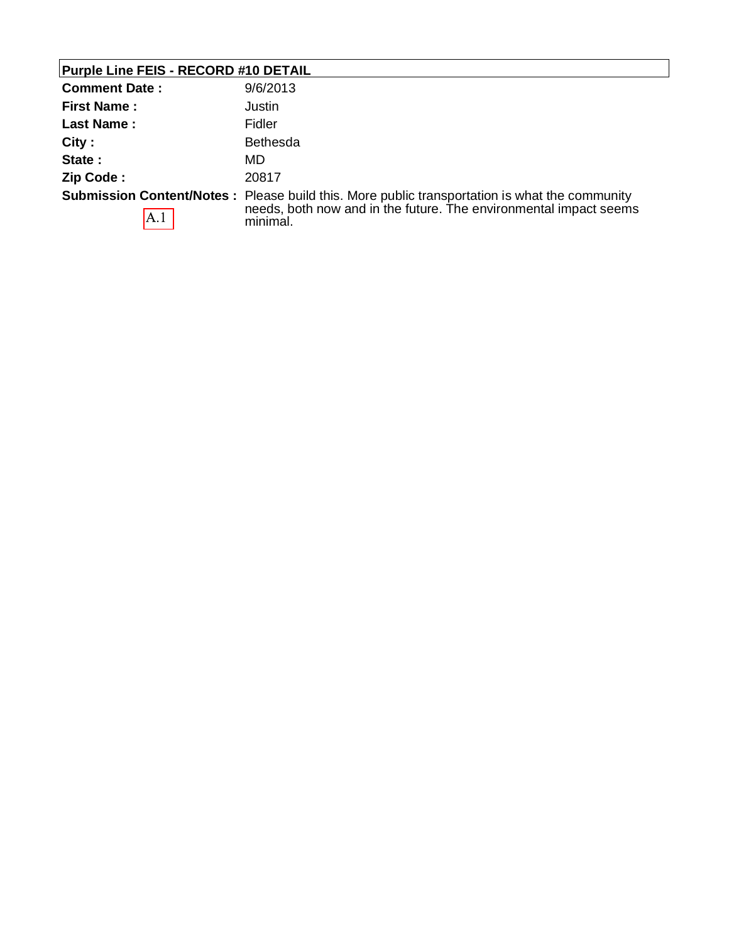| <b>Purple Line FEIS - RECORD #10 DETAIL</b> |                                                                                                                                                                                       |
|---------------------------------------------|---------------------------------------------------------------------------------------------------------------------------------------------------------------------------------------|
| <b>Comment Date:</b>                        | 9/6/2013                                                                                                                                                                              |
| <b>First Name:</b>                          | Justin                                                                                                                                                                                |
| Last Name:                                  | Fidler                                                                                                                                                                                |
| City:                                       | <b>Bethesda</b>                                                                                                                                                                       |
| State:                                      | MD.                                                                                                                                                                                   |
| Zip Code:                                   | 20817                                                                                                                                                                                 |
| A.1                                         | <b>Submission Content/Notes:</b> Please build this. More public transportation is what the community<br>needs, both now and in the future. The environmental impact seems<br>minimal. |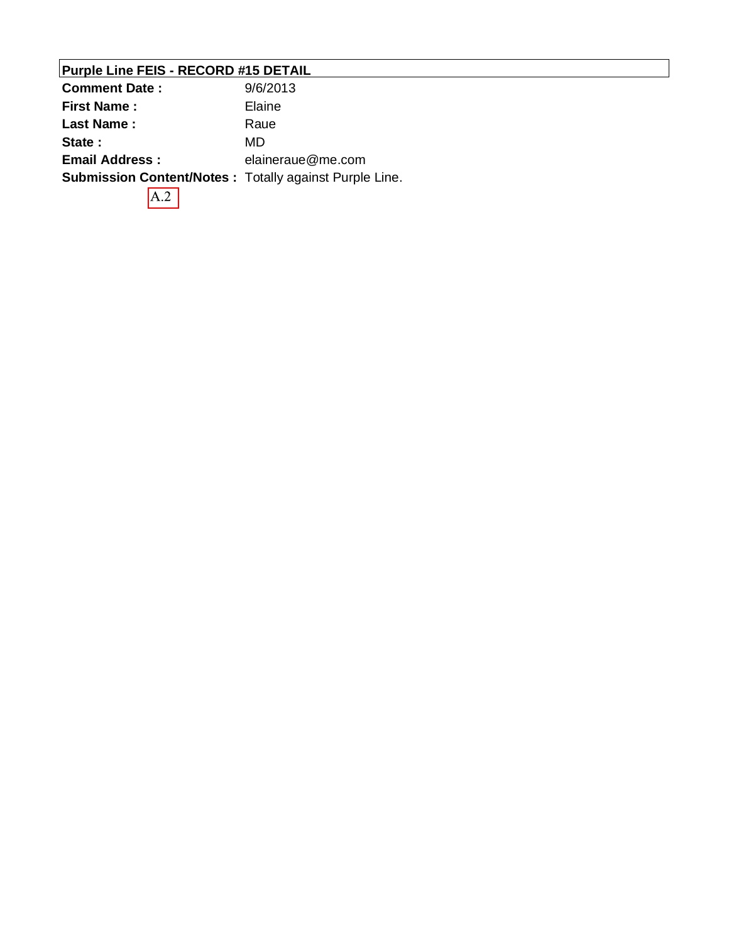# **Purple Line FEIS - RECORD #15 DETAIL**

| <b>Comment Date:</b>  | 9/6/2013                                                      |
|-----------------------|---------------------------------------------------------------|
| <b>First Name:</b>    | Elaine                                                        |
| <b>Last Name:</b>     | Raue                                                          |
| State:                | MD                                                            |
| <b>Email Address:</b> | elaineraue@me.com                                             |
|                       | <b>Submission Content/Notes: Totally against Purple Line.</b> |
|                       |                                                               |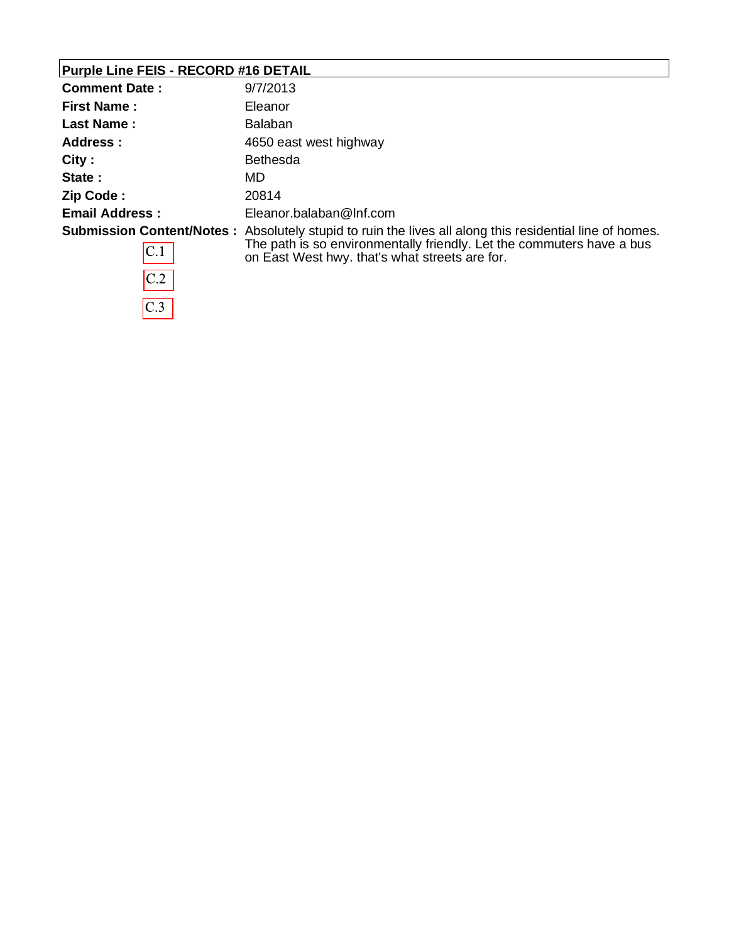# **Purple Line FEIS - RECORD #16 DETAIL**

 $\overline{C.2}$ 

 $\overline{C.3}$ 

| <b>Comment Date:</b>  | 9/7/2013                                                                                                                |
|-----------------------|-------------------------------------------------------------------------------------------------------------------------|
| <b>First Name:</b>    | Eleanor                                                                                                                 |
| <b>Last Name:</b>     | <b>Balaban</b>                                                                                                          |
| Address:              | 4650 east west highway                                                                                                  |
| City:                 | <b>Bethesda</b>                                                                                                         |
| State:                | MD                                                                                                                      |
| Zip Code:             | 20814                                                                                                                   |
| <b>Email Address:</b> | Eleanor.balaban@Inf.com                                                                                                 |
|                       | <b>Submission Content/Notes</b> : Absolutely stupid to ruin the lives all along this residential line of homes.         |
| C.1                   | The path is so environmentally friendly. Let the commuters have a bus<br>on East West hwy. that's what streets are for. |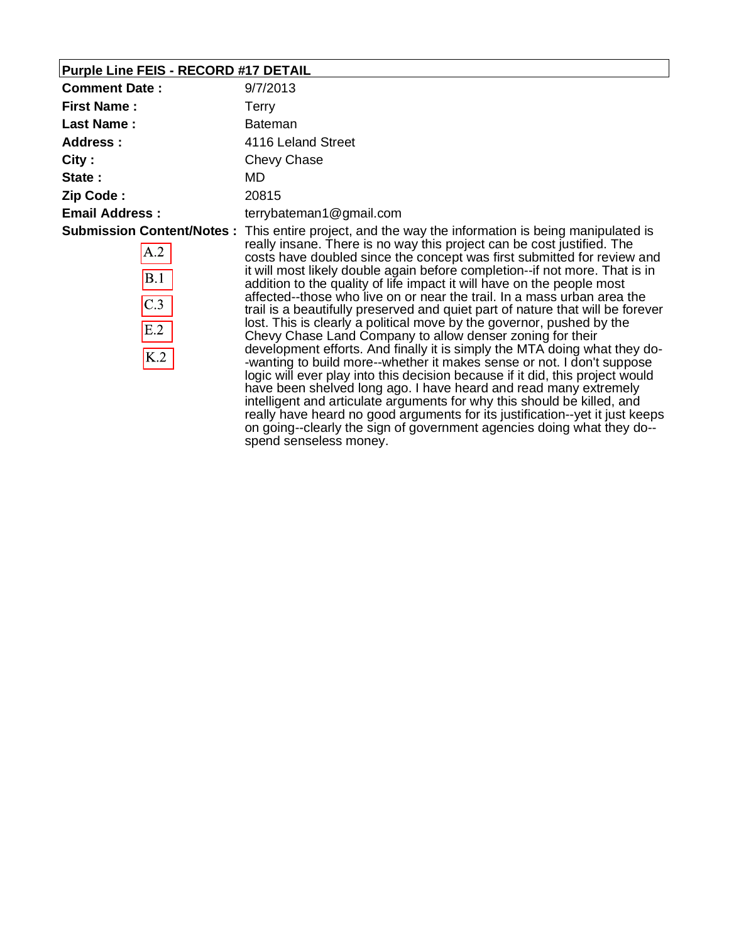## **Purple Line FEIS - RECORD #17 DETAIL**

| <b>Comment Date:</b>            | 9/7/2013                                                                                                                                                                                                                                                                                                                                                                                                                                                                                                                                                                                                                                                                                                                                                                                                                                                                                                                                                                                                                                                                                                                                                                                                                                                                                              |
|---------------------------------|-------------------------------------------------------------------------------------------------------------------------------------------------------------------------------------------------------------------------------------------------------------------------------------------------------------------------------------------------------------------------------------------------------------------------------------------------------------------------------------------------------------------------------------------------------------------------------------------------------------------------------------------------------------------------------------------------------------------------------------------------------------------------------------------------------------------------------------------------------------------------------------------------------------------------------------------------------------------------------------------------------------------------------------------------------------------------------------------------------------------------------------------------------------------------------------------------------------------------------------------------------------------------------------------------------|
| <b>First Name:</b>              | Terry                                                                                                                                                                                                                                                                                                                                                                                                                                                                                                                                                                                                                                                                                                                                                                                                                                                                                                                                                                                                                                                                                                                                                                                                                                                                                                 |
| <b>Last Name:</b>               | <b>Bateman</b>                                                                                                                                                                                                                                                                                                                                                                                                                                                                                                                                                                                                                                                                                                                                                                                                                                                                                                                                                                                                                                                                                                                                                                                                                                                                                        |
| <b>Address:</b>                 | 4116 Leland Street                                                                                                                                                                                                                                                                                                                                                                                                                                                                                                                                                                                                                                                                                                                                                                                                                                                                                                                                                                                                                                                                                                                                                                                                                                                                                    |
| City:                           | Chevy Chase                                                                                                                                                                                                                                                                                                                                                                                                                                                                                                                                                                                                                                                                                                                                                                                                                                                                                                                                                                                                                                                                                                                                                                                                                                                                                           |
| State:                          | MD                                                                                                                                                                                                                                                                                                                                                                                                                                                                                                                                                                                                                                                                                                                                                                                                                                                                                                                                                                                                                                                                                                                                                                                                                                                                                                    |
| Zip Code:                       | 20815                                                                                                                                                                                                                                                                                                                                                                                                                                                                                                                                                                                                                                                                                                                                                                                                                                                                                                                                                                                                                                                                                                                                                                                                                                                                                                 |
| <b>Email Address:</b>           | terrybateman1@gmail.com                                                                                                                                                                                                                                                                                                                                                                                                                                                                                                                                                                                                                                                                                                                                                                                                                                                                                                                                                                                                                                                                                                                                                                                                                                                                               |
| A.2<br>B.1<br>C.3<br>E.2<br>K.2 | <b>Submission Content/Notes:</b> This entire project, and the way the information is being manipulated is<br>really insane. There is no way this project can be cost justified. The<br>costs have doubled since the concept was first submitted for review and<br>it will most likely double again before completion--if not more. That is in<br>addition to the quality of life impact it will have on the people most<br>affected--those who live on or near the trail. In a mass urban area the<br>trail is a beautifully preserved and quiet part of nature that will be forever<br>lost. This is clearly a political move by the governor, pushed by the<br>Chevy Chase Land Company to allow denser zoning for their<br>development efforts. And finally it is simply the MTA doing what they do-<br>-wanting to build more--whether it makes sense or not. I don't suppose<br>logic will ever play into this decision because if it did, this project would<br>have been shelved long ago. I have heard and read many extremely<br>intelligent and articulate arguments for why this should be killed, and<br>really have heard no good arguments for its justification--yet it just keeps<br>on going--clearly the sign of government agencies doing what they do--<br>spend senseless money. |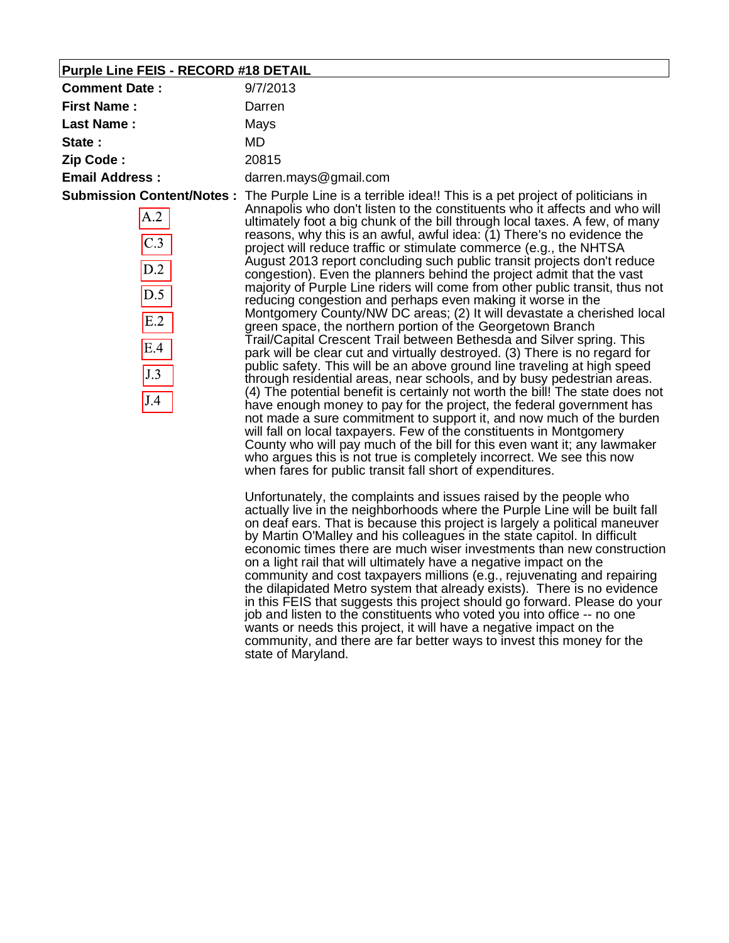### **Purple Line FEIS - RECORD #18 DETAIL**

| <b>Comment Date:</b>                                              | 9/7/2013                                                                                                                                                                                                                                                                                                                                                                                                                                                                                                                                                                                                                                                                                                                                                                                                                                                                                                                                                                                                                                                                                                                                                                                                                                                                                                                                                                                                                                                                                                                                                                                                                                                                                                                                                                                                                                                                                                                                                                          |
|-------------------------------------------------------------------|-----------------------------------------------------------------------------------------------------------------------------------------------------------------------------------------------------------------------------------------------------------------------------------------------------------------------------------------------------------------------------------------------------------------------------------------------------------------------------------------------------------------------------------------------------------------------------------------------------------------------------------------------------------------------------------------------------------------------------------------------------------------------------------------------------------------------------------------------------------------------------------------------------------------------------------------------------------------------------------------------------------------------------------------------------------------------------------------------------------------------------------------------------------------------------------------------------------------------------------------------------------------------------------------------------------------------------------------------------------------------------------------------------------------------------------------------------------------------------------------------------------------------------------------------------------------------------------------------------------------------------------------------------------------------------------------------------------------------------------------------------------------------------------------------------------------------------------------------------------------------------------------------------------------------------------------------------------------------------------|
| <b>First Name:</b>                                                | Darren                                                                                                                                                                                                                                                                                                                                                                                                                                                                                                                                                                                                                                                                                                                                                                                                                                                                                                                                                                                                                                                                                                                                                                                                                                                                                                                                                                                                                                                                                                                                                                                                                                                                                                                                                                                                                                                                                                                                                                            |
| <b>Last Name:</b>                                                 | Mays                                                                                                                                                                                                                                                                                                                                                                                                                                                                                                                                                                                                                                                                                                                                                                                                                                                                                                                                                                                                                                                                                                                                                                                                                                                                                                                                                                                                                                                                                                                                                                                                                                                                                                                                                                                                                                                                                                                                                                              |
| State:                                                            | MD.                                                                                                                                                                                                                                                                                                                                                                                                                                                                                                                                                                                                                                                                                                                                                                                                                                                                                                                                                                                                                                                                                                                                                                                                                                                                                                                                                                                                                                                                                                                                                                                                                                                                                                                                                                                                                                                                                                                                                                               |
| Zip Code:                                                         | 20815                                                                                                                                                                                                                                                                                                                                                                                                                                                                                                                                                                                                                                                                                                                                                                                                                                                                                                                                                                                                                                                                                                                                                                                                                                                                                                                                                                                                                                                                                                                                                                                                                                                                                                                                                                                                                                                                                                                                                                             |
| <b>Email Address:</b>                                             | darren.mays@gmail.com                                                                                                                                                                                                                                                                                                                                                                                                                                                                                                                                                                                                                                                                                                                                                                                                                                                                                                                                                                                                                                                                                                                                                                                                                                                                                                                                                                                                                                                                                                                                                                                                                                                                                                                                                                                                                                                                                                                                                             |
| <b>Submission Content/Notes:</b>                                  | The Purple Line is a terrible idea!! This is a pet project of politicians in                                                                                                                                                                                                                                                                                                                                                                                                                                                                                                                                                                                                                                                                                                                                                                                                                                                                                                                                                                                                                                                                                                                                                                                                                                                                                                                                                                                                                                                                                                                                                                                                                                                                                                                                                                                                                                                                                                      |
| A.2<br>$\overline{C.3}$<br>D.2<br>D.5<br>E.2<br>E.4<br>J.3<br>J.4 | Annapolis who don't listen to the constituents who it affects and who will<br>ultimately foot a big chunk of the bill through local taxes. A few, of many<br>reasons, why this is an awful, awful idea: (1) There's no evidence the<br>project will reduce traffic or stimulate commerce (e.g., the NHTSA<br>August 2013 report concluding such public transit projects don't reduce<br>congestion). Even the planners behind the project admit that the vast<br>majority of Purple Line riders will come from other public transit, thus not<br>reducing congestion and perhaps even making it worse in the<br>Montgomery County/NW DC areas; (2) It will devastate a cherished local<br>green space, the northern portion of the Georgetown Branch<br>Trail/Capital Crescent Trail between Bethesda and Silver spring. This<br>park will be clear cut and virtually destroyed. (3) There is no regard for<br>public safety. This will be an above ground line traveling at high speed<br>through residential areas, near schools, and by busy pedestrian areas.<br>(4) The potential benefit is certainly not worth the bill! The state does not<br>have enough money to pay for the project, the federal government has<br>not made a sure commitment to support it, and now much of the burden<br>will fall on local taxpayers. Few of the constituents in Montgomery<br>County who will pay much of the bill for this even want it; any lawmaker<br>who argues this is not true is completely incorrect. We see this now<br>when fares for public transit fall short of expenditures.<br>Unfortunately, the complaints and issues raised by the people who<br>actually live in the neighborhoods where the Purple Line will be built fall<br>on deaf ears. That is because this project is largely a political maneuver<br>by Martin O'Malley and his colleagues in the state capitol. In difficult<br>economic times there are much wiser investments than new construction |

on a light rail that will ultimately have a negative impact on the community and cost taxpayers millions (e.g., rejuvenating and repairing the dilapidated Metro system that already exists). There is no evidence in this FEIS that suggests this project should go forward. Please do your job and listen to the constituents who voted you into office -- no one wants or needs this project, it will have a negative impact on the community, and there are far better ways to invest this money for the state of Maryland.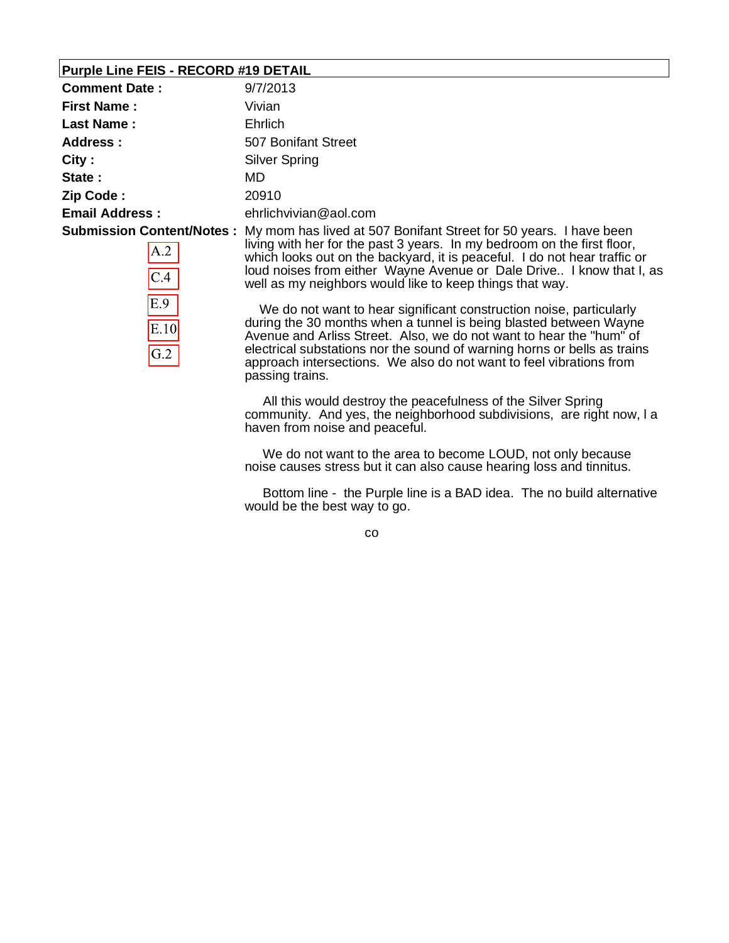### **Purple Line FEIS - RECORD #19 DETAIL**

| <b>Comment Date:</b>  | 9/7/2013                                                                                           |
|-----------------------|----------------------------------------------------------------------------------------------------|
| <b>First Name:</b>    | Vivian                                                                                             |
| Last Name:            | Ehrlich                                                                                            |
| Address :             | 507 Bonifant Street                                                                                |
| City:                 | Silver Spring                                                                                      |
| State:                | MD.                                                                                                |
| Zip Code:             | 20910                                                                                              |
| <b>Email Address:</b> | ehrlichvivian@aol.com                                                                              |
|                       | <b>Submission Content/Notes:</b> My mom has lived at 507 Bonifant Street for 50 years. I have been |
| $\sqrt{2}$            | living with her for the past 3 years. In my bedroom on the first floor                             |

| A.2       |
|-----------|
| C.4       |
| E.9       |
| E.10      |
| $\rm G.2$ |

living with her for the past 3 years. In my bedroom on the first floor, which looks out on the backyard, it is peaceful. I do not hear traffic or loud noises from either Wayne Avenue or Dale Drive.. I know that I, as well as my neighbors would like to keep things that way.

 We do not want to hear significant construction noise, particularly during the 30 months when a tunnel is being blasted between Wayne Avenue and Arliss Street. Also, we do not want to hear the "hum" of electrical substations nor the sound of warning horns or bells as trains approach intersections. We also do not want to feel vibrations from passing trains.

 All this would destroy the peacefulness of the Silver Spring community. And yes, the neighborhood subdivisions, are right now, l a haven from noise and peaceful.

 We do not want to the area to become LOUD, not only because noise causes stress but it can also cause hearing loss and tinnitus.

 Bottom line - the Purple line is a BAD idea. The no build alternative would be the best way to go.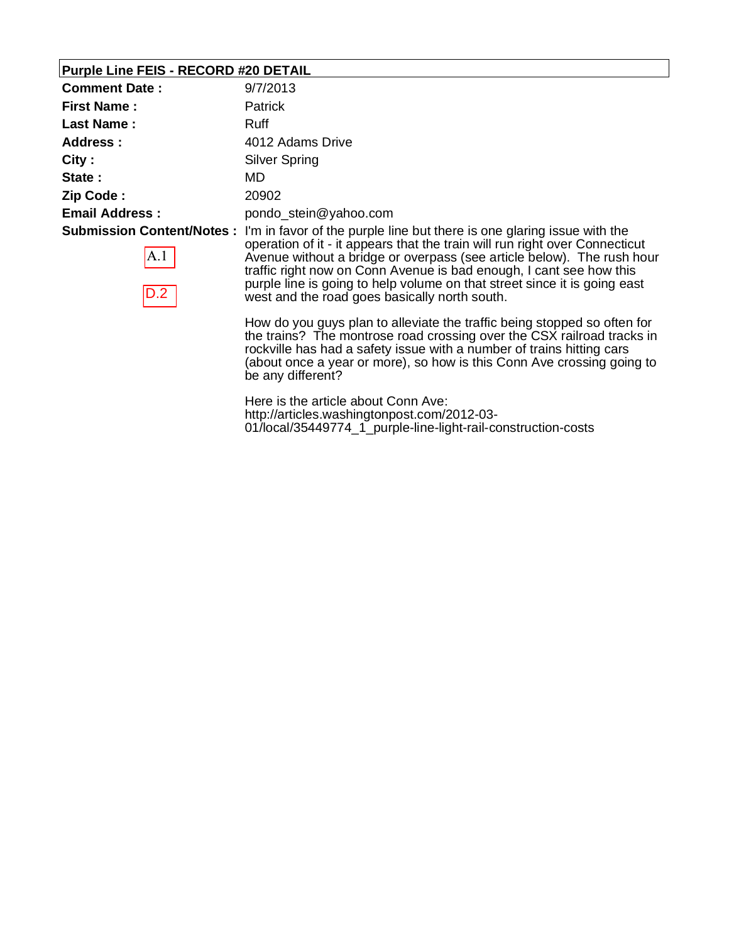### **Purple Line FEIS - RECORD #20 DETAIL**

| <b>Comment Date:</b>  | 9/7/2013                                                                                                                                                                                                                                                                                                                                                                                                                                                                |
|-----------------------|-------------------------------------------------------------------------------------------------------------------------------------------------------------------------------------------------------------------------------------------------------------------------------------------------------------------------------------------------------------------------------------------------------------------------------------------------------------------------|
| <b>First Name:</b>    | <b>Patrick</b>                                                                                                                                                                                                                                                                                                                                                                                                                                                          |
| <b>Last Name:</b>     | Ruff                                                                                                                                                                                                                                                                                                                                                                                                                                                                    |
| Address:              | 4012 Adams Drive                                                                                                                                                                                                                                                                                                                                                                                                                                                        |
| City:                 | Silver Spring                                                                                                                                                                                                                                                                                                                                                                                                                                                           |
| State:                | MD                                                                                                                                                                                                                                                                                                                                                                                                                                                                      |
| Zip Code:             | 20902                                                                                                                                                                                                                                                                                                                                                                                                                                                                   |
| <b>Email Address:</b> | pondo stein@yahoo.com                                                                                                                                                                                                                                                                                                                                                                                                                                                   |
| A.1 <br>D.2           | <b>Submission Content/Notes</b> : I'm in favor of the purple line but there is one glaring issue with the<br>operation of it - it appears that the train will run right over Connecticut<br>Avenue without a bridge or overpass (see article below). The rush hour<br>traffic right now on Conn Avenue is bad enough, I cant see how this<br>purple line is going to help volume on that street since it is going east<br>west and the road goes basically north south. |

How do you guys plan to alleviate the traffic being stopped so often for the trains? The montrose road crossing over the CSX railroad tracks in rockville has had a safety issue with a number of trains hitting cars (about once a year or more), so how is this Conn Ave crossing going to be any different?

Here is the article about Conn Ave: http://articles.washingtonpost.com/2012-03- 01/local/35449774\_1\_purple-line-light-rail-construction-costs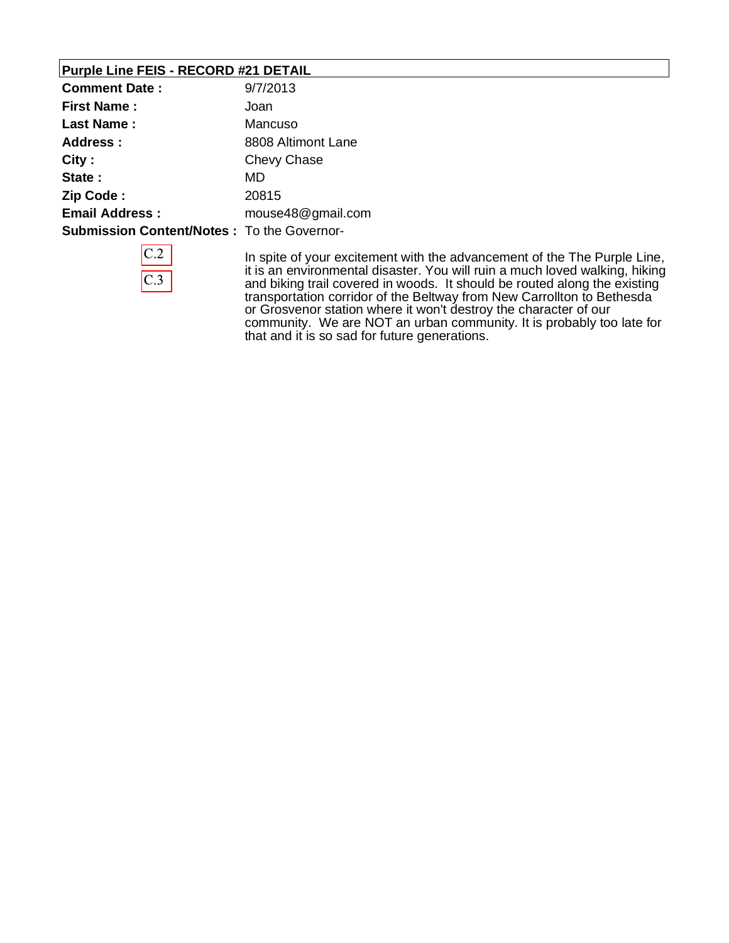## **Purple Line FEIS - RECORD #21 DETAIL**

| <b>Comment Date:</b>                              | 9/7/2013           |
|---------------------------------------------------|--------------------|
| <b>First Name:</b>                                | Joan               |
| Last Name:                                        | Mancuso            |
| Address:                                          | 8808 Altimont Lane |
| City:                                             | Chevy Chase        |
| State:                                            | MD                 |
| Zip Code:                                         | 20815              |
| <b>Email Address:</b>                             | mouse48@gmail.com  |
| <b>Submission Content/Notes: To the Governor-</b> |                    |

In spite of your excitement with the advancement of the The Purple Line, it is an environmental disaster. You will ruin a much loved walking, hiking and biking trail covered in woods. It should be routed along the existing transportation corridor of the Beltway from New Carrollton to Bethesda or Grosvenor station where it won't destroy the character of our community. We are NOT an urban community. It is probably too late for that and it is so sad for future generations.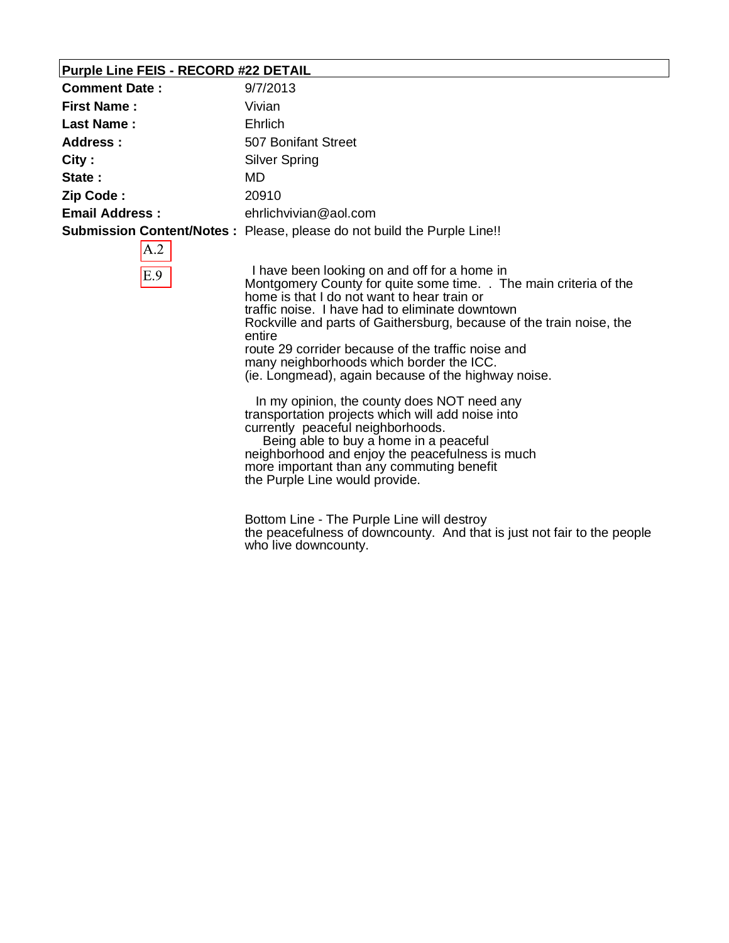### **Purple Line FEIS - RECORD #22 DETAIL**

| <b>Comment Date:</b>  | 9/7/2013                                                                       |
|-----------------------|--------------------------------------------------------------------------------|
| <b>First Name:</b>    | Vivian                                                                         |
| <b>Last Name:</b>     | <b>Ehrlich</b>                                                                 |
| Address :             | 507 Bonifant Street                                                            |
| City:                 | <b>Silver Spring</b>                                                           |
| State:                | MD.                                                                            |
| Zip Code:             | 20910                                                                          |
| <b>Email Address:</b> | ehrlichvivian@aol.com                                                          |
|                       | <b>Submission Content/Notes:</b> Please, please do not build the Purple Line!! |
| $\wedge$ 2            |                                                                                |

 I have been looking on and off for a home in Montgomery County for quite some time. . The main criteria of the home is that I do not want to hear train or traffic noise. I have had to eliminate downtown Rockville and parts of Gaithersburg, because of the train noise, the entire route 29 corrider because of the traffic noise and many neighborhoods which border the ICC. (ie. Longmead), again because of the highway noise.

 In my opinion, the county does NOT need any transportation projects which will add noise into currently peaceful neighborhoods.

 Being able to buy a home in a peaceful neighborhood and enjoy the peacefulness is much more important than any commuting benefit the Purple Line would provide.

Bottom Line - The Purple Line will destroy the peacefulness of downcounty. And that is just not fair to the people who live downcounty.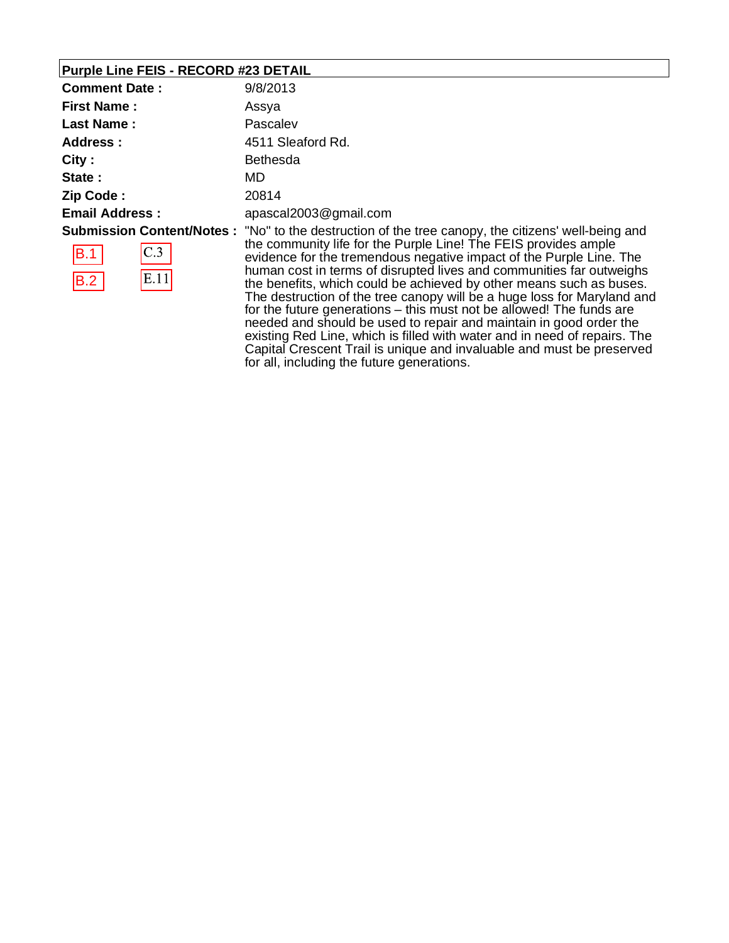## **Purple Line FEIS - RECORD #23 DETAIL**

| <b>Comment Date:</b>       | 9/8/2013                                                                                                                                                                                                                                                                                                                                                                                                                                                                       |
|----------------------------|--------------------------------------------------------------------------------------------------------------------------------------------------------------------------------------------------------------------------------------------------------------------------------------------------------------------------------------------------------------------------------------------------------------------------------------------------------------------------------|
| <b>First Name:</b>         | Assya                                                                                                                                                                                                                                                                                                                                                                                                                                                                          |
| <b>Last Name:</b>          | Pascalev                                                                                                                                                                                                                                                                                                                                                                                                                                                                       |
| Address:                   | 4511 Sleaford Rd.                                                                                                                                                                                                                                                                                                                                                                                                                                                              |
| City:                      | <b>Bethesda</b>                                                                                                                                                                                                                                                                                                                                                                                                                                                                |
| State:                     | MD.                                                                                                                                                                                                                                                                                                                                                                                                                                                                            |
| Zip Code:                  | 20814                                                                                                                                                                                                                                                                                                                                                                                                                                                                          |
| <b>Email Address:</b>      | apascal2003@gmail.com                                                                                                                                                                                                                                                                                                                                                                                                                                                          |
| C.3 <br>B.1<br>E.11<br>B.2 | <b>Submission Content/Notes</b> : "No" to the destruction of the tree canopy, the citizens' well-being and<br>the community life for the Purple Line! The FEIS provides ample<br>evidence for the tremendous negative impact of the Purple Line. The<br>human cost in terms of disrupted lives and communities far outweighs<br>the benefits, which could be achieved by other means such as buses.<br>The destruction of the tree canopy will be a huge loss for Maryland and |

for the future generations – this must not be allowed! The funds are needed and should be used to repair and maintain in good order the existing Red Line, which is filled with water and in need of repairs. The Capital Crescent Trail is unique and invaluable and must be preserved for all, including the future generations.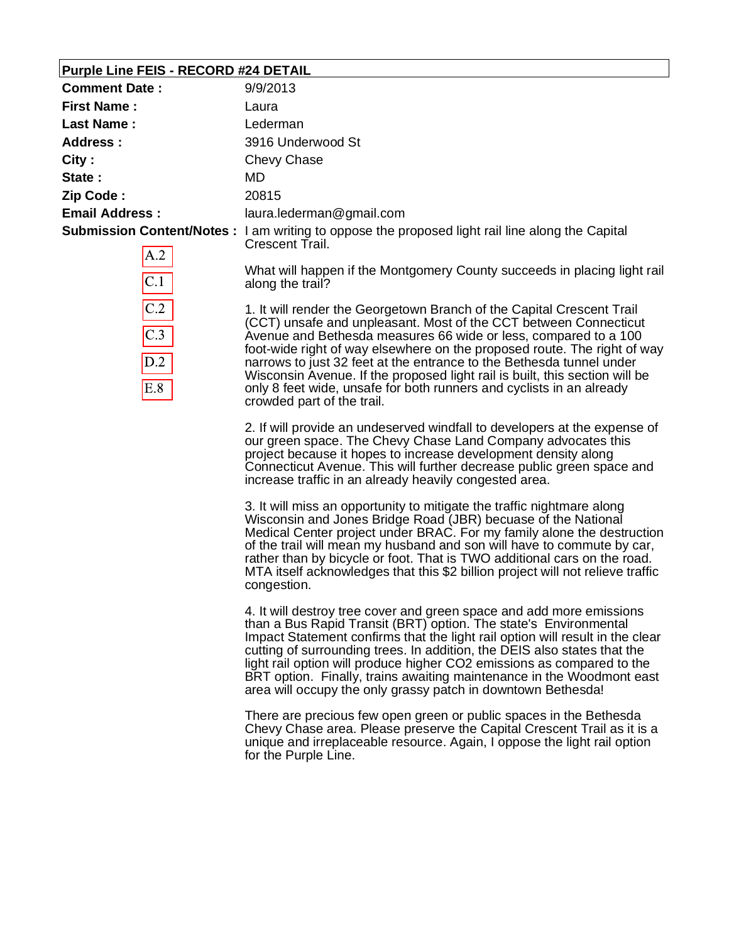### **Purple Line FEIS - RECORD #24 DETAIL**

| <b>Comment Date:</b>  | 9/9/2013                                                                                                                   |
|-----------------------|----------------------------------------------------------------------------------------------------------------------------|
| <b>First Name:</b>    | Laura                                                                                                                      |
| Last Name:            | Lederman                                                                                                                   |
| <b>Address:</b>       | 3916 Underwood St                                                                                                          |
| City:                 | Chevy Chase                                                                                                                |
| State:                | MD.                                                                                                                        |
| Zip Code:             | 20815                                                                                                                      |
| <b>Email Address:</b> | laura.lederman@gmail.com                                                                                                   |
| ı A                   | <b>Submission Content/Notes</b> : I am writing to oppose the proposed light rail line along the Capital<br>Crescent Trail. |

| ∕         |  |
|-----------|--|
| C.1       |  |
| ( '<br>.2 |  |
| C. 3      |  |
| D.2       |  |
| E.8       |  |

What will happen if the Montgomery County succeeds in placing light rail along the trail?

1. It will render the Georgetown Branch of the Capital Crescent Trail (CCT) unsafe and unpleasant. Most of the CCT between Connecticut Avenue and Bethesda measures 66 wide or less, compared to a 100 foot-wide right of way elsewhere on the proposed route. The right of way narrows to just 32 feet at the entrance to the Bethesda tunnel under Wisconsin Avenue. If the proposed light rail is built, this section will be only 8 feet wide, unsafe for both runners and cyclists in an already crowded part of the trail.

2. If will provide an undeserved windfall to developers at the expense of our green space. The Chevy Chase Land Company advocates this project because it hopes to increase development density along Connecticut Avenue. This will further decrease public green space and increase traffic in an already heavily congested area.

3. It will miss an opportunity to mitigate the traffic nightmare along Wisconsin and Jones Bridge Road (JBR) becuase of the National Medical Center project under BRAC. For my family alone the destruction of the trail will mean my husband and son will have to commute by car, rather than by bicycle or foot. That is TWO additional cars on the road. MTA itself acknowledges that this \$2 billion project will not relieve traffic congestion.

4. It will destroy tree cover and green space and add more emissions than a Bus Rapid Transit (BRT) option. The state's Environmental Impact Statement confirms that the light rail option will result in the clear cutting of surrounding trees. In addition, the DEIS also states that the light rail option will produce higher CO2 emissions as compared to the BRT option. Finally, trains awaiting maintenance in the Woodmont east area will occupy the only grassy patch in downtown Bethesda!

There are precious few open green or public spaces in the Bethesda Chevy Chase area. Please preserve the Capital Crescent Trail as it is a unique and irreplaceable resource. Again, I oppose the light rail option for the Purple Line.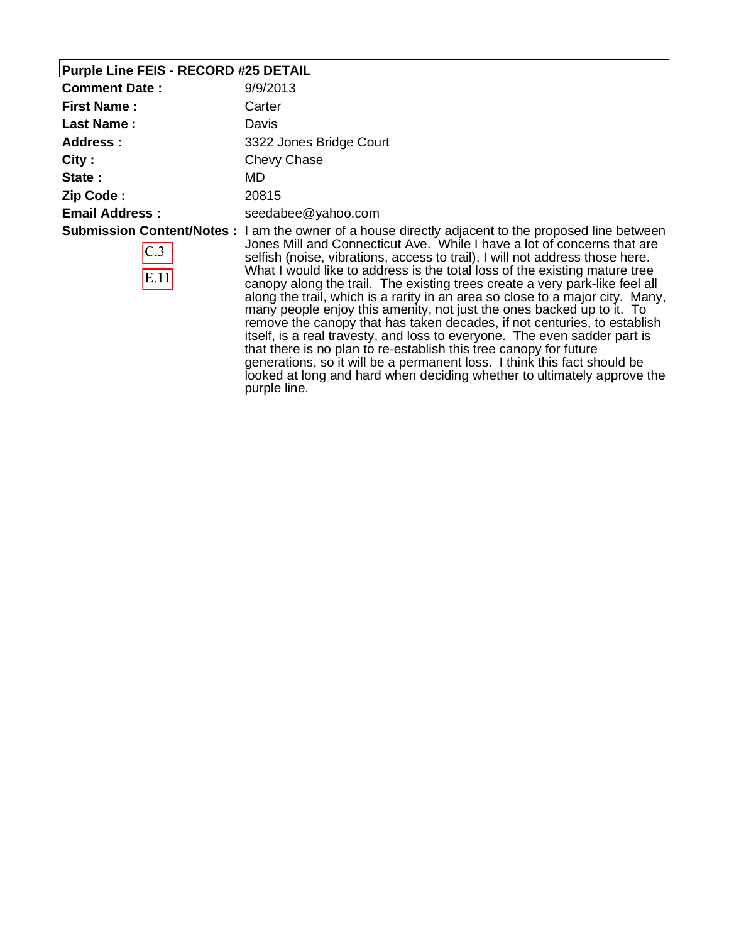# **Purple Line FEIS - RECORD #25 DETAIL**

| <b>Comment Date:</b>  | 9/9/2013                                                                                                                                                                                                                                                                                                                                                                                                                                                                                                                                                                                                                                                                                                                                                                                                                                                                                                                                                                          |
|-----------------------|-----------------------------------------------------------------------------------------------------------------------------------------------------------------------------------------------------------------------------------------------------------------------------------------------------------------------------------------------------------------------------------------------------------------------------------------------------------------------------------------------------------------------------------------------------------------------------------------------------------------------------------------------------------------------------------------------------------------------------------------------------------------------------------------------------------------------------------------------------------------------------------------------------------------------------------------------------------------------------------|
| <b>First Name:</b>    | Carter                                                                                                                                                                                                                                                                                                                                                                                                                                                                                                                                                                                                                                                                                                                                                                                                                                                                                                                                                                            |
| <b>Last Name:</b>     | Davis                                                                                                                                                                                                                                                                                                                                                                                                                                                                                                                                                                                                                                                                                                                                                                                                                                                                                                                                                                             |
| <b>Address:</b>       | 3322 Jones Bridge Court                                                                                                                                                                                                                                                                                                                                                                                                                                                                                                                                                                                                                                                                                                                                                                                                                                                                                                                                                           |
| City:                 | Chevy Chase                                                                                                                                                                                                                                                                                                                                                                                                                                                                                                                                                                                                                                                                                                                                                                                                                                                                                                                                                                       |
| State:                | MD.                                                                                                                                                                                                                                                                                                                                                                                                                                                                                                                                                                                                                                                                                                                                                                                                                                                                                                                                                                               |
| Zip Code:             | 20815                                                                                                                                                                                                                                                                                                                                                                                                                                                                                                                                                                                                                                                                                                                                                                                                                                                                                                                                                                             |
| <b>Email Address:</b> | seedabee@yahoo.com                                                                                                                                                                                                                                                                                                                                                                                                                                                                                                                                                                                                                                                                                                                                                                                                                                                                                                                                                                |
| C.3<br>E.11           | <b>Submission Content/Notes</b> : I am the owner of a house directly adjacent to the proposed line between<br>Jones Mill and Connecticut Ave. While I have a lot of concerns that are<br>selfish (noise, vibrations, access to trail), I will not address those here.<br>What I would like to address is the total loss of the existing mature tree<br>canopy along the trail. The existing trees create a very park-like feel all<br>along the trail, which is a rarity in an area so close to a major city. Many,<br>many people enjoy this amenity, not just the ones backed up to it. To<br>remove the canopy that has taken decades, if not centuries, to establish<br>itself, is a real travesty, and loss to everyone. The even sadder part is<br>that there is no plan to re-establish this tree canopy for future<br>generations, so it will be a permanent loss. I think this fact should be<br>looked at long and hard when deciding whether to ultimately approve the |

purple line.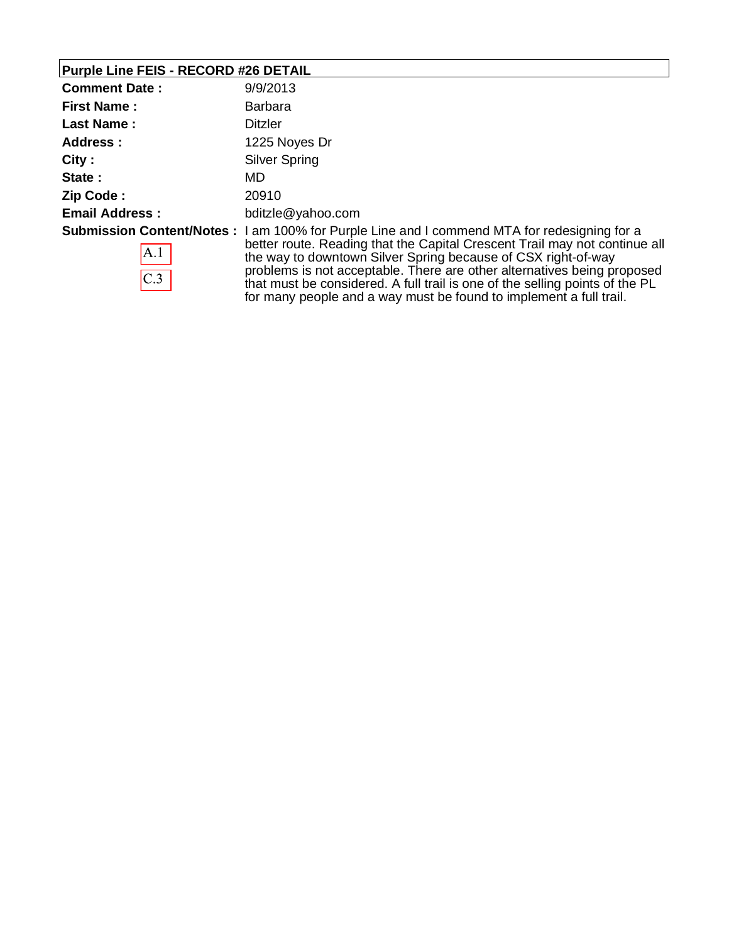# **Purple Line FEIS - RECORD #26 DETAIL**

| <b>Comment Date:</b>                             | 9/9/2013                                                                                                                                                                                                                                                                                                                                                                                                                                          |
|--------------------------------------------------|---------------------------------------------------------------------------------------------------------------------------------------------------------------------------------------------------------------------------------------------------------------------------------------------------------------------------------------------------------------------------------------------------------------------------------------------------|
| <b>First Name:</b>                               | <b>Barbara</b>                                                                                                                                                                                                                                                                                                                                                                                                                                    |
| <b>Last Name:</b>                                | <b>Ditzler</b>                                                                                                                                                                                                                                                                                                                                                                                                                                    |
| Address :                                        | 1225 Noyes Dr                                                                                                                                                                                                                                                                                                                                                                                                                                     |
| City:                                            | Silver Spring                                                                                                                                                                                                                                                                                                                                                                                                                                     |
| State:                                           | MD.                                                                                                                                                                                                                                                                                                                                                                                                                                               |
| Zip Code:                                        | 20910                                                                                                                                                                                                                                                                                                                                                                                                                                             |
| <b>Email Address:</b>                            | bditzle@yahoo.com                                                                                                                                                                                                                                                                                                                                                                                                                                 |
| <b>Submission Content/Notes:</b><br> A.1 <br>C.3 | I am 100% for Purple Line and I commend MTA for redesigning for a<br>better route. Reading that the Capital Crescent Trail may not continue all<br>the way to downtown Silver Spring because of CSX right-of-way<br>problems is not acceptable. There are other alternatives being proposed<br>that must be considered. A full trail is one of the selling points of the PL<br>for many people and a way must be found to implement a full trail. |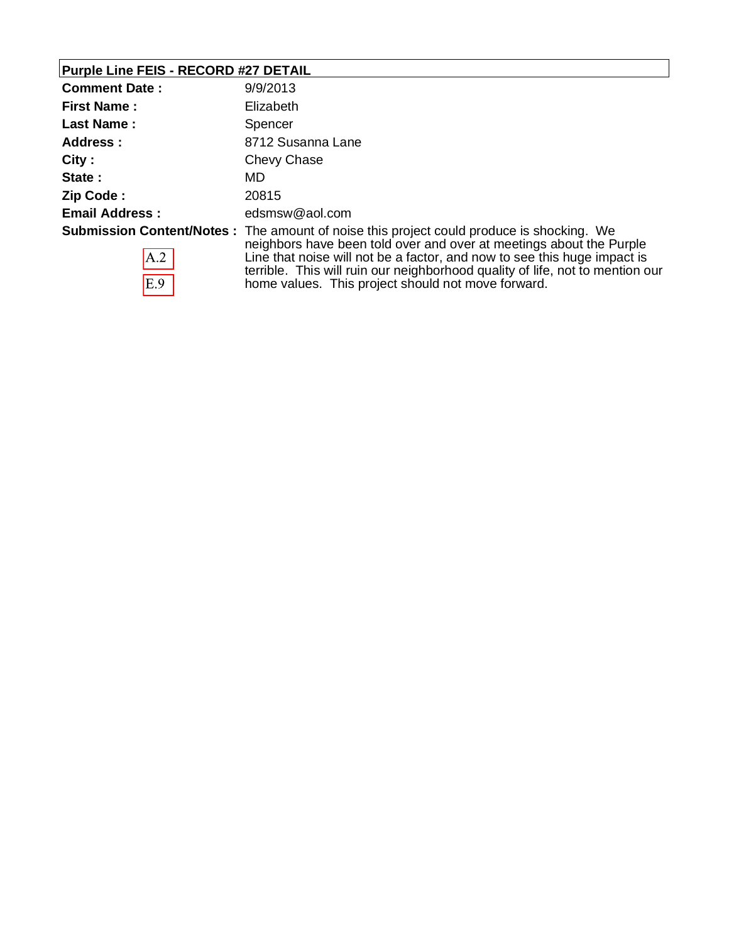# **Purple Line FEIS - RECORD #27 DETAIL**

 $E.9$ 

| <b>Comment Date:</b>  | 9/9/2013                                                                                                                                                                                                                                                                                                                             |
|-----------------------|--------------------------------------------------------------------------------------------------------------------------------------------------------------------------------------------------------------------------------------------------------------------------------------------------------------------------------------|
| <b>First Name:</b>    | Elizabeth                                                                                                                                                                                                                                                                                                                            |
| <b>Last Name:</b>     | Spencer                                                                                                                                                                                                                                                                                                                              |
| Address :             | 8712 Susanna Lane                                                                                                                                                                                                                                                                                                                    |
| City:                 | Chevy Chase                                                                                                                                                                                                                                                                                                                          |
| State:                | MD                                                                                                                                                                                                                                                                                                                                   |
| Zip Code:             | 20815                                                                                                                                                                                                                                                                                                                                |
| <b>Email Address:</b> | edsmsw@aol.com                                                                                                                                                                                                                                                                                                                       |
| A.2                   | <b>Submission Content/Notes</b> : The amount of noise this project could produce is shocking. We<br>neighbors have been told over and over at meetings about the Purple<br>Line that noise will not be a factor, and now to see this huge impact is<br>terrible. This will ruin our neighborhood quality of life, not to mention our |

home values. This project should not move forward.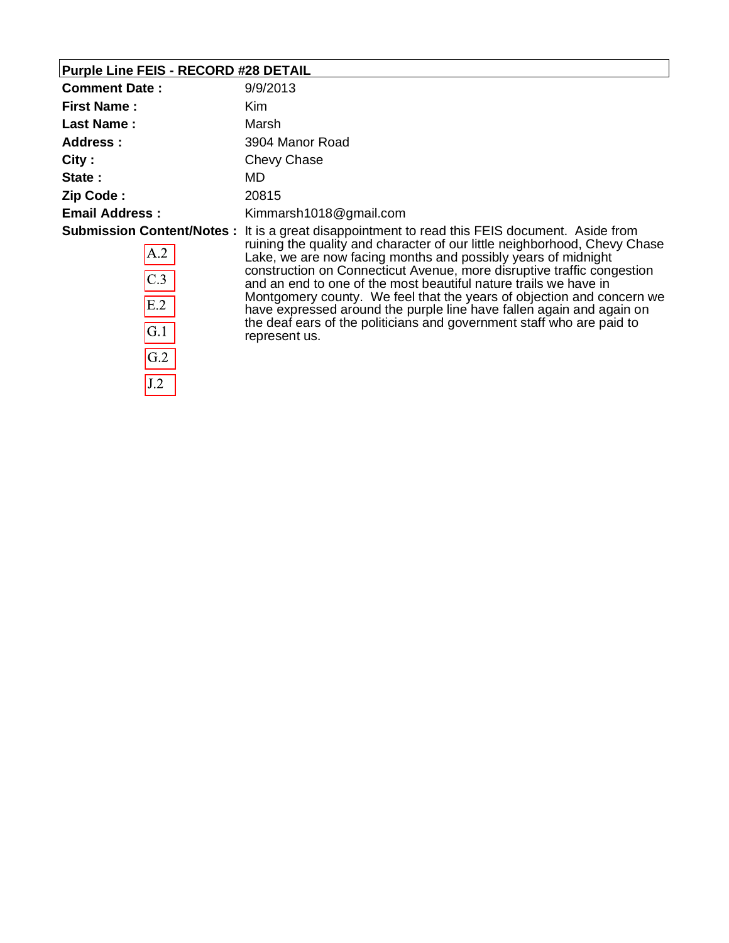# **Purple Line FEIS - RECORD #28 DETAIL**

 $\overline{J.2}$ 

| <b>Comment Date:</b>                                                           | 9/9/2013                                                                                                                                                                                                                                                                                                                                                                                                                                                                                                                                                                                                   |
|--------------------------------------------------------------------------------|------------------------------------------------------------------------------------------------------------------------------------------------------------------------------------------------------------------------------------------------------------------------------------------------------------------------------------------------------------------------------------------------------------------------------------------------------------------------------------------------------------------------------------------------------------------------------------------------------------|
| <b>First Name:</b>                                                             | Kim                                                                                                                                                                                                                                                                                                                                                                                                                                                                                                                                                                                                        |
| <b>Last Name:</b>                                                              | Marsh                                                                                                                                                                                                                                                                                                                                                                                                                                                                                                                                                                                                      |
| Address:                                                                       | 3904 Manor Road                                                                                                                                                                                                                                                                                                                                                                                                                                                                                                                                                                                            |
| City:                                                                          | Chevy Chase                                                                                                                                                                                                                                                                                                                                                                                                                                                                                                                                                                                                |
| State:                                                                         | MD.                                                                                                                                                                                                                                                                                                                                                                                                                                                                                                                                                                                                        |
| Zip Code:                                                                      | 20815                                                                                                                                                                                                                                                                                                                                                                                                                                                                                                                                                                                                      |
| <b>Email Address:</b>                                                          | Kimmarsh1018@gmail.com                                                                                                                                                                                                                                                                                                                                                                                                                                                                                                                                                                                     |
| <b>Submission Content/Notes:</b><br>A.2<br>C.3<br>E.2<br>$\mathsf{G}.1$<br>G.2 | It is a great disappointment to read this FEIS document. Aside from<br>ruining the quality and character of our little neighborhood, Chevy Chase<br>Lake, we are now facing months and possibly years of midnight<br>construction on Connecticut Avenue, more disruptive traffic congestion<br>and an end to one of the most beautiful nature trails we have in<br>Montgomery county. We feel that the years of objection and concern we<br>have expressed around the purple line have fallen again and again on<br>the deaf ears of the politicians and government staff who are paid to<br>represent us. |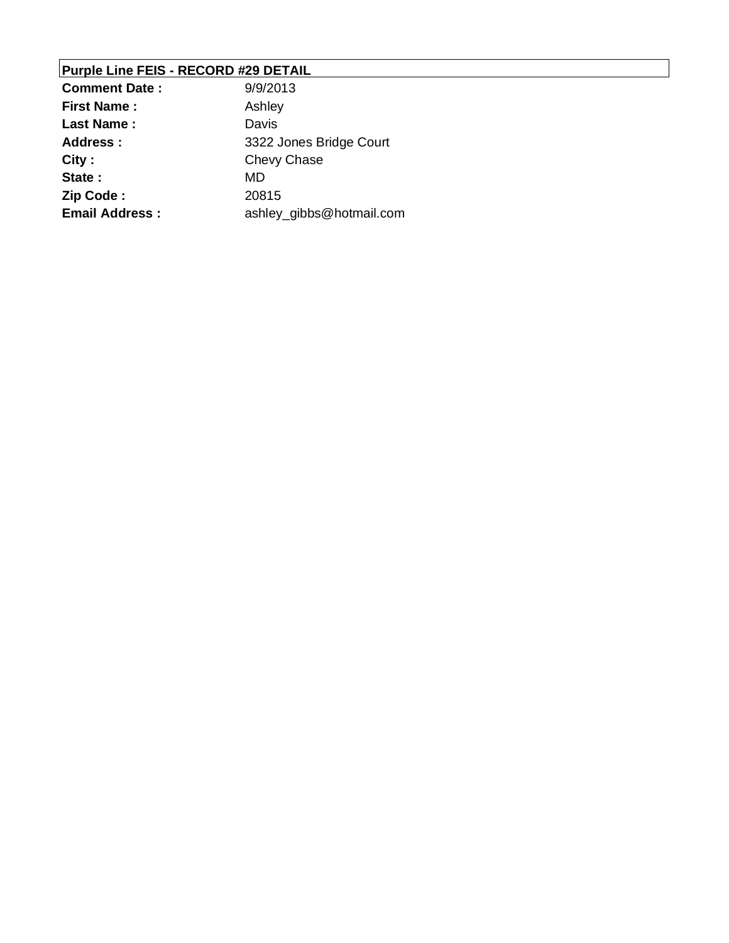## **Purple Line FEIS - RECORD #29 DETAIL**

| <b>Comment Date:</b>  | 9/9/2013                 |
|-----------------------|--------------------------|
| <b>First Name:</b>    | Ashley                   |
| <b>Last Name:</b>     | Davis                    |
| <b>Address:</b>       | 3322 Jones Bridge Court  |
| City:                 | <b>Chevy Chase</b>       |
| State:                | MD                       |
| Zip Code:             | 20815                    |
| <b>Email Address:</b> | ashley_gibbs@hotmail.com |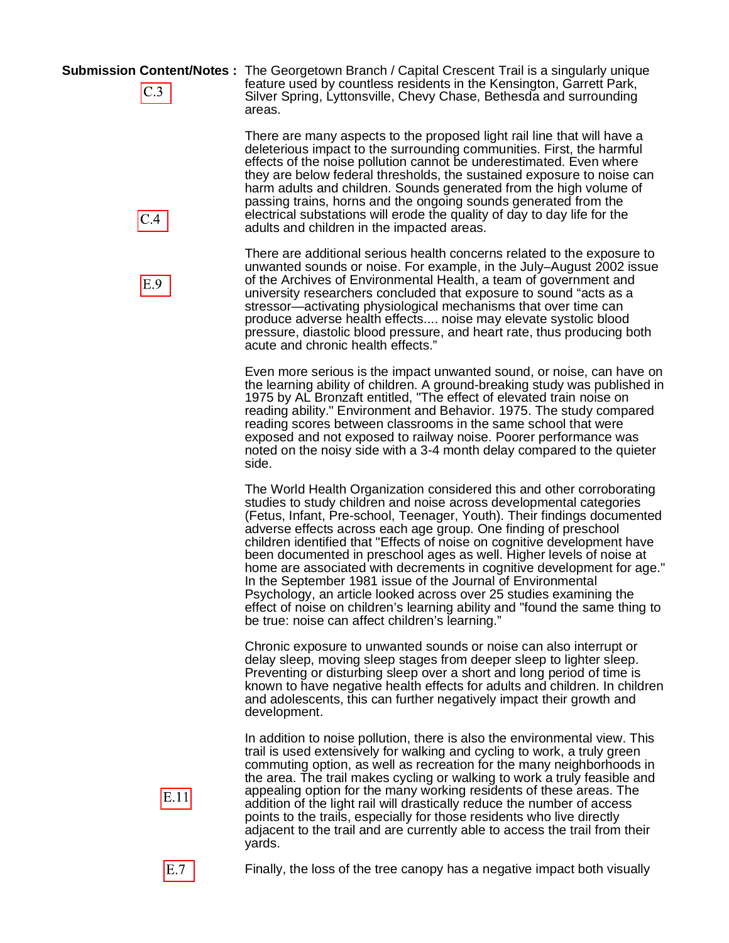$C.3$ 

 $C.4$ 

E.9

**Submission Content/Notes :** The Georgetown Branch / Capital Crescent Trail is a singularly unique feature used by countless residents in the Kensington, Garrett Park, Silver Spring, Lyttonsville, Chevy Chase, Bethesda and surrounding areas.

> There are many aspects to the proposed light rail line that will have a deleterious impact to the surrounding communities. First, the harmful effects of the noise pollution cannot be underestimated. Even where they are below federal thresholds, the sustained exposure to noise can harm adults and children. Sounds generated from the high volume of passing trains, horns and the ongoing sounds generated from the electrical substations will erode the quality of day to day life for the adults and children in the impacted areas.

> There are additional serious health concerns related to the exposure to unwanted sounds or noise. For example, in the July–August 2002 issue of the Archives of Environmental Health, a team of government and university researchers concluded that exposure to sound "acts as a stressor—activating physiological mechanisms that over time can produce adverse health effects.... noise may elevate systolic blood pressure, diastolic blood pressure, and heart rate, thus producing both acute and chronic health effects."

Even more serious is the impact unwanted sound, or noise, can have on the learning ability of children. A ground-breaking study was published in 1975 by AL Bronzaft entitled, "The effect of elevated train noise on reading ability." Environment and Behavior. 1975. The study compared reading scores between classrooms in the same school that were exposed and not exposed to railway noise. Poorer performance was noted on the noisy side with a 3-4 month delay compared to the quieter side.

The World Health Organization considered this and other corroborating studies to study children and noise across developmental categories (Fetus, Infant, Pre-school, Teenager, Youth). Their findings documented adverse effects across each age group. One finding of preschool children identified that "Effects of noise on cognitive development have been documented in preschool ages as well. Higher levels of noise at home are associated with decrements in cognitive development for age." In the September 1981 issue of the Journal of Environmental Psychology, an article looked across over 25 studies examining the effect of noise on children's learning ability and "found the same thing to be true: noise can affect children's learning."

Chronic exposure to unwanted sounds or noise can also interrupt or delay sleep, moving sleep stages from deeper sleep to lighter sleep. Preventing or disturbing sleep over a short and long period of time is known to have negative health effects for adults and children. In children and adolescents, this can further negatively impact their growth and development.

In addition to noise pollution, there is also the environmental view. This trail is used extensively for walking and cycling to work, a truly green commuting option, as well as recreation for the many neighborhoods in the area. The trail makes cycling or walking to work a truly feasible and appealing option for the many working residents of these areas. The addition of the light rail will drastically reduce the number of access points to the trails, especially for those residents who live directly adjacent to the trail and are currently able to access the trail from their yards.



 $E.7$ 

Finally, the loss of the tree canopy has a negative impact both visually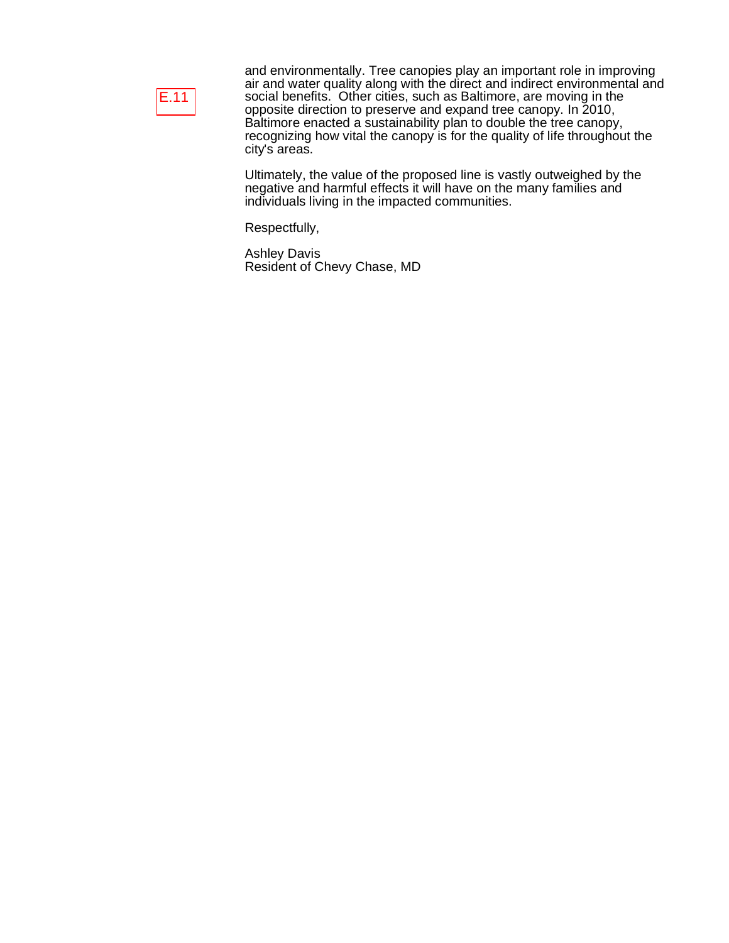

and environmentally. Tree canopies play an important role in improving air and water quality along with the direct and indirect environmental and social benefits. Other cities, such as Baltimore, are moving in the opposite direction to preserve and expand tree canopy. In 2010, Baltimore enacted a sustainability plan to double the tree canopy, recognizing how vital the canopy is for the quality of life throughout the city's areas.

Ultimately, the value of the proposed line is vastly outweighed by the negative and harmful effects it will have on the many families and individuals living in the impacted communities.

Respectfully,

Ashley Davis Resident of Chevy Chase, MD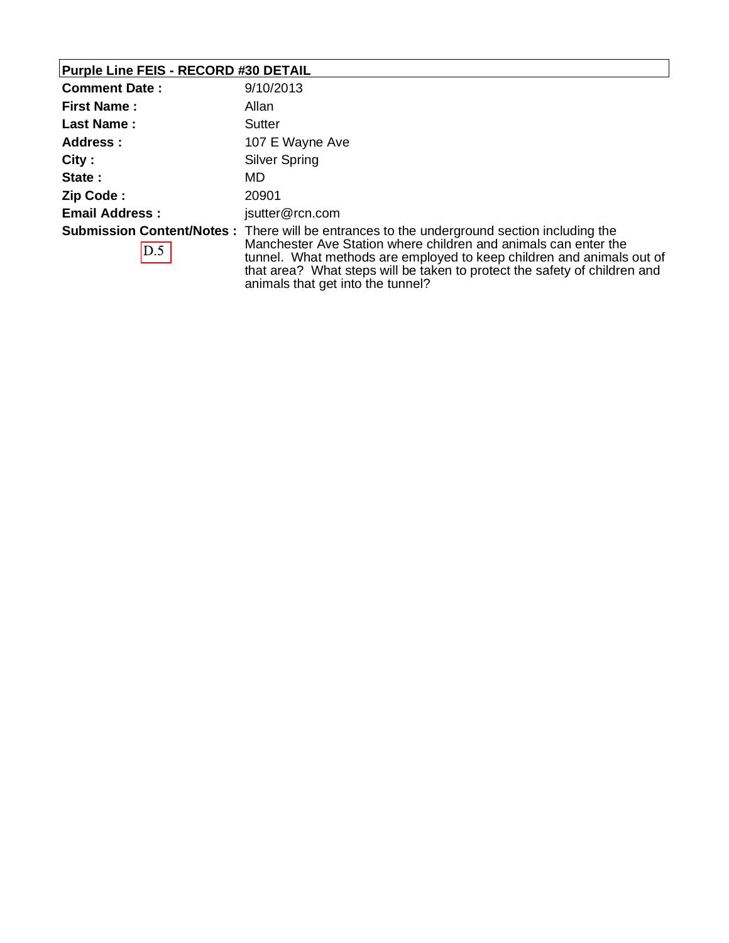## **Purple Line FEIS - RECORD #30 DETAIL**

| <b>Comment Date:</b>  | 9/10/2013                                                                                                                                                                                                                                                                                                                                                        |
|-----------------------|------------------------------------------------------------------------------------------------------------------------------------------------------------------------------------------------------------------------------------------------------------------------------------------------------------------------------------------------------------------|
| <b>First Name:</b>    | Allan                                                                                                                                                                                                                                                                                                                                                            |
| <b>Last Name:</b>     | Sutter                                                                                                                                                                                                                                                                                                                                                           |
| Address:              | 107 E Wayne Ave                                                                                                                                                                                                                                                                                                                                                  |
| City:                 | <b>Silver Spring</b>                                                                                                                                                                                                                                                                                                                                             |
| State:                | MD                                                                                                                                                                                                                                                                                                                                                               |
| Zip Code:             | 20901                                                                                                                                                                                                                                                                                                                                                            |
| <b>Email Address:</b> | jsutter@rcn.com                                                                                                                                                                                                                                                                                                                                                  |
| D.5                   | <b>Submission Content/Notes</b> : There will be entrances to the underground section including the<br>Manchester Ave Station where children and animals can enter the<br>tunnel. What methods are employed to keep children and animals out of<br>that area? What steps will be taken to protect the safety of children and<br>animals that get into the tunnel? |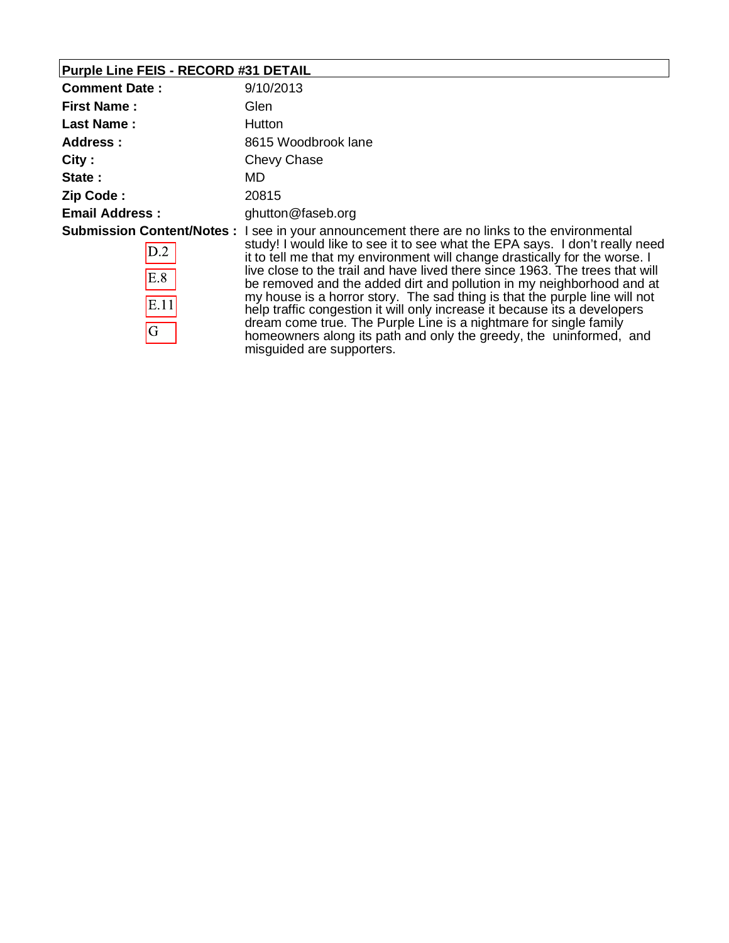## **Purple Line FEIS - RECORD #31 DETAIL**

 $\overline{G}$ 

| <b>Comment Date:</b>  | 9/10/2013                                                                                                                                                                                                                                                                                                                                                                                                                                                                                                                                                                                                            |
|-----------------------|----------------------------------------------------------------------------------------------------------------------------------------------------------------------------------------------------------------------------------------------------------------------------------------------------------------------------------------------------------------------------------------------------------------------------------------------------------------------------------------------------------------------------------------------------------------------------------------------------------------------|
| <b>First Name:</b>    | Glen                                                                                                                                                                                                                                                                                                                                                                                                                                                                                                                                                                                                                 |
| <b>Last Name:</b>     | Hutton                                                                                                                                                                                                                                                                                                                                                                                                                                                                                                                                                                                                               |
| Address:              | 8615 Woodbrook lane                                                                                                                                                                                                                                                                                                                                                                                                                                                                                                                                                                                                  |
| City:                 | Chevy Chase                                                                                                                                                                                                                                                                                                                                                                                                                                                                                                                                                                                                          |
| State:                | MD                                                                                                                                                                                                                                                                                                                                                                                                                                                                                                                                                                                                                   |
| Zip Code:             | 20815                                                                                                                                                                                                                                                                                                                                                                                                                                                                                                                                                                                                                |
| <b>Email Address:</b> | ghutton@faseb.org                                                                                                                                                                                                                                                                                                                                                                                                                                                                                                                                                                                                    |
| D.2<br>E.8<br>E.11    | <b>Submission Content/Notes</b> : I see in your announcement there are no links to the environmental<br>study! I would like to see it to see what the EPA says. I don't really need<br>it to tell me that my environment will change drastically for the worse. I<br>live close to the trail and have lived there since 1963. The trees that will<br>be removed and the added dirt and pollution in my neighborhood and at<br>my house is a horror story. The sad thing is that the purple line will not<br>معرضه والمريضات المستحقق المستحقق والمتحدث والمتحال والبروان المستنقص والمستحق والتكاسي والمسارة والمتحا |

help traffic congestion it will only increase it because its a developers dream come true. The Purple Line is a nightmare for single family homeowners along its path and only the greedy, the uninformed, and misguided are supporters.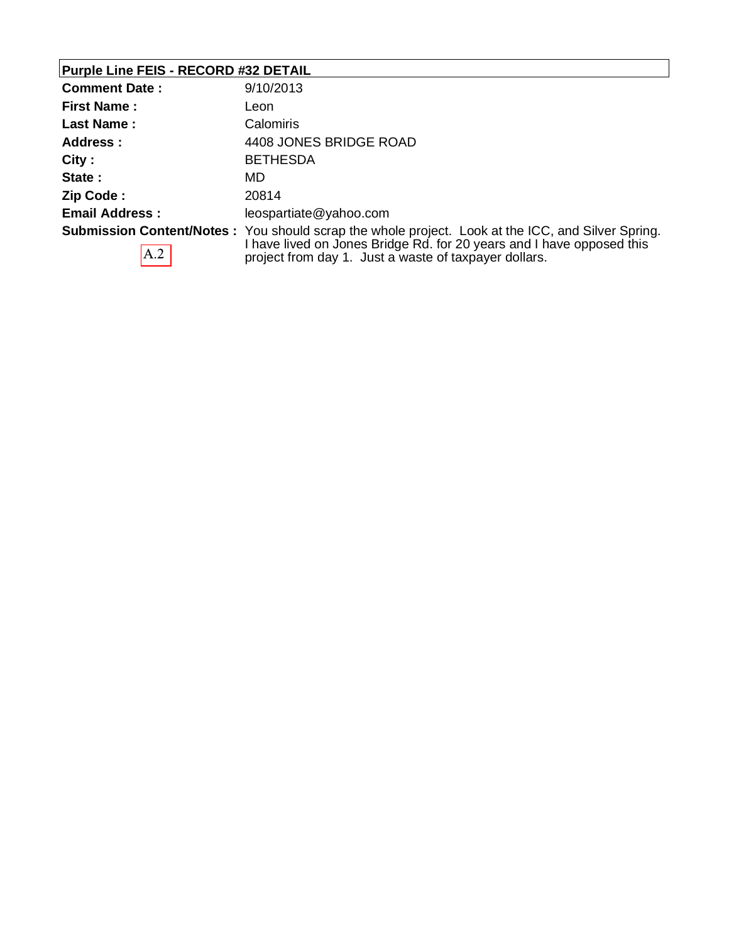# **Purple Line FEIS - RECORD #32 DETAIL**

| <b>Comment Date:</b>  | 9/10/2013                                                                                                                                                                                                                                   |
|-----------------------|---------------------------------------------------------------------------------------------------------------------------------------------------------------------------------------------------------------------------------------------|
| <b>First Name:</b>    | Leon                                                                                                                                                                                                                                        |
| Last Name:            | Calomiris                                                                                                                                                                                                                                   |
| Address :             | 4408 JONES BRIDGE ROAD                                                                                                                                                                                                                      |
| City:                 | <b>BETHESDA</b>                                                                                                                                                                                                                             |
| State:                | MD.                                                                                                                                                                                                                                         |
| Zip Code:             | 20814                                                                                                                                                                                                                                       |
| <b>Email Address:</b> | leospartiate@yahoo.com                                                                                                                                                                                                                      |
| A.2                   | <b>Submission Content/Notes</b> : You should scrap the whole project. Look at the ICC, and Silver Spring.<br>I have lived on Jones Bridge Rd. for 20 years and I have opposed this<br>project from day 1. Just a waste of taxpayer dollars. |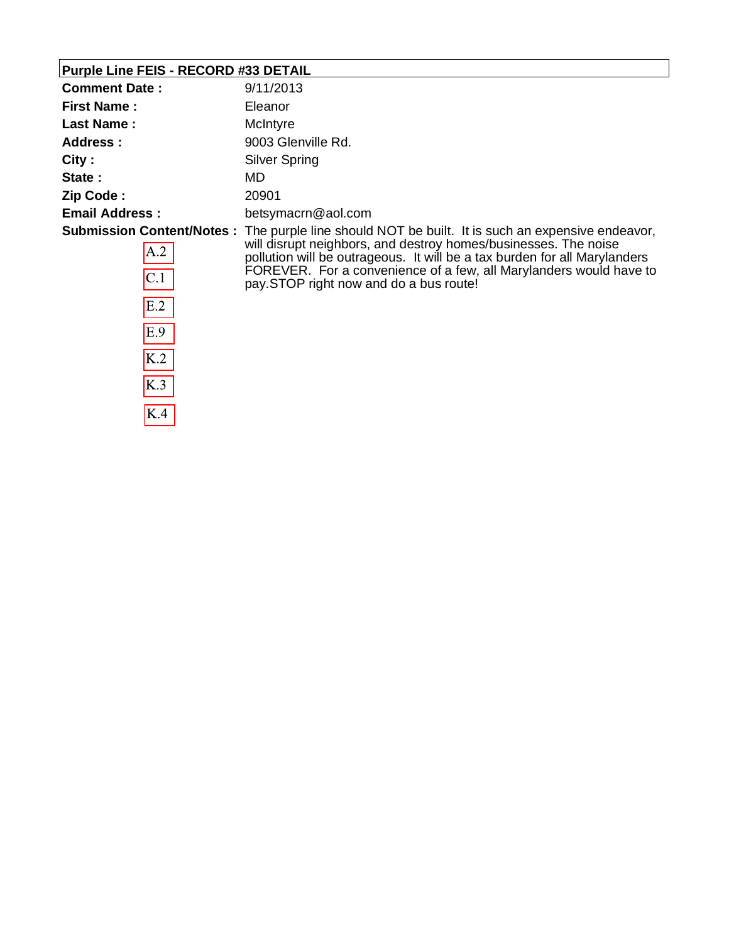## **Purple Line FEIS - RECORD #33 DETAIL**

 $E.9$ 

 $\overline{K.2}$ 

 $K.3$ 

 $K.4$ 

| <b>Comment Date:</b>  | 9/11/2013                                                                                                                                                                                                                                                                                                                                                         |
|-----------------------|-------------------------------------------------------------------------------------------------------------------------------------------------------------------------------------------------------------------------------------------------------------------------------------------------------------------------------------------------------------------|
| <b>First Name:</b>    | Eleanor                                                                                                                                                                                                                                                                                                                                                           |
| <b>Last Name:</b>     | McIntyre                                                                                                                                                                                                                                                                                                                                                          |
| Address:              | 9003 Glenville Rd.                                                                                                                                                                                                                                                                                                                                                |
| City:                 | <b>Silver Spring</b>                                                                                                                                                                                                                                                                                                                                              |
| State:                | MD                                                                                                                                                                                                                                                                                                                                                                |
| Zip Code:             | 20901                                                                                                                                                                                                                                                                                                                                                             |
| <b>Email Address:</b> | betsymacrn@aol.com                                                                                                                                                                                                                                                                                                                                                |
| A.2<br> C.1 <br>E.2   | Submission Content/Notes: The purple line should NOT be built. It is such an expensive endeavor,<br>will disrupt neighbors, and destroy homes/businesses. The noise<br>pollution will be outrageous. It will be a tax burden for all Marylanders<br>FOREVER. For a convenience of a few, all Marylanders would have to<br>pay. STOP right now and do a bus route! |
|                       |                                                                                                                                                                                                                                                                                                                                                                   |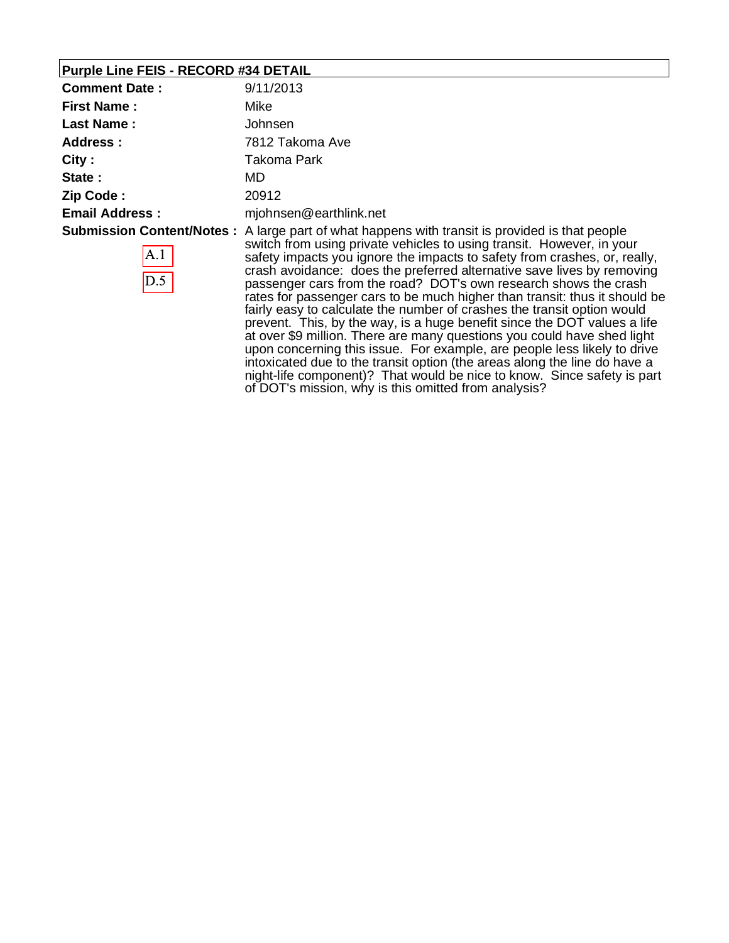### **Purple Line FEIS - RECORD #34 DETAIL**

| <b>Comment Date:</b>  | 9/11/2013                                                                                                                                                                                                                                                                                                                                                                                                                                                                                |
|-----------------------|------------------------------------------------------------------------------------------------------------------------------------------------------------------------------------------------------------------------------------------------------------------------------------------------------------------------------------------------------------------------------------------------------------------------------------------------------------------------------------------|
| <b>First Name:</b>    | Mike                                                                                                                                                                                                                                                                                                                                                                                                                                                                                     |
| <b>Last Name:</b>     | Johnsen                                                                                                                                                                                                                                                                                                                                                                                                                                                                                  |
| Address:              | 7812 Takoma Ave                                                                                                                                                                                                                                                                                                                                                                                                                                                                          |
| City:                 | Takoma Park                                                                                                                                                                                                                                                                                                                                                                                                                                                                              |
| State:                | MD.                                                                                                                                                                                                                                                                                                                                                                                                                                                                                      |
| Zip Code:             | 20912                                                                                                                                                                                                                                                                                                                                                                                                                                                                                    |
| <b>Email Address:</b> | mjohnsen@earthlink.net                                                                                                                                                                                                                                                                                                                                                                                                                                                                   |
| A.1<br>D.5            | <b>Submission Content/Notes</b> : A large part of what happens with transit is provided is that people<br>switch from using private vehicles to using transit. However, in your<br>safety impacts you ignore the impacts to safety from crashes, or, really,<br>crash avoidance: does the preferred alternative save lives by removing<br>passenger cars from the road? DOT's own research shows the crash<br>rates for passenger cars to be much bigher than transit; thus it should be |

rates for passenger cars to be much higher than transit: thus it should be fairly easy to calculate the number of crashes the transit option would prevent. This, by the way, is a huge benefit since the DOT values a life at over \$9 million. There are many questions you could have shed light upon concerning this issue. For example, are people less likely to drive intoxicated due to the transit option (the areas along the line do have a night-life component)? That would be nice to know. Since safety is part of DOT's mission, why is this omitted from analysis?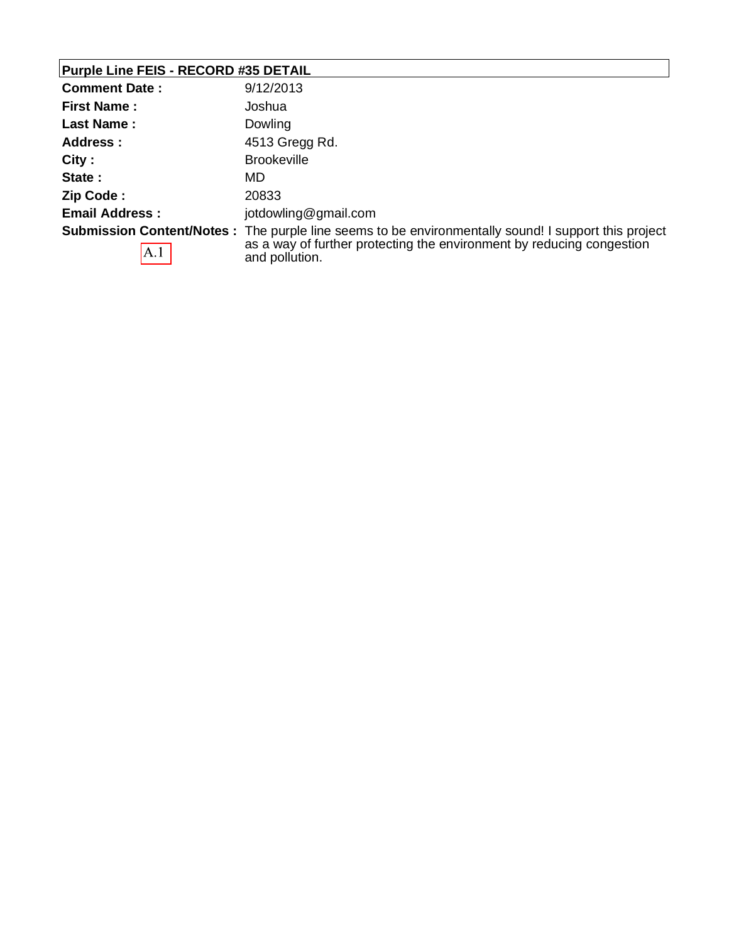# **Purple Line FEIS - RECORD #35 DETAIL**

| <b>Comment Date:</b>  | 9/12/2013                                                                                                   |
|-----------------------|-------------------------------------------------------------------------------------------------------------|
| <b>First Name:</b>    | Joshua                                                                                                      |
| Last Name:            | Dowling                                                                                                     |
| Address:              | 4513 Gregg Rd.                                                                                              |
| City:                 | <b>Brookeville</b>                                                                                          |
| State:                | MD.                                                                                                         |
| Zip Code:             | 20833                                                                                                       |
| <b>Email Address:</b> | jotdowling@gmail.com                                                                                        |
|                       | <b>Submission Content/Notes</b> : The purple line seems to be environmentally sound! I support this project |
| A.1                   | as a way of further protecting the environment by reducing congestion<br>and pollution.                     |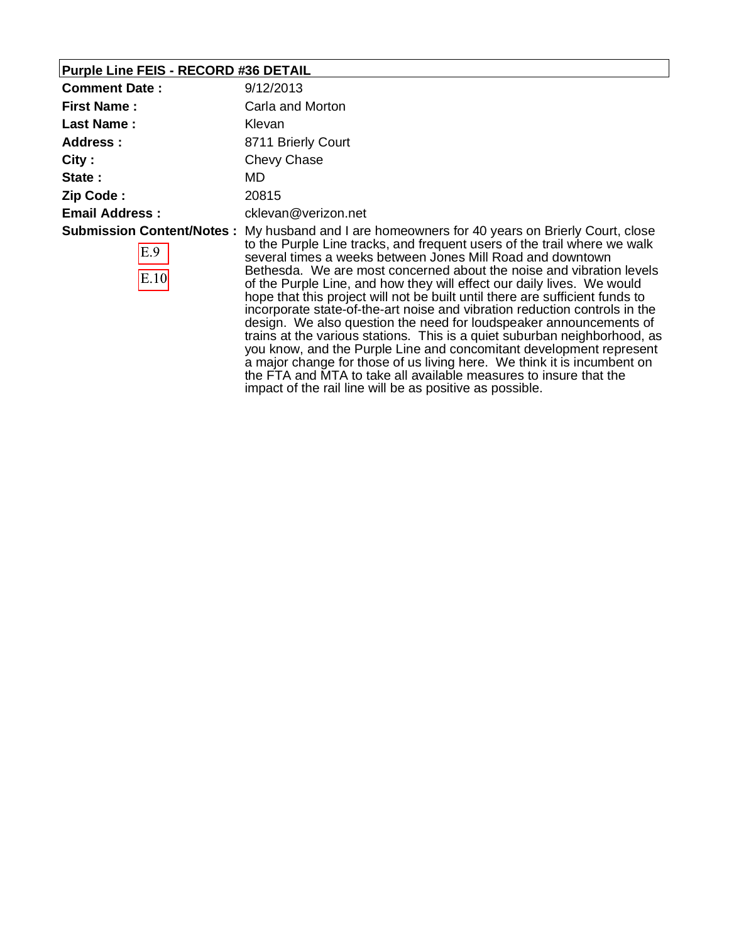## **Purple Line FEIS - RECORD #36 DETAIL**

| <b>Comment Date:</b>                            | 9/12/2013                                                                                                                                                                                                                                                                                                                                                                                                                                                                                                                                                                                                                                                                                                                                                |
|-------------------------------------------------|----------------------------------------------------------------------------------------------------------------------------------------------------------------------------------------------------------------------------------------------------------------------------------------------------------------------------------------------------------------------------------------------------------------------------------------------------------------------------------------------------------------------------------------------------------------------------------------------------------------------------------------------------------------------------------------------------------------------------------------------------------|
| <b>First Name:</b>                              | Carla and Morton                                                                                                                                                                                                                                                                                                                                                                                                                                                                                                                                                                                                                                                                                                                                         |
| <b>Last Name:</b>                               | <b>Klevan</b>                                                                                                                                                                                                                                                                                                                                                                                                                                                                                                                                                                                                                                                                                                                                            |
| Address:                                        | 8711 Brierly Court                                                                                                                                                                                                                                                                                                                                                                                                                                                                                                                                                                                                                                                                                                                                       |
| City:                                           | Chevy Chase                                                                                                                                                                                                                                                                                                                                                                                                                                                                                                                                                                                                                                                                                                                                              |
| State:                                          | MD.                                                                                                                                                                                                                                                                                                                                                                                                                                                                                                                                                                                                                                                                                                                                                      |
| Zip Code:                                       | 20815                                                                                                                                                                                                                                                                                                                                                                                                                                                                                                                                                                                                                                                                                                                                                    |
| <b>Email Address:</b>                           | cklevan@verizon.net                                                                                                                                                                                                                                                                                                                                                                                                                                                                                                                                                                                                                                                                                                                                      |
| <b>Submission Content/Notes:</b><br>E.9<br>E.10 | My husband and I are homeowners for 40 years on Brierly Court, close<br>to the Purple Line tracks, and frequent users of the trail where we walk<br>several times a weeks between Jones Mill Road and downtown<br>Bethesda. We are most concerned about the noise and vibration levels<br>of the Purple Line, and how they will effect our daily lives. We would<br>hope that this project will not be built until there are sufficient funds to<br>incorporate state-of-the-art noise and vibration reduction controls in the<br>design. We also question the need for loudspeaker announcements of<br>trains at the various stations. This is a quiet suburban neighborhood, as<br>you know, and the Purple Line and concomitant development represent |

a major change for those of us living here. We think it is incumbent on the FTA and MTA to take all available measures to insure that the

impact of the rail line will be as positive as possible.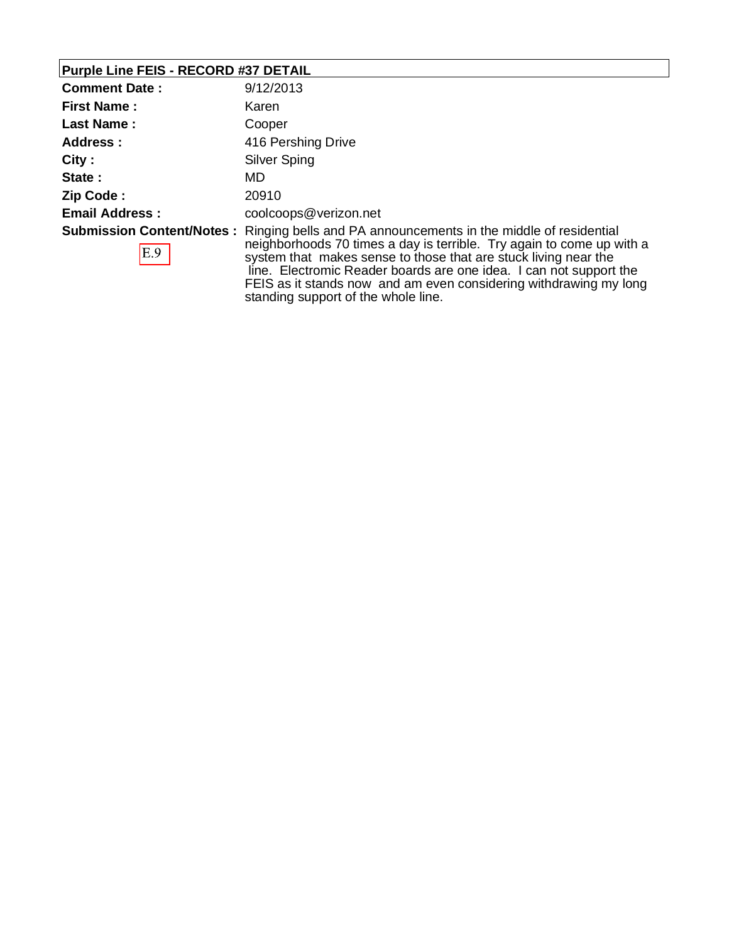## **Purple Line FEIS - RECORD #37 DETAIL**

| <b>Comment Date:</b>  | 9/12/2013                                                                                                                                                                                                                                                                                                                                                                               |
|-----------------------|-----------------------------------------------------------------------------------------------------------------------------------------------------------------------------------------------------------------------------------------------------------------------------------------------------------------------------------------------------------------------------------------|
| <b>First Name:</b>    | Karen                                                                                                                                                                                                                                                                                                                                                                                   |
| <b>Last Name:</b>     | Cooper                                                                                                                                                                                                                                                                                                                                                                                  |
| <b>Address:</b>       | 416 Pershing Drive                                                                                                                                                                                                                                                                                                                                                                      |
| City:                 | Silver Sping                                                                                                                                                                                                                                                                                                                                                                            |
| State:                | MD                                                                                                                                                                                                                                                                                                                                                                                      |
| Zip Code:             | 20910                                                                                                                                                                                                                                                                                                                                                                                   |
| <b>Email Address:</b> | coolcoops@verizon.net                                                                                                                                                                                                                                                                                                                                                                   |
| E.9                   | <b>Submission Content/Notes:</b> Ringing bells and PA announcements in the middle of residential<br>neighborhoods 70 times a day is terrible. Try again to come up with a<br>system that makes sense to those that are stuck living near the<br>line. Electromic Reader boards are one idea. I can not support the<br>FEIS as it stands now and am even considering withdrawing my long |

standing support of the whole line.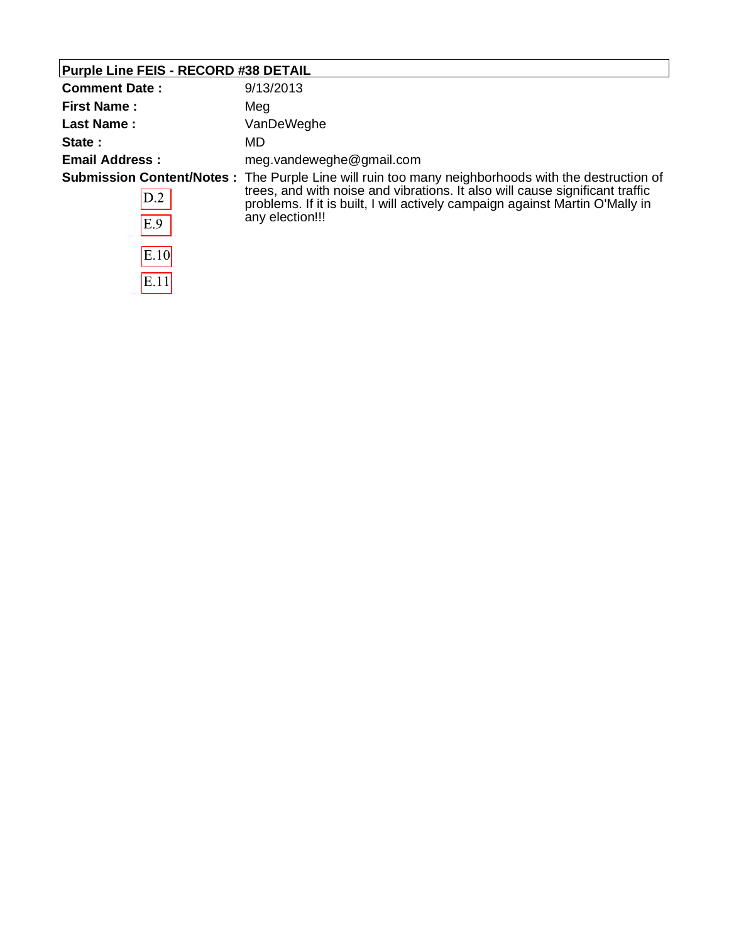## **Purple Line FEIS - RECORD #38 DETAIL**

| <b>Comment Date:</b>  | 9/13/2013                                                                                                                                                                                                                                                                                     |
|-----------------------|-----------------------------------------------------------------------------------------------------------------------------------------------------------------------------------------------------------------------------------------------------------------------------------------------|
| <b>First Name:</b>    | Meg                                                                                                                                                                                                                                                                                           |
| <b>Last Name:</b>     | VanDeWeghe                                                                                                                                                                                                                                                                                    |
| State:                | MD.                                                                                                                                                                                                                                                                                           |
| <b>Email Address:</b> | meg.vandeweghe@gmail.com                                                                                                                                                                                                                                                                      |
| D.2<br>E.9            | <b>Submission Content/Notes</b> : The Purple Line will ruin too many neighborhoods with the destruction of<br>trees, and with noise and vibrations. It also will cause significant traffic<br>problems. If it is built, I will actively campaign against Martin O'Mally in<br>any election!!! |
| E.10                  |                                                                                                                                                                                                                                                                                               |
| E.11                  |                                                                                                                                                                                                                                                                                               |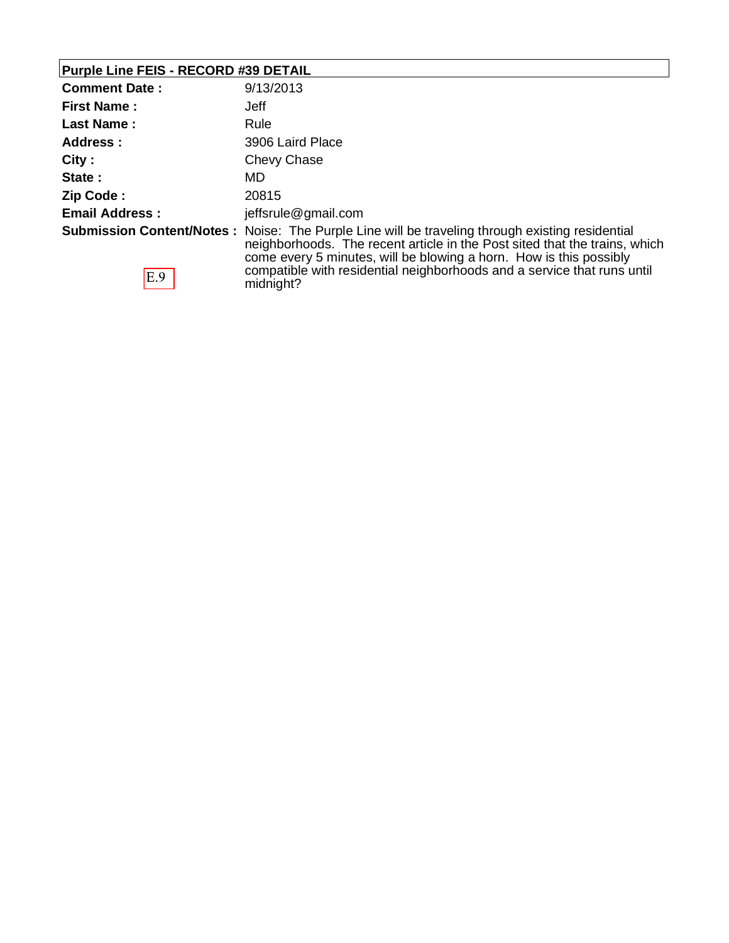## **Purple Line FEIS - RECORD #39 DETAIL**

| <b>Comment Date:</b>  | 9/13/2013                                                                                                                                                                                                                                                                                                                                          |
|-----------------------|----------------------------------------------------------------------------------------------------------------------------------------------------------------------------------------------------------------------------------------------------------------------------------------------------------------------------------------------------|
| <b>First Name:</b>    | <b>Jeff</b>                                                                                                                                                                                                                                                                                                                                        |
| <b>Last Name:</b>     | Rule                                                                                                                                                                                                                                                                                                                                               |
| Address:              | 3906 Laird Place                                                                                                                                                                                                                                                                                                                                   |
| City:                 | Chevy Chase                                                                                                                                                                                                                                                                                                                                        |
| State:                | MD                                                                                                                                                                                                                                                                                                                                                 |
| Zip Code:             | 20815                                                                                                                                                                                                                                                                                                                                              |
| <b>Email Address:</b> | jeffsrule@gmail.com                                                                                                                                                                                                                                                                                                                                |
| E.9                   | <b>Submission Content/Notes:</b> Noise: The Purple Line will be traveling through existing residential<br>neighborhoods. The recent article in the Post sited that the trains, which<br>come every 5 minutes, will be blowing a horn. How is this possibly<br>compatible with residential neighborhoods and a service that runs until<br>midnight? |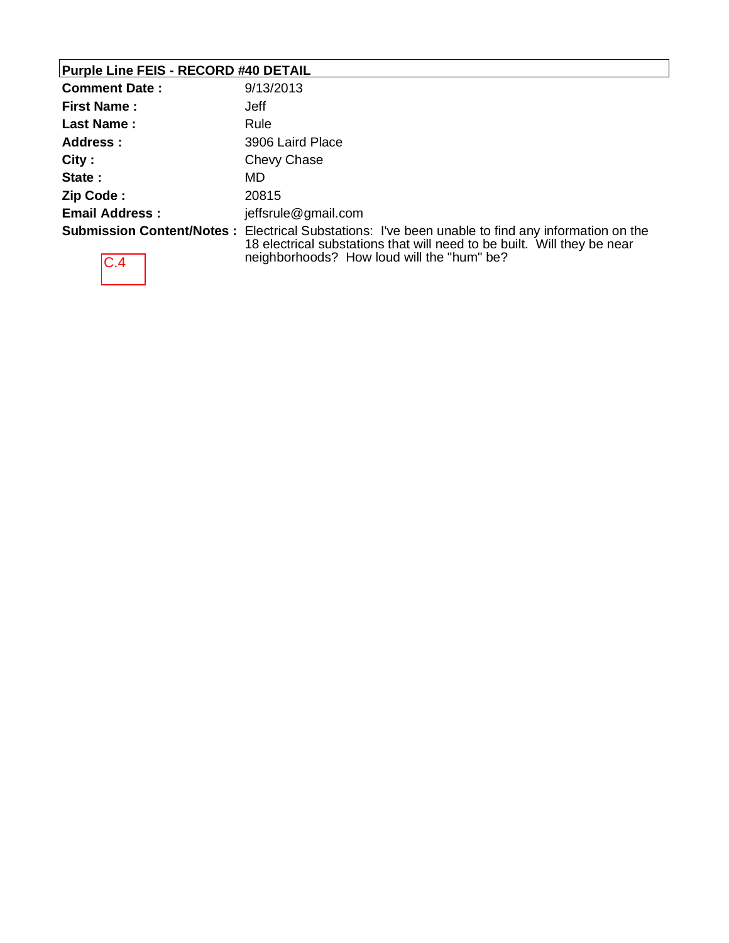## **Purple Line FEIS - RECORD #40 DETAIL**

| <b>Comment Date:</b>  | 9/13/2013                                                                                                                                                                                                                         |
|-----------------------|-----------------------------------------------------------------------------------------------------------------------------------------------------------------------------------------------------------------------------------|
| <b>First Name:</b>    | Jeff                                                                                                                                                                                                                              |
| <b>Last Name:</b>     | Rule                                                                                                                                                                                                                              |
| <b>Address:</b>       | 3906 Laird Place                                                                                                                                                                                                                  |
| City:                 | Chevy Chase                                                                                                                                                                                                                       |
| State:                | MD.                                                                                                                                                                                                                               |
| Zip Code:             | 20815                                                                                                                                                                                                                             |
| <b>Email Address:</b> | jeffsrule@gmail.com                                                                                                                                                                                                               |
| C.4                   | <b>Submission Content/Notes:</b> Electrical Substations: I've been unable to find any information on the<br>18 electrical substations that will need to be built. Will they be near<br>neighborhoods? How loud will the "hum" be? |

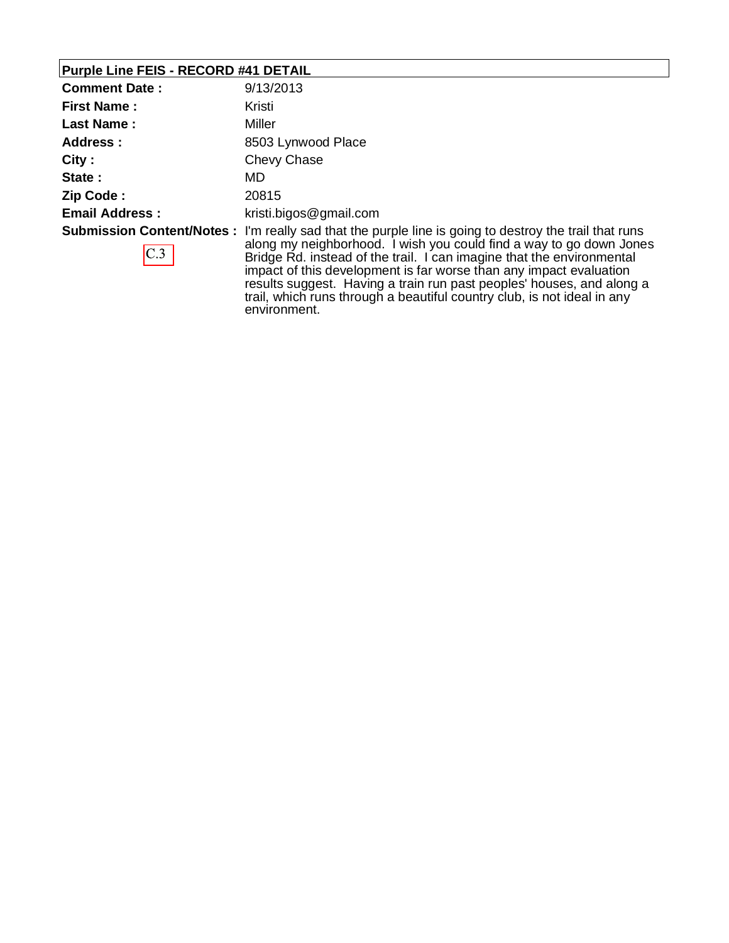# **Purple Line FEIS - RECORD #41 DETAIL**

| <b>Comment Date:</b>  | 9/13/2013                                                                                                                                                                                                                                                                                                                                                                                                    |
|-----------------------|--------------------------------------------------------------------------------------------------------------------------------------------------------------------------------------------------------------------------------------------------------------------------------------------------------------------------------------------------------------------------------------------------------------|
| <b>First Name:</b>    | Kristi                                                                                                                                                                                                                                                                                                                                                                                                       |
| <b>Last Name:</b>     | Miller                                                                                                                                                                                                                                                                                                                                                                                                       |
| <b>Address:</b>       | 8503 Lynwood Place                                                                                                                                                                                                                                                                                                                                                                                           |
| City:                 | Chevy Chase                                                                                                                                                                                                                                                                                                                                                                                                  |
| State:                | MD                                                                                                                                                                                                                                                                                                                                                                                                           |
| Zip Code:             | 20815                                                                                                                                                                                                                                                                                                                                                                                                        |
| <b>Email Address:</b> | kristi.bigos@gmail.com                                                                                                                                                                                                                                                                                                                                                                                       |
| C.3                   | <b>Submission Content/Notes</b> : I'm really sad that the purple line is going to destroy the trail that runs<br>along my neighborhood. I wish you could find a way to go down Jones<br>Bridge Rd. instead of the trail. I can imagine that the environmental<br>impact of this development is far worse than any impact evaluation<br>results suggest. Having a train run past peoples' houses, and along a |

environment.

trail, which runs through a beautiful country club, is not ideal in any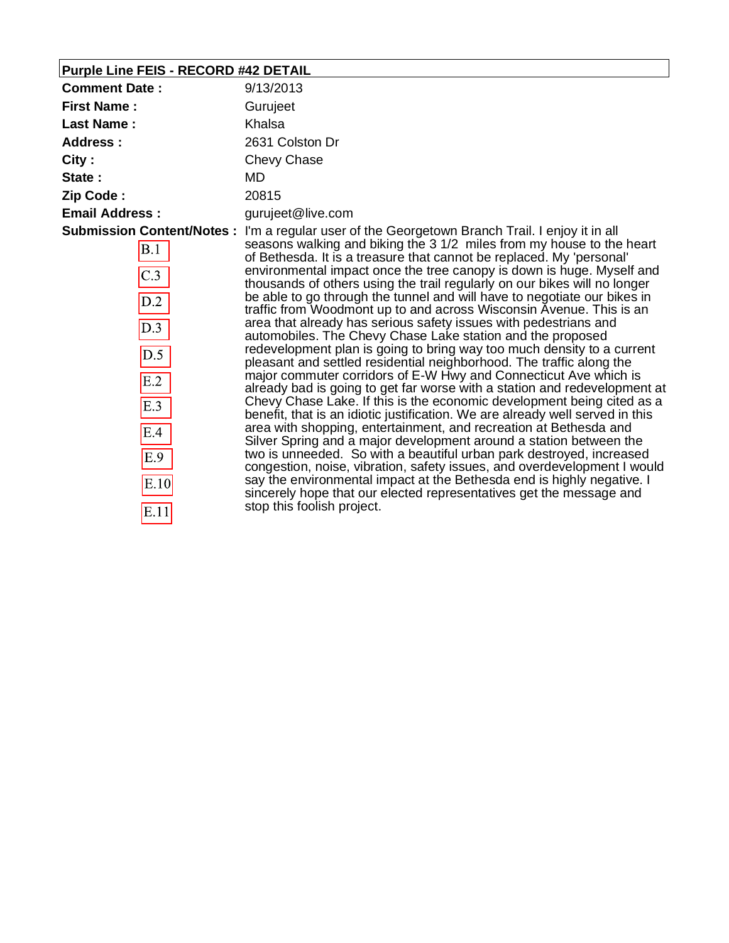# **Purple Line FEIS - RECORD #42 DETAIL**

| <b>Comment Date:</b>                                                                                                         | 9/13/2013                                                                                                                                                                                                                                                                                                                                                                                                                                                                                                                                                                                                                                                                                                                                                                                                                                                                                                                                                                                                                                                                                                                                                                                                                                                                                                                                                                                                                                                                                                                                                                                                    |
|------------------------------------------------------------------------------------------------------------------------------|--------------------------------------------------------------------------------------------------------------------------------------------------------------------------------------------------------------------------------------------------------------------------------------------------------------------------------------------------------------------------------------------------------------------------------------------------------------------------------------------------------------------------------------------------------------------------------------------------------------------------------------------------------------------------------------------------------------------------------------------------------------------------------------------------------------------------------------------------------------------------------------------------------------------------------------------------------------------------------------------------------------------------------------------------------------------------------------------------------------------------------------------------------------------------------------------------------------------------------------------------------------------------------------------------------------------------------------------------------------------------------------------------------------------------------------------------------------------------------------------------------------------------------------------------------------------------------------------------------------|
| <b>First Name:</b>                                                                                                           | Gurujeet                                                                                                                                                                                                                                                                                                                                                                                                                                                                                                                                                                                                                                                                                                                                                                                                                                                                                                                                                                                                                                                                                                                                                                                                                                                                                                                                                                                                                                                                                                                                                                                                     |
| <b>Last Name:</b>                                                                                                            | Khalsa                                                                                                                                                                                                                                                                                                                                                                                                                                                                                                                                                                                                                                                                                                                                                                                                                                                                                                                                                                                                                                                                                                                                                                                                                                                                                                                                                                                                                                                                                                                                                                                                       |
| Address:                                                                                                                     | 2631 Colston Dr                                                                                                                                                                                                                                                                                                                                                                                                                                                                                                                                                                                                                                                                                                                                                                                                                                                                                                                                                                                                                                                                                                                                                                                                                                                                                                                                                                                                                                                                                                                                                                                              |
| City:                                                                                                                        | Chevy Chase                                                                                                                                                                                                                                                                                                                                                                                                                                                                                                                                                                                                                                                                                                                                                                                                                                                                                                                                                                                                                                                                                                                                                                                                                                                                                                                                                                                                                                                                                                                                                                                                  |
| State:                                                                                                                       | MD.                                                                                                                                                                                                                                                                                                                                                                                                                                                                                                                                                                                                                                                                                                                                                                                                                                                                                                                                                                                                                                                                                                                                                                                                                                                                                                                                                                                                                                                                                                                                                                                                          |
| Zip Code:                                                                                                                    | 20815                                                                                                                                                                                                                                                                                                                                                                                                                                                                                                                                                                                                                                                                                                                                                                                                                                                                                                                                                                                                                                                                                                                                                                                                                                                                                                                                                                                                                                                                                                                                                                                                        |
| <b>Email Address:</b>                                                                                                        | gurujeet@live.com                                                                                                                                                                                                                                                                                                                                                                                                                                                                                                                                                                                                                                                                                                                                                                                                                                                                                                                                                                                                                                                                                                                                                                                                                                                                                                                                                                                                                                                                                                                                                                                            |
| <b>Submission Content/Notes:</b><br>B.1<br>$\overline{C.3}$<br>D.2<br>D.3<br>D.5<br>E.2<br>E.3<br>E.4<br>E.9<br>E.10<br>E.11 | I'm a regular user of the Georgetown Branch Trail. I enjoy it in all<br>seasons walking and biking the 3 1/2 miles from my house to the heart<br>of Bethesda. It is a treasure that cannot be replaced. My 'personal'<br>environmental impact once the tree canopy is down is huge. Myself and<br>thousands of others using the trail regularly on our bikes will no longer<br>be able to go through the tunnel and will have to negotiate our bikes in<br>traffic from Woodmont up to and across Wisconsin Avenue. This is an<br>area that already has serious safety issues with pedestrians and<br>automobiles. The Chevy Chase Lake station and the proposed<br>redevelopment plan is going to bring way too much density to a current<br>pleasant and settled residential neighborhood. The traffic along the<br>major commuter corridors of E-W Hwy and Connecticut Ave which is<br>already bad is going to get far worse with a station and redevelopment at<br>Chevy Chase Lake. If this is the economic development being cited as a<br>benefit, that is an idiotic justification. We are already well served in this<br>area with shopping, entertainment, and recreation at Bethesda and<br>Silver Spring and a major development around a station between the<br>two is unneeded. So with a beautiful urban park destroyed, increased<br>congestion, noise, vibration, safety issues, and overdevelopment I would<br>say the environmental impact at the Bethesda end is highly negative. I<br>sincerely hope that our elected representatives get the message and<br>stop this foolish project. |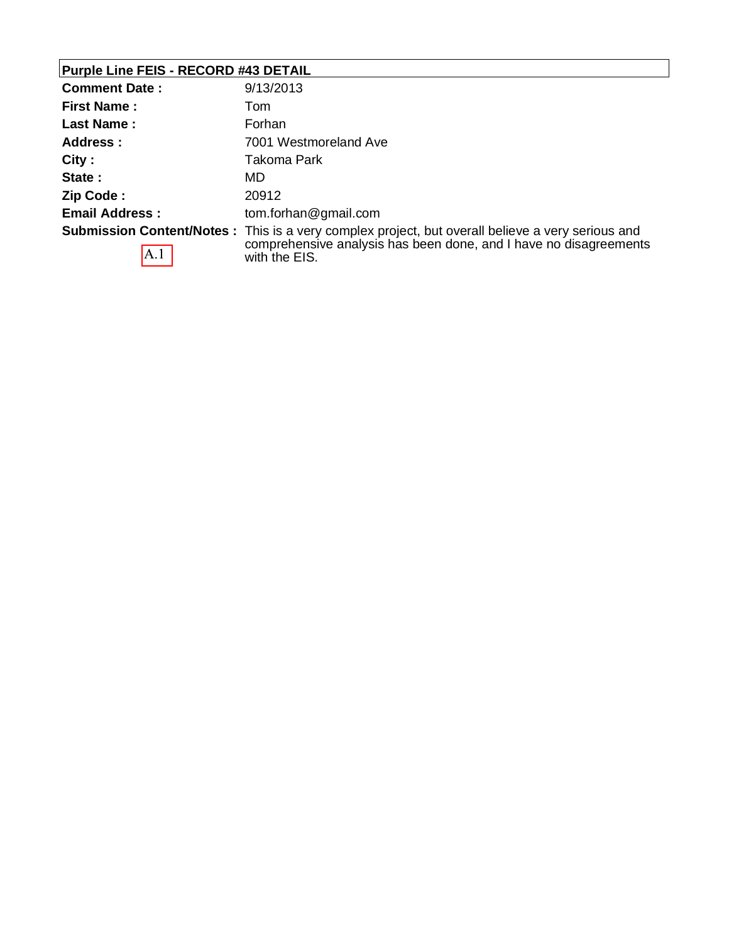# **Purple Line FEIS - RECORD #43 DETAIL**

| <b>Comment Date:</b>  | 9/13/2013                                                                                                                                                                              |
|-----------------------|----------------------------------------------------------------------------------------------------------------------------------------------------------------------------------------|
| <b>First Name:</b>    | Tom                                                                                                                                                                                    |
| Last Name:            | Forhan                                                                                                                                                                                 |
| Address:              | 7001 Westmoreland Ave                                                                                                                                                                  |
| City:                 | Takoma Park                                                                                                                                                                            |
| State:                | MD                                                                                                                                                                                     |
| Zip Code:             | 20912                                                                                                                                                                                  |
| <b>Email Address:</b> | tom.forhan@gmail.com                                                                                                                                                                   |
| A.1                   | Submission Content/Notes: This is a very complex project, but overall believe a very serious and<br>comprehensive analysis has been done, and I have no disagreements<br>with the EIS. |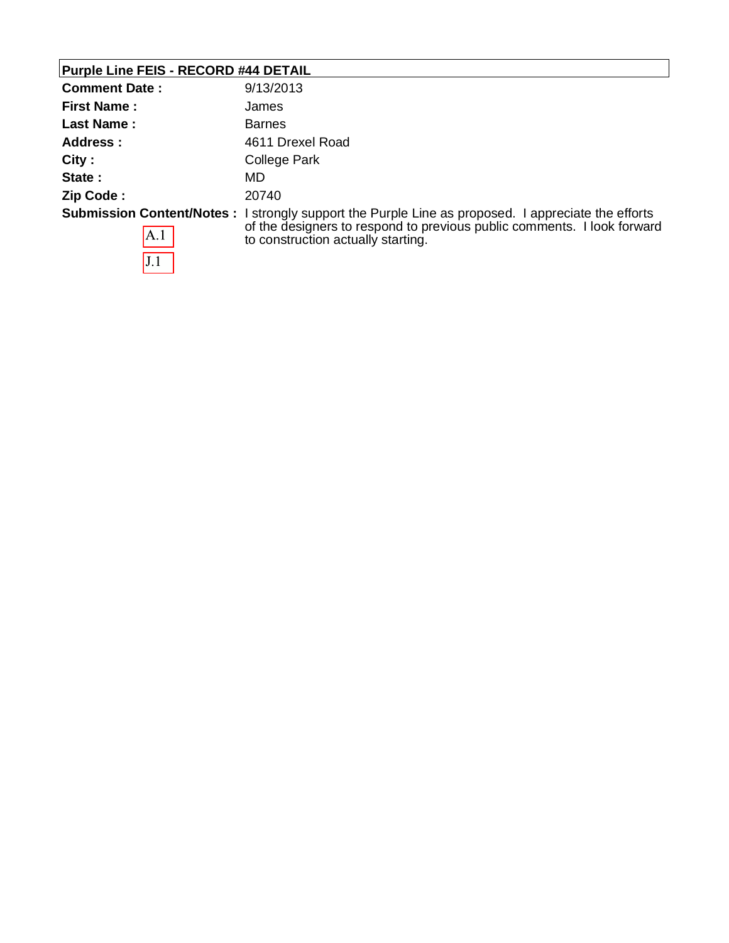# **Purple Line FEIS - RECORD #44 DETAIL**

| <b>Comment Date:</b> | 9/13/2013                                                                                                                                                                                                                  |
|----------------------|----------------------------------------------------------------------------------------------------------------------------------------------------------------------------------------------------------------------------|
| <b>First Name:</b>   | James                                                                                                                                                                                                                      |
| <b>Last Name:</b>    | <b>Barnes</b>                                                                                                                                                                                                              |
| Address :            | 4611 Drexel Road                                                                                                                                                                                                           |
| City:                | College Park                                                                                                                                                                                                               |
| State:               | MD                                                                                                                                                                                                                         |
| Zip Code:            | 20740                                                                                                                                                                                                                      |
| A.1                  | <b>Submission Content/Notes:</b> I strongly support the Purple Line as proposed. I appreciate the efforts<br>of the designers to respond to previous public comments. I look forward<br>to construction actually starting. |
| J.1                  |                                                                                                                                                                                                                            |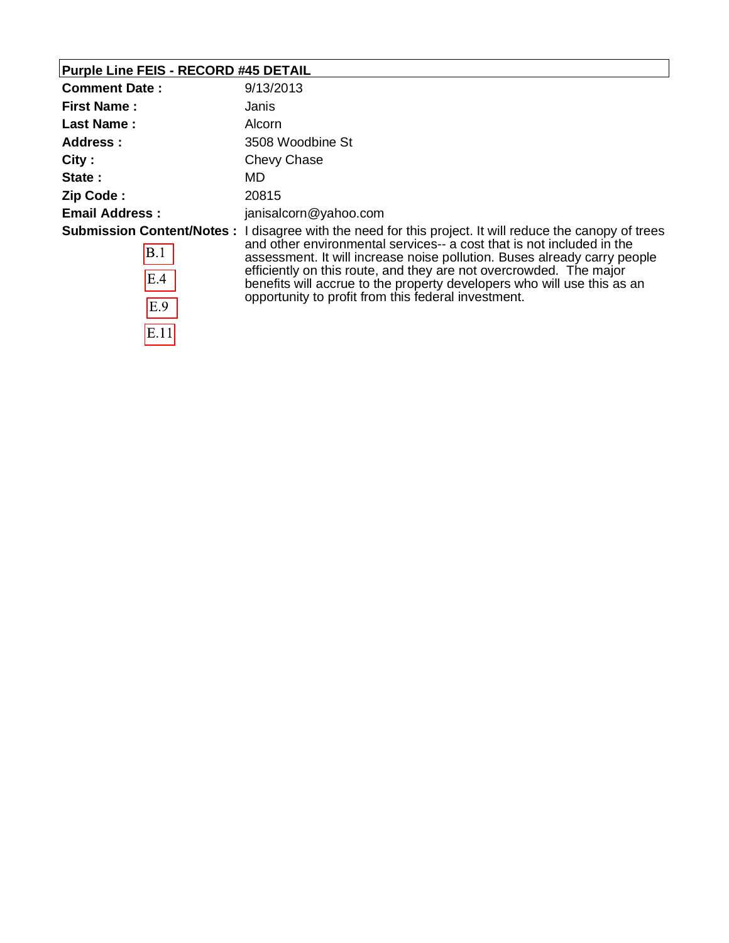# **Purple Line FEIS - RECORD #45 DETAIL**

 $\overline{E.11}$ 

| <b>Comment Date:</b>                                  | 9/13/2013                                                                                                                                                                                                                                                                                                                                                                                                                                  |
|-------------------------------------------------------|--------------------------------------------------------------------------------------------------------------------------------------------------------------------------------------------------------------------------------------------------------------------------------------------------------------------------------------------------------------------------------------------------------------------------------------------|
| <b>First Name:</b>                                    | Janis                                                                                                                                                                                                                                                                                                                                                                                                                                      |
| <b>Last Name:</b>                                     | Alcorn                                                                                                                                                                                                                                                                                                                                                                                                                                     |
| Address:                                              | 3508 Woodbine St                                                                                                                                                                                                                                                                                                                                                                                                                           |
| City:                                                 | Chevy Chase                                                                                                                                                                                                                                                                                                                                                                                                                                |
| State:                                                | MD                                                                                                                                                                                                                                                                                                                                                                                                                                         |
| Zip Code:                                             | 20815                                                                                                                                                                                                                                                                                                                                                                                                                                      |
| <b>Email Address:</b>                                 | janisalcorn@yahoo.com                                                                                                                                                                                                                                                                                                                                                                                                                      |
| <b>Submission Content/Notes:</b><br>B.1<br>E.4<br>E.9 | I disagree with the need for this project. It will reduce the canopy of trees<br>and other environmental services-- a cost that is not included in the<br>assessment. It will increase noise pollution. Buses already carry people<br>efficiently on this route, and they are not overcrowded. The major<br>benefits will accrue to the property developers who will use this as an<br>opportunity to profit from this federal investment. |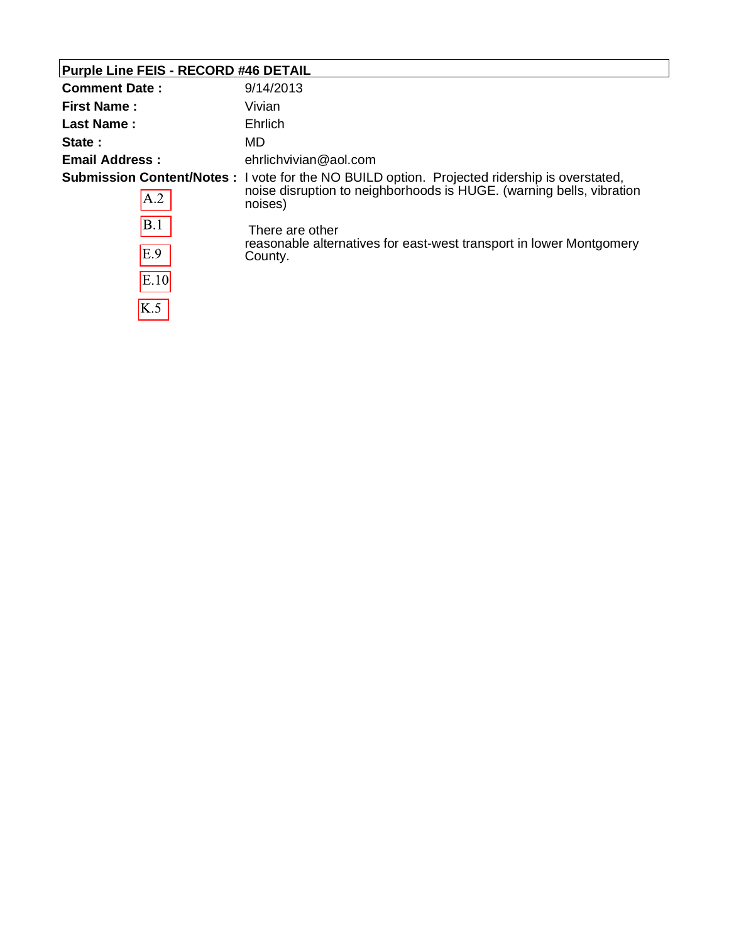### **Purple Line FEIS - RECORD #46 DETAIL**

 $K.5$ 

| <b>Comment Date:</b>      | 9/14/2013                                                                                                                                                                                                                                                                                    |
|---------------------------|----------------------------------------------------------------------------------------------------------------------------------------------------------------------------------------------------------------------------------------------------------------------------------------------|
| <b>First Name:</b>        | Vivian                                                                                                                                                                                                                                                                                       |
| Last Name:                | Ehrlich                                                                                                                                                                                                                                                                                      |
| State:                    | MD.                                                                                                                                                                                                                                                                                          |
| <b>Email Address:</b>     | ehrlichvivian@aol.com                                                                                                                                                                                                                                                                        |
| A.2<br>B.1<br>E.9<br>E.10 | <b>Submission Content/Notes :</b> I vote for the NO BUILD option. Projected ridership is overstated,<br>noise disruption to neighborhoods is HUGE. (warning bells, vibration<br>noises)<br>There are other<br>reasonable alternatives for east-west transport in lower Montgomery<br>County. |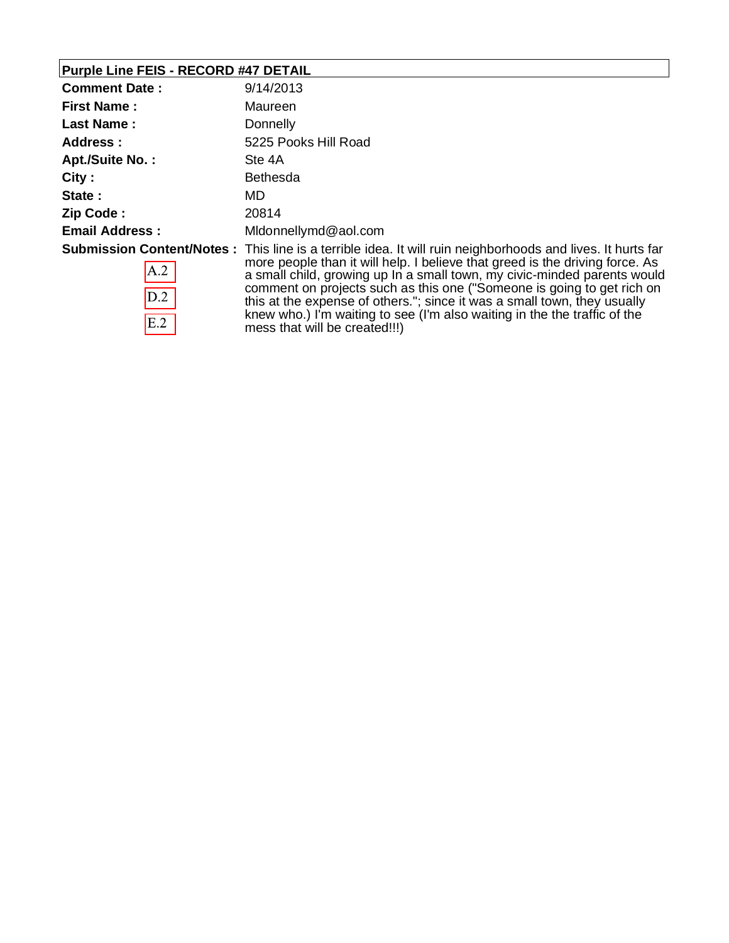# **Purple Line FEIS - RECORD #47 DETAIL**

 $E.2$ 

| <b>Comment Date:</b>   | 9/14/2013                                                                                                                                                                                                                                                                                                                                                                                                                            |
|------------------------|--------------------------------------------------------------------------------------------------------------------------------------------------------------------------------------------------------------------------------------------------------------------------------------------------------------------------------------------------------------------------------------------------------------------------------------|
| <b>First Name:</b>     | Maureen                                                                                                                                                                                                                                                                                                                                                                                                                              |
| Last Name:             | Donnelly                                                                                                                                                                                                                                                                                                                                                                                                                             |
| Address:               | 5225 Pooks Hill Road                                                                                                                                                                                                                                                                                                                                                                                                                 |
| <b>Apt./Suite No.:</b> | Ste 4A                                                                                                                                                                                                                                                                                                                                                                                                                               |
| City:                  | <b>Bethesda</b>                                                                                                                                                                                                                                                                                                                                                                                                                      |
| State:                 | MD.                                                                                                                                                                                                                                                                                                                                                                                                                                  |
| Zip Code:              | 20814                                                                                                                                                                                                                                                                                                                                                                                                                                |
| <b>Email Address:</b>  | Midonnellymd@aol.com                                                                                                                                                                                                                                                                                                                                                                                                                 |
| $\vert$ A.2<br>D.2     | <b>Submission Content/Notes</b> : This line is a terrible idea. It will ruin neighborhoods and lives. It hurts far<br>more people than it will help. I believe that greed is the driving force. As<br>a small child, growing up In a small town, my civic-minded parents would<br>comment on projects such as this one ("Someone is going to get rich on<br>this at the expense of others."; since it was a small town, they usually |

mess that will be created!!!)

knew who.) I'm waiting to see (I'm also waiting in the the traffic of the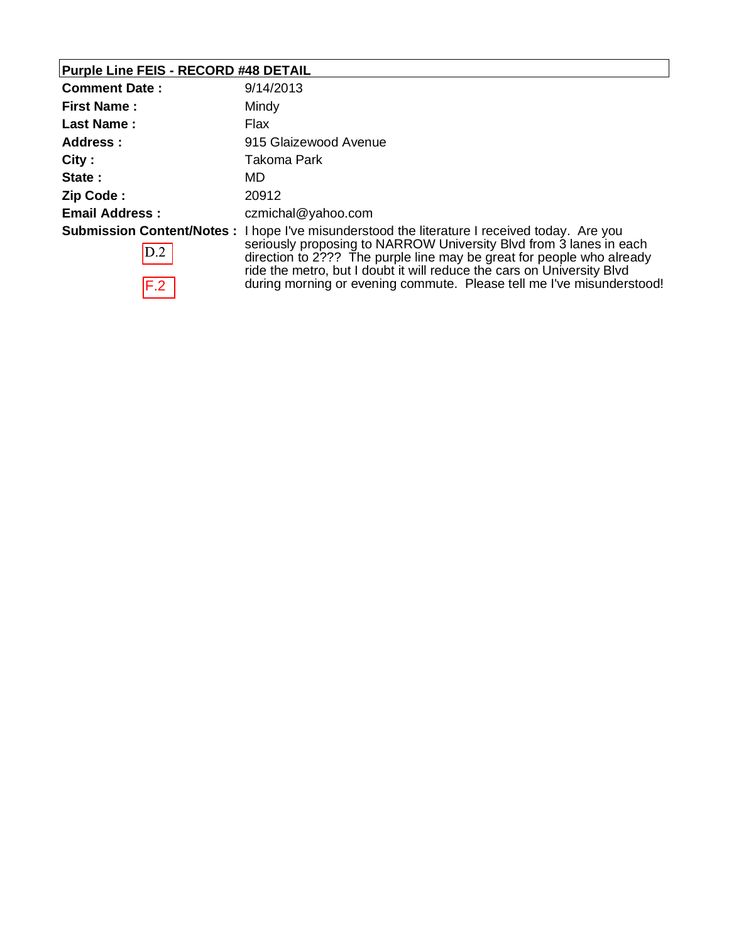# **Purple Line FEIS - RECORD #48 DETAIL**

| <b>Comment Date:</b>  | 9/14/2013                                                                                                                                                                                                                                                                                                                                                                                             |
|-----------------------|-------------------------------------------------------------------------------------------------------------------------------------------------------------------------------------------------------------------------------------------------------------------------------------------------------------------------------------------------------------------------------------------------------|
| <b>First Name:</b>    | Mindy                                                                                                                                                                                                                                                                                                                                                                                                 |
| <b>Last Name:</b>     | Flax                                                                                                                                                                                                                                                                                                                                                                                                  |
| Address:              | 915 Glaizewood Avenue                                                                                                                                                                                                                                                                                                                                                                                 |
| City:                 | Takoma Park                                                                                                                                                                                                                                                                                                                                                                                           |
| State:                | MD                                                                                                                                                                                                                                                                                                                                                                                                    |
| Zip Code:             | 20912                                                                                                                                                                                                                                                                                                                                                                                                 |
| <b>Email Address:</b> | czmichal@yahoo.com                                                                                                                                                                                                                                                                                                                                                                                    |
| D.2<br>F.2            | <b>Submission Content/Notes:</b> I hope I've misunderstood the literature I received today. Are you<br>seriously proposing to NARROW University Blvd from 3 lanes in each<br>direction to 2??? The purple line may be great for people who already<br>ride the metro, but I doubt it will reduce the cars on University Blvd<br>during morning or evening commute. Please tell me I've misunderstood! |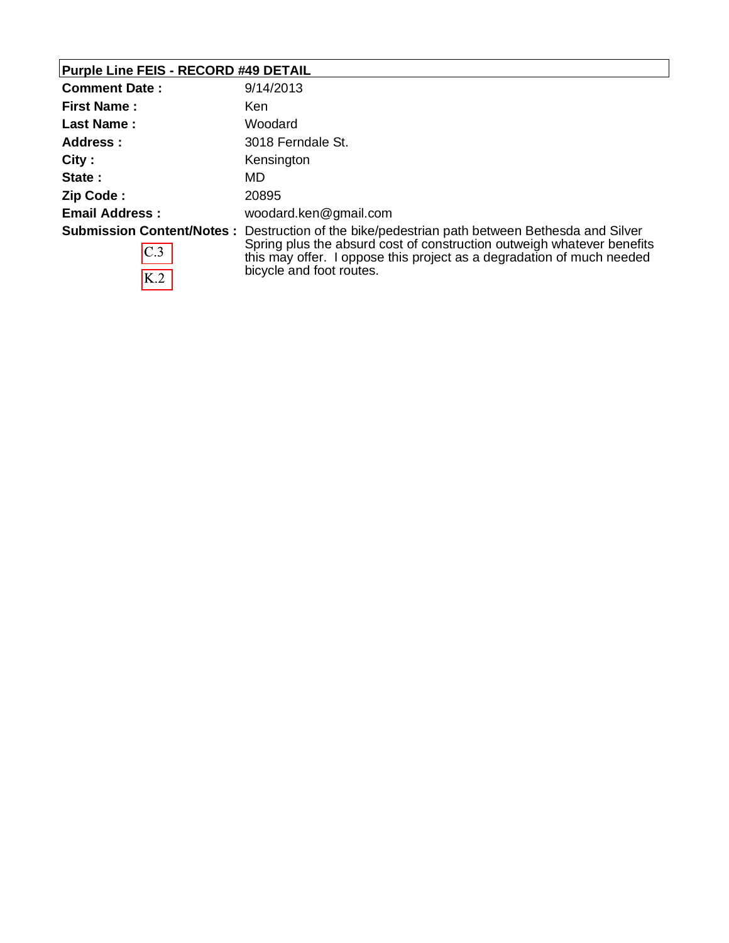# **Purple Line FEIS - RECORD #49 DETAIL**

| <b>Comment Date:</b>  | 9/14/2013                                                                                                                                                                                                                                                                    |
|-----------------------|------------------------------------------------------------------------------------------------------------------------------------------------------------------------------------------------------------------------------------------------------------------------------|
| <b>First Name:</b>    | Ken                                                                                                                                                                                                                                                                          |
| Last Name:            | Woodard                                                                                                                                                                                                                                                                      |
| Address:              | 3018 Ferndale St.                                                                                                                                                                                                                                                            |
| City:                 | Kensington                                                                                                                                                                                                                                                                   |
| State:                | MD.                                                                                                                                                                                                                                                                          |
| Zip Code:             | 20895                                                                                                                                                                                                                                                                        |
| <b>Email Address:</b> | woodard.ken@gmail.com                                                                                                                                                                                                                                                        |
| C.3<br>K.2            | Submission Content/Notes: Destruction of the bike/pedestrian path between Bethesda and Silver<br>Spring plus the absurd cost of construction outweigh whatever benefits<br>this may offer. I oppose this project as a degradation of much needed<br>bicycle and foot routes. |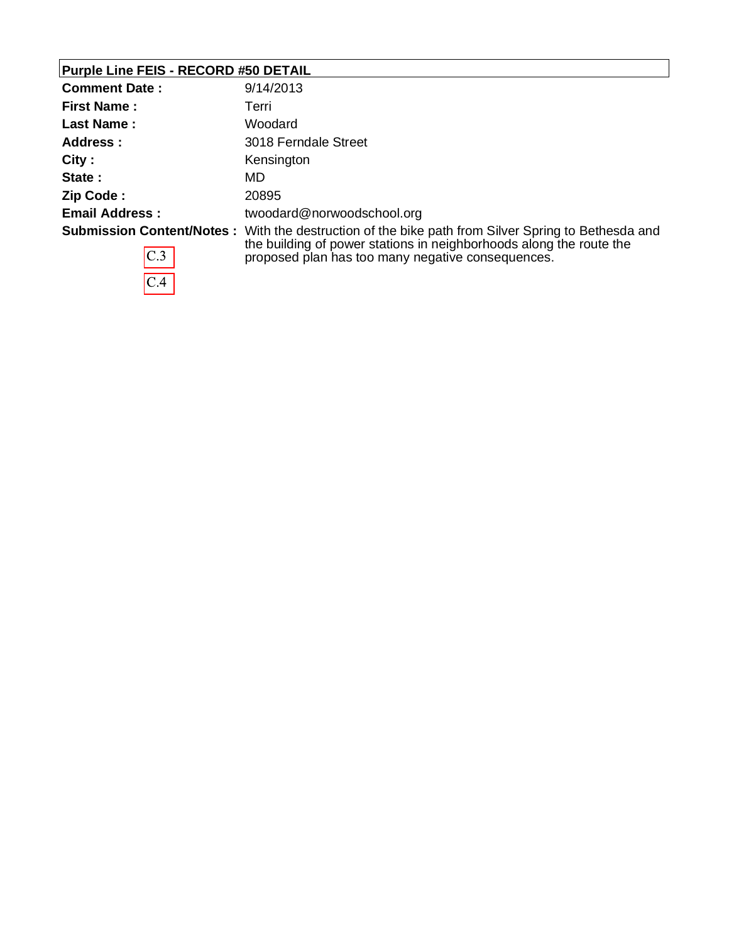# **Purple Line FEIS - RECORD #50 DETAIL**

 $\overline{C.4}$ 

| <b>Comment Date:</b>  | 9/14/2013                                                                                                                                                                                                                             |
|-----------------------|---------------------------------------------------------------------------------------------------------------------------------------------------------------------------------------------------------------------------------------|
| <b>First Name:</b>    | Terri                                                                                                                                                                                                                                 |
| <b>Last Name:</b>     | Woodard                                                                                                                                                                                                                               |
| Address:              | 3018 Ferndale Street                                                                                                                                                                                                                  |
| City:                 | Kensington                                                                                                                                                                                                                            |
| State:                | MD.                                                                                                                                                                                                                                   |
| Zip Code:             | 20895                                                                                                                                                                                                                                 |
| <b>Email Address:</b> | twoodard@norwoodschool.org                                                                                                                                                                                                            |
| C.3                   | <b>Submission Content/Notes:</b> With the destruction of the bike path from Silver Spring to Bethesda and<br>the building of power stations in neighborhoods along the route the<br>proposed plan has too many negative consequences. |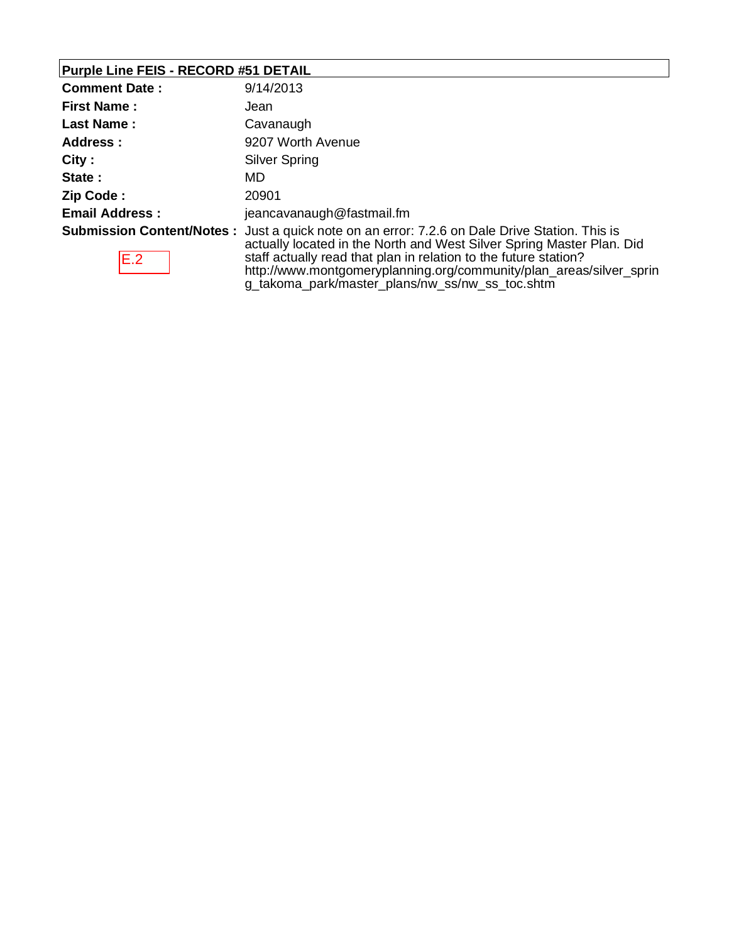### **Purple Line FEIS - RECORD #51 DETAIL**

| <b>Comment Date:</b>  | 9/14/2013                                                                                                                                                                                                                                                                                                                |
|-----------------------|--------------------------------------------------------------------------------------------------------------------------------------------------------------------------------------------------------------------------------------------------------------------------------------------------------------------------|
| <b>First Name:</b>    | Jean                                                                                                                                                                                                                                                                                                                     |
| <b>Last Name:</b>     | Cavanaugh                                                                                                                                                                                                                                                                                                                |
| Address :             | 9207 Worth Avenue                                                                                                                                                                                                                                                                                                        |
| City:                 | <b>Silver Spring</b>                                                                                                                                                                                                                                                                                                     |
| State:                | MD                                                                                                                                                                                                                                                                                                                       |
| Zip Code:             | 20901                                                                                                                                                                                                                                                                                                                    |
| <b>Email Address:</b> | jeancavanaugh@fastmail.fm                                                                                                                                                                                                                                                                                                |
| E.2                   | <b>Submission Content/Notes:</b> Just a quick note on an error: 7.2.6 on Dale Drive Station. This is<br>actually located in the North and West Silver Spring Master Plan. Did<br>staff actually read that plan in relation to the future station?<br>http://www.montgomeryplanning.org/community/plan_areas/silver_sprin |

g\_takoma\_park/master\_plans/nw\_ss/nw\_ss\_toc.shtm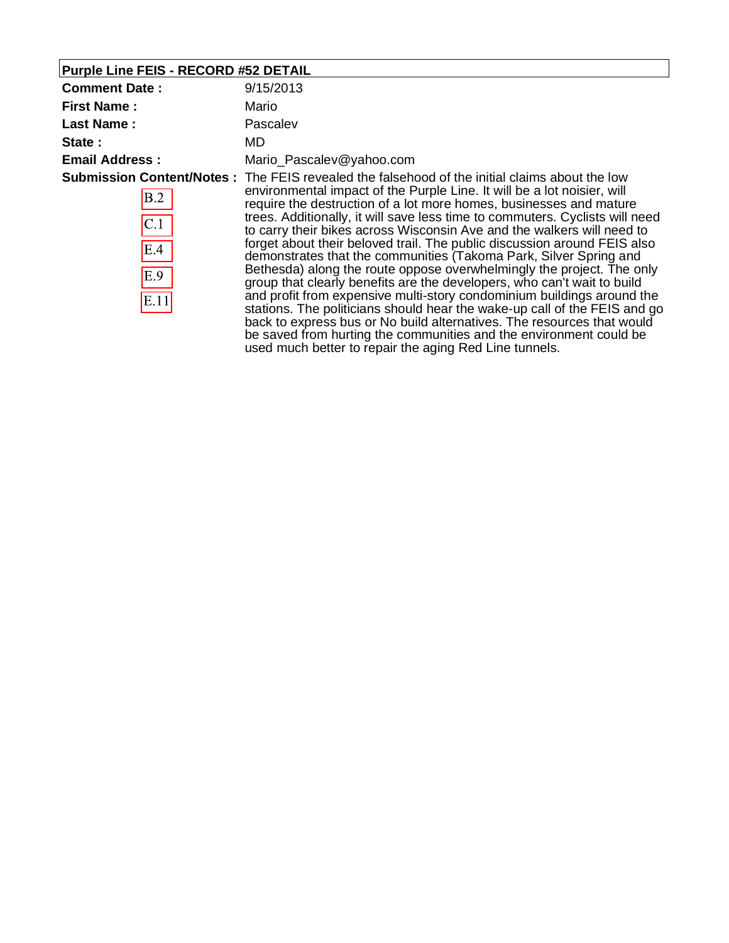# **Purple Line FEIS - RECORD #52 DETAIL**

| <b>Comment Date:</b>             | 9/15/2013                                                                                                                                                                                                                                                                                                                                                                                                                                                                                                                                                                                                                                                                                                                                                                                                                                                                                                                                                                                                                                                                             |
|----------------------------------|---------------------------------------------------------------------------------------------------------------------------------------------------------------------------------------------------------------------------------------------------------------------------------------------------------------------------------------------------------------------------------------------------------------------------------------------------------------------------------------------------------------------------------------------------------------------------------------------------------------------------------------------------------------------------------------------------------------------------------------------------------------------------------------------------------------------------------------------------------------------------------------------------------------------------------------------------------------------------------------------------------------------------------------------------------------------------------------|
| <b>First Name:</b>               | Mario                                                                                                                                                                                                                                                                                                                                                                                                                                                                                                                                                                                                                                                                                                                                                                                                                                                                                                                                                                                                                                                                                 |
| <b>Last Name:</b>                | Pascalev                                                                                                                                                                                                                                                                                                                                                                                                                                                                                                                                                                                                                                                                                                                                                                                                                                                                                                                                                                                                                                                                              |
| State:                           | MD                                                                                                                                                                                                                                                                                                                                                                                                                                                                                                                                                                                                                                                                                                                                                                                                                                                                                                                                                                                                                                                                                    |
| <b>Email Address:</b>            | Mario_Pascalev@yahoo.com                                                                                                                                                                                                                                                                                                                                                                                                                                                                                                                                                                                                                                                                                                                                                                                                                                                                                                                                                                                                                                                              |
| B.2<br>C.1<br>E.4<br>E.9<br>E.11 | <b>Submission Content/Notes:</b> The FEIS revealed the falsehood of the initial claims about the low<br>environmental impact of the Purple Line. It will be a lot noisier, will<br>require the destruction of a lot more homes, businesses and mature<br>trees. Additionally, it will save less time to commuters. Cyclists will need<br>to carry their bikes across Wisconsin Ave and the walkers will need to<br>forget about their beloved trail. The public discussion around FEIS also<br>demonstrates that the communities (Takoma Park, Silver Spring and<br>Bethesda) along the route oppose overwhelmingly the project. The only<br>group that clearly benefits are the developers, who can't wait to build<br>and profit from expensive multi-story condominium buildings around the<br>stations. The politicians should hear the wake-up call of the FEIS and go<br>back to express bus or No build alternatives. The resources that would<br>be saved from hurting the communities and the environment could be<br>used much better to repair the aging Red Line tunnels. |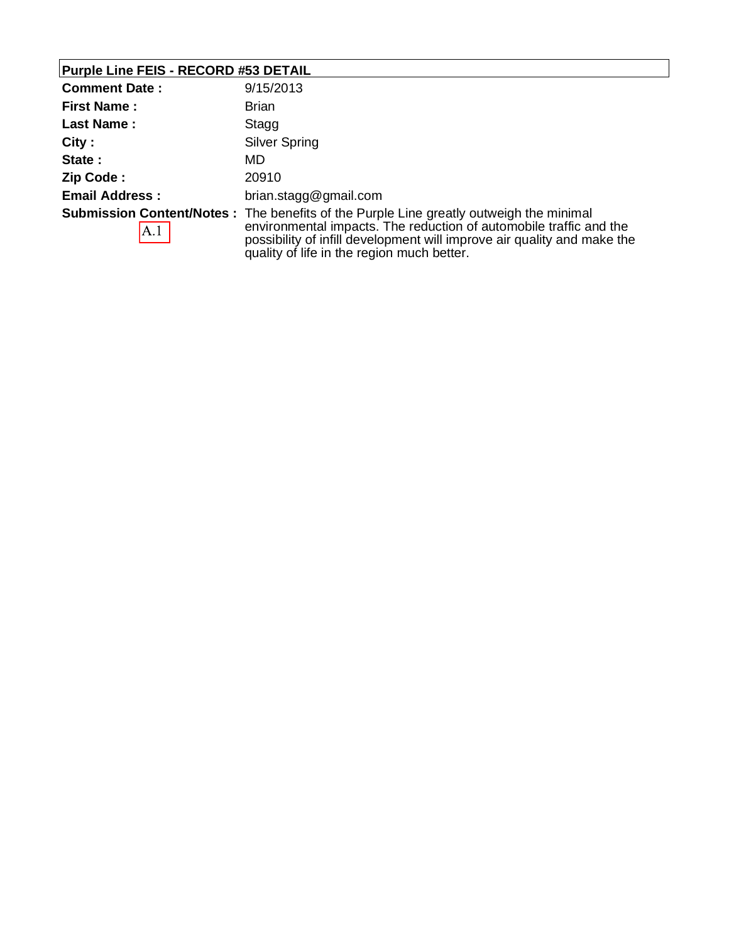### **Purple Line FEIS - RECORD #53 DETAIL**

| <b>Comment Date:</b>  | 9/15/2013                                                                                                                                                                                                                                                                                     |
|-----------------------|-----------------------------------------------------------------------------------------------------------------------------------------------------------------------------------------------------------------------------------------------------------------------------------------------|
| <b>First Name:</b>    | <b>Brian</b>                                                                                                                                                                                                                                                                                  |
| <b>Last Name:</b>     | Stagg                                                                                                                                                                                                                                                                                         |
| City:                 | Silver Spring                                                                                                                                                                                                                                                                                 |
| State:                | MD                                                                                                                                                                                                                                                                                            |
| Zip Code:             | 20910                                                                                                                                                                                                                                                                                         |
| <b>Email Address:</b> | brian.stagg@gmail.com                                                                                                                                                                                                                                                                         |
| A.1                   | <b>Submission Content/Notes</b> : The benefits of the Purple Line greatly outweigh the minimal<br>environmental impacts. The reduction of automobile traffic and the<br>possibility of infill development will improve air quality and make the<br>quality of life in the region much better. |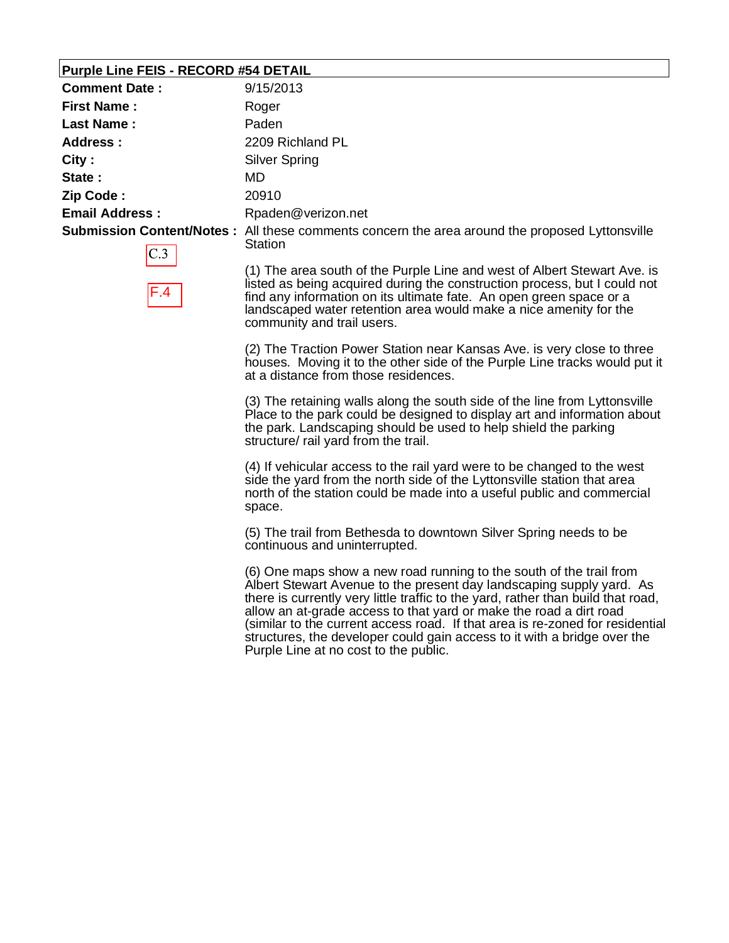#### **Purple Line FEIS - RECORD #54 DETAIL**

| <b>Comment Date:</b>                       | 9/15/2013                                                                                                         |
|--------------------------------------------|-------------------------------------------------------------------------------------------------------------------|
| <b>First Name:</b>                         | Roger                                                                                                             |
| Last Name:                                 | Paden                                                                                                             |
| Address :                                  | 2209 Richland PL                                                                                                  |
| City:                                      | Silver Spring                                                                                                     |
| State:                                     | MD                                                                                                                |
| Zip Code:                                  | 20910                                                                                                             |
| <b>Email Address:</b>                      | Rpaden@verizon.net                                                                                                |
| <b>Contract Contract Contract Contract</b> | <b>Submission Content/Notes</b> : All these comments concern the area around the proposed Lyttonsville<br>Station |

(1) The area south of the Purple Line and west of Albert Stewart Ave. is listed as being acquired during the construction process, but I could not find any information on its ultimate fate. An open green space or a landscaped water retention area would make a nice amenity for the community and trail users.

(2) The Traction Power Station near Kansas Ave. is very close to three houses. Moving it to the other side of the Purple Line tracks would put it at a distance from those residences.

(3) The retaining walls along the south side of the line from Lyttonsville Place to the park could be designed to display art and information about the park. Landscaping should be used to help shield the parking structure/ rail yard from the trail.

(4) If vehicular access to the rail yard were to be changed to the west side the yard from the north side of the Lyttonsville station that area north of the station could be made into a useful public and commercial space.

(5) The trail from Bethesda to downtown Silver Spring needs to be continuous and uninterrupted.

(6) One maps show a new road running to the south of the trail from Albert Stewart Avenue to the present day landscaping supply yard. As there is currently very little traffic to the yard, rather than build that road, allow an at-grade access to that yard or make the road a dirt road (similar to the current access road. If that area is re-zoned for residential structures, the developer could gain access to it with a bridge over the Purple Line at no cost to the public.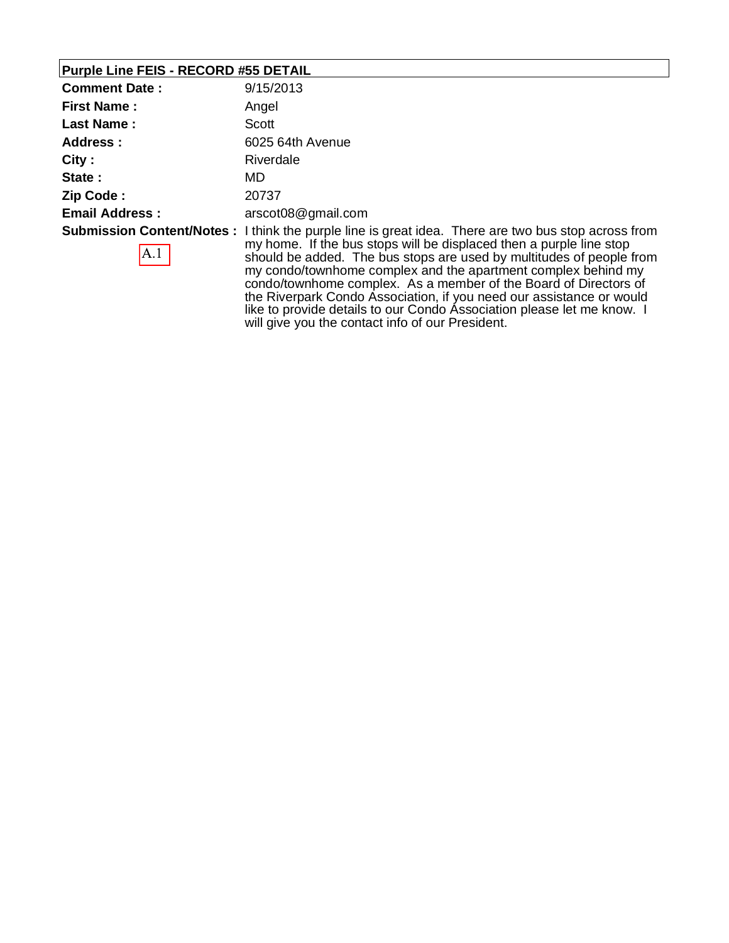#### **Purple Line FEIS - RECORD #55 DETAIL**

| <b>Comment Date:</b>  | 9/15/2013                                                                                                                                                                                                                                                                                                                                                                |
|-----------------------|--------------------------------------------------------------------------------------------------------------------------------------------------------------------------------------------------------------------------------------------------------------------------------------------------------------------------------------------------------------------------|
| <b>First Name:</b>    | Angel                                                                                                                                                                                                                                                                                                                                                                    |
| Last Name:            | Scott                                                                                                                                                                                                                                                                                                                                                                    |
| Address :             | 6025 64th Avenue                                                                                                                                                                                                                                                                                                                                                         |
| City:                 | Riverdale                                                                                                                                                                                                                                                                                                                                                                |
| State:                | MD.                                                                                                                                                                                                                                                                                                                                                                      |
| Zip Code:             | 20737                                                                                                                                                                                                                                                                                                                                                                    |
| <b>Email Address:</b> | arscot08@gmail.com                                                                                                                                                                                                                                                                                                                                                       |
| $\mathbf{A}.1$        | <b>Submission Content/Notes</b> : I think the purple line is great idea. There are two bus stop across from<br>my home. If the bus stops will be displaced then a purple line stop<br>should be added. The bus stops are used by multitudes of people from<br>النمعر امتعارها مالينه العرمون متراقيه معاشره ومتعرضها الرعرف المتعرفات والمتعرف والعربية المام والمتحربية |

my condo/townhome complex and the apartment complex behind my condo/townhome complex. As a member of the Board of Directors of the Riverpark Condo Association, if you need our assistance or would like to provide details to our Condo Association please let me know. I will give you the contact info of our President.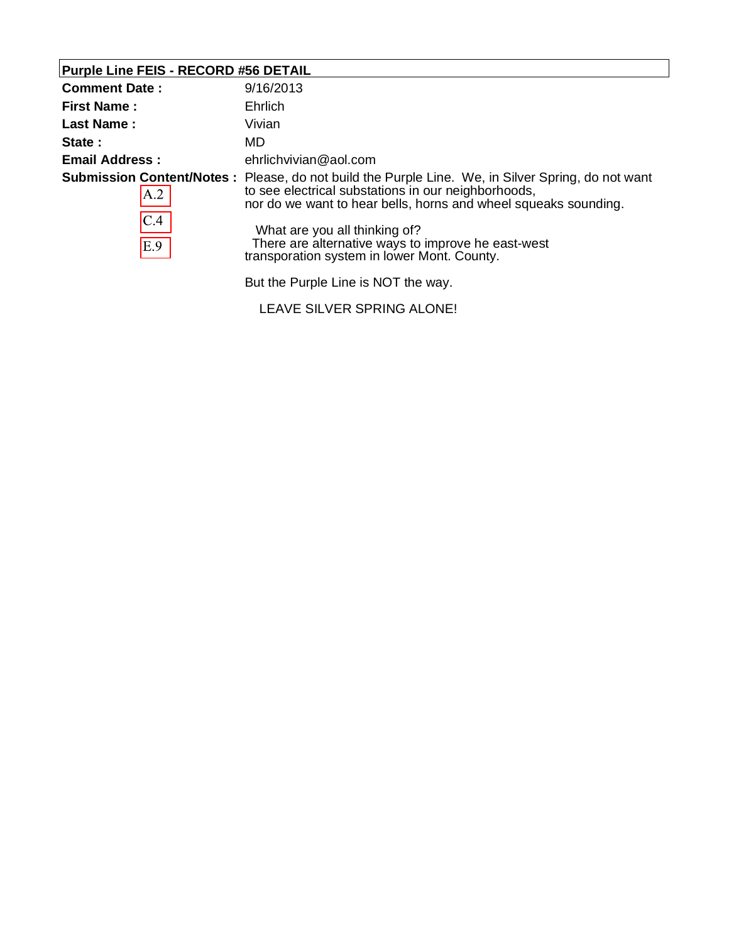### **Purple Line FEIS - RECORD #56 DETAIL**

| <b>Comment Date:</b>  | 9/16/2013                                                                                                                                                                                                                                                                                                                                                                 |
|-----------------------|---------------------------------------------------------------------------------------------------------------------------------------------------------------------------------------------------------------------------------------------------------------------------------------------------------------------------------------------------------------------------|
| <b>First Name:</b>    | Ehrlich                                                                                                                                                                                                                                                                                                                                                                   |
| Last Name:            | Vivian                                                                                                                                                                                                                                                                                                                                                                    |
| State:                | MD.                                                                                                                                                                                                                                                                                                                                                                       |
| <b>Email Address:</b> | ehrlichvivian@aol.com                                                                                                                                                                                                                                                                                                                                                     |
| A.2<br>C.4<br>E.9     | <b>Submission Content/Notes</b> : Please, do not build the Purple Line. We, in Silver Spring, do not want<br>to see electrical substations in our neighborhoods,<br>nor do we want to hear bells, horns and wheel squeaks sounding.<br>What are you all thinking of?<br>There are alternative ways to improve he east-west<br>transporation system in lower Mont. County. |
|                       | But the Purple Line is NOT the way.                                                                                                                                                                                                                                                                                                                                       |

LEAVE SILVER SPRING ALONE!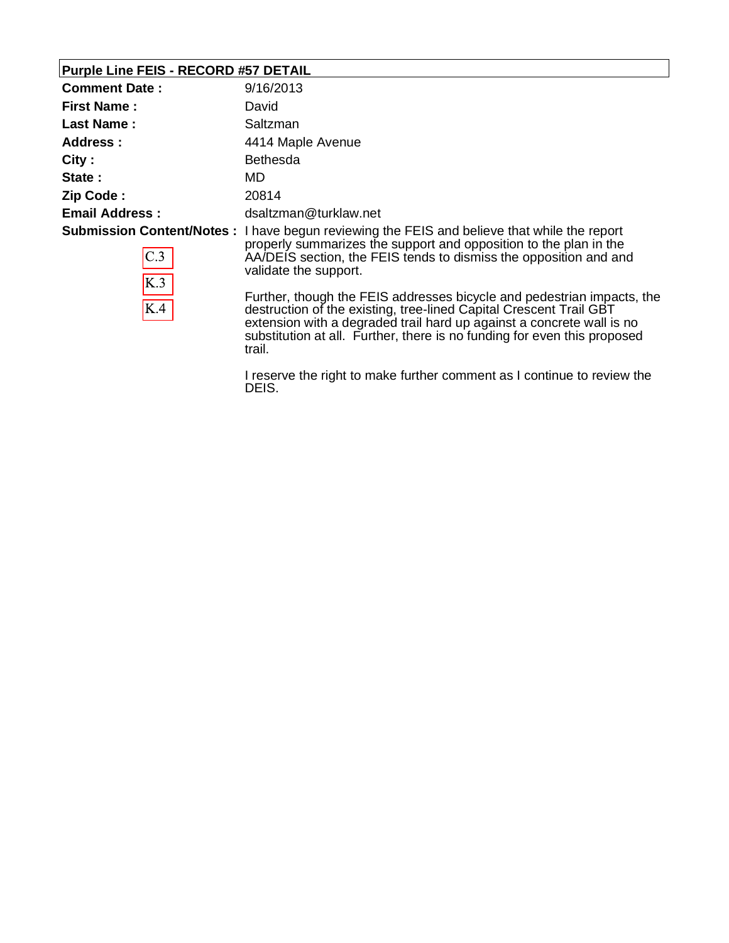#### **Purple Line FEIS - RECORD #57 DETAIL**

| <b>Comment Date:</b>  | 9/16/2013                                                                                                                                                                                                                                                              |
|-----------------------|------------------------------------------------------------------------------------------------------------------------------------------------------------------------------------------------------------------------------------------------------------------------|
| <b>First Name:</b>    | David                                                                                                                                                                                                                                                                  |
| <b>Last Name:</b>     | Saltzman                                                                                                                                                                                                                                                               |
| Address:              | 4414 Maple Avenue                                                                                                                                                                                                                                                      |
| City:                 | <b>Bethesda</b>                                                                                                                                                                                                                                                        |
| State:                | MD.                                                                                                                                                                                                                                                                    |
| Zip Code:             | 20814                                                                                                                                                                                                                                                                  |
| <b>Email Address:</b> | dsaltzman@turklaw.net                                                                                                                                                                                                                                                  |
| C.3<br>K.3            | <b>Submission Content/Notes</b> : I have begun reviewing the FEIS and believe that while the report<br>properly summarizes the support and opposition to the plan in the<br>AA/DEIS section, the FEIS tends to dismiss the opposition and and<br>validate the support. |
| K.4                   | Further, though the FEIS addresses bicycle and pedestrian impacts, the<br>destruction of the existing, tree-lined Capital Crescent Trail GBT<br>extension with a degraded trail hard up against a concrete wall is no                                                  |

trail. I reserve the right to make further comment as I continue to review the DEIS.

substitution at all. Further, there is no funding for even this proposed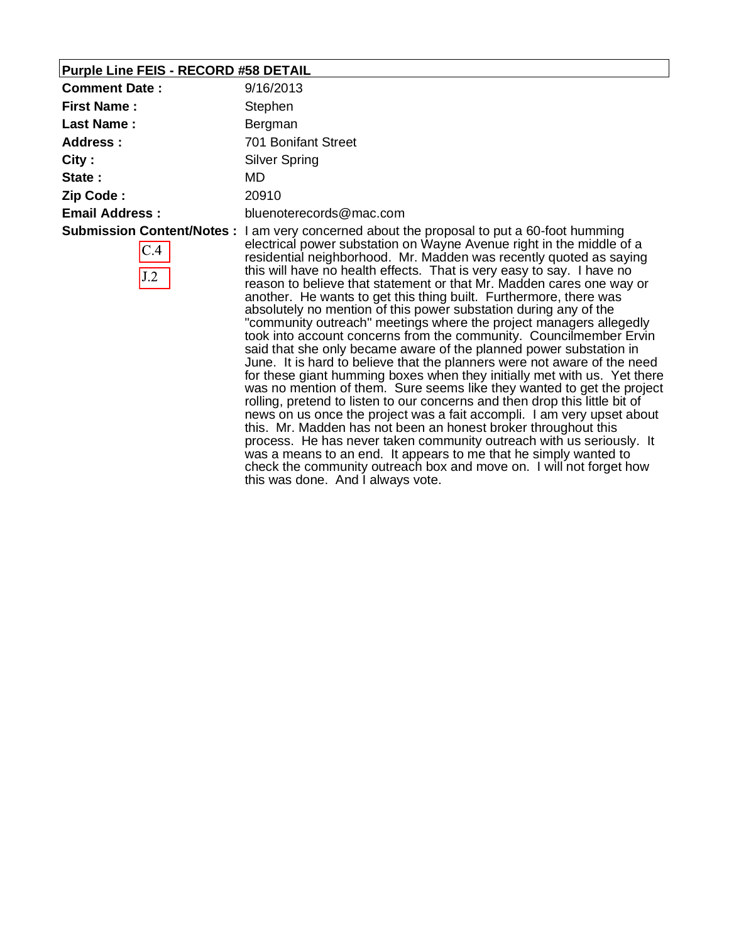## **Purple Line FEIS - RECORD #58 DETAIL**

| <b>Comment Date:</b>  | 9/16/2013                                                                                                                                                                                                                                                                                                                                                                                                                                                                                                                                                                                                                                                                                                                                                                                                                                                                                                                                                                                                                                                                                                                                                                                                                                                                                                                                                                                                                                                                       |
|-----------------------|---------------------------------------------------------------------------------------------------------------------------------------------------------------------------------------------------------------------------------------------------------------------------------------------------------------------------------------------------------------------------------------------------------------------------------------------------------------------------------------------------------------------------------------------------------------------------------------------------------------------------------------------------------------------------------------------------------------------------------------------------------------------------------------------------------------------------------------------------------------------------------------------------------------------------------------------------------------------------------------------------------------------------------------------------------------------------------------------------------------------------------------------------------------------------------------------------------------------------------------------------------------------------------------------------------------------------------------------------------------------------------------------------------------------------------------------------------------------------------|
| <b>First Name:</b>    | Stephen                                                                                                                                                                                                                                                                                                                                                                                                                                                                                                                                                                                                                                                                                                                                                                                                                                                                                                                                                                                                                                                                                                                                                                                                                                                                                                                                                                                                                                                                         |
| <b>Last Name:</b>     | Bergman                                                                                                                                                                                                                                                                                                                                                                                                                                                                                                                                                                                                                                                                                                                                                                                                                                                                                                                                                                                                                                                                                                                                                                                                                                                                                                                                                                                                                                                                         |
| Address:              | 701 Bonifant Street                                                                                                                                                                                                                                                                                                                                                                                                                                                                                                                                                                                                                                                                                                                                                                                                                                                                                                                                                                                                                                                                                                                                                                                                                                                                                                                                                                                                                                                             |
| City:                 | <b>Silver Spring</b>                                                                                                                                                                                                                                                                                                                                                                                                                                                                                                                                                                                                                                                                                                                                                                                                                                                                                                                                                                                                                                                                                                                                                                                                                                                                                                                                                                                                                                                            |
| State:                | MD                                                                                                                                                                                                                                                                                                                                                                                                                                                                                                                                                                                                                                                                                                                                                                                                                                                                                                                                                                                                                                                                                                                                                                                                                                                                                                                                                                                                                                                                              |
| Zip Code:             | 20910                                                                                                                                                                                                                                                                                                                                                                                                                                                                                                                                                                                                                                                                                                                                                                                                                                                                                                                                                                                                                                                                                                                                                                                                                                                                                                                                                                                                                                                                           |
| <b>Email Address:</b> | bluenoterecords@mac.com                                                                                                                                                                                                                                                                                                                                                                                                                                                                                                                                                                                                                                                                                                                                                                                                                                                                                                                                                                                                                                                                                                                                                                                                                                                                                                                                                                                                                                                         |
| C.4<br>J.2            | <b>Submission Content/Notes:</b> I am very concerned about the proposal to put a 60-foot humming<br>electrical power substation on Wayne Avenue right in the middle of a<br>residential neighborhood. Mr. Madden was recently quoted as saying<br>this will have no health effects. That is very easy to say. I have no<br>reason to believe that statement or that Mr. Madden cares one way or<br>another. He wants to get this thing built. Furthermore, there was<br>absolutely no mention of this power substation during any of the<br>"community outreach" meetings where the project managers allegedly<br>took into account concerns from the community. Councilmember Ervin<br>said that she only became aware of the planned power substation in<br>June. It is hard to believe that the planners were not aware of the need<br>for these giant humming boxes when they initially met with us. Yet there<br>was no mention of them. Sure seems like they wanted to get the project<br>rolling, pretend to listen to our concerns and then drop this little bit of<br>news on us once the project was a fait accompli. I am very upset about<br>this. Mr. Madden has not been an honest broker throughout this<br>process. He has never taken community outreach with us seriously. It<br>was a means to an end. It appears to me that he simply wanted to<br>check the community outreach box and move on. I will not forget how<br>this was done. And I always vote. |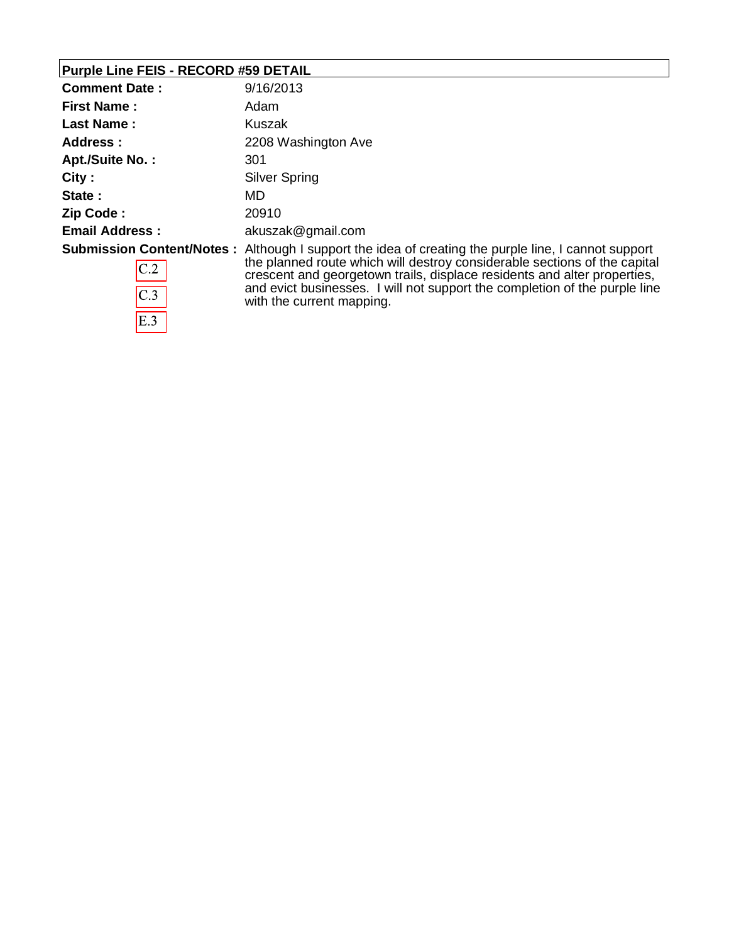# **Purple Line FEIS - RECORD #59 DETAIL**

| <b>Comment Date:</b>                           | 9/16/2013                                                                                                                                                                                                                                                                                                                                     |
|------------------------------------------------|-----------------------------------------------------------------------------------------------------------------------------------------------------------------------------------------------------------------------------------------------------------------------------------------------------------------------------------------------|
| <b>First Name:</b>                             | Adam                                                                                                                                                                                                                                                                                                                                          |
| <b>Last Name:</b>                              | Kuszak                                                                                                                                                                                                                                                                                                                                        |
| Address:                                       | 2208 Washington Ave                                                                                                                                                                                                                                                                                                                           |
| Apt./Suite No.:                                | 301                                                                                                                                                                                                                                                                                                                                           |
| City:                                          | Silver Spring                                                                                                                                                                                                                                                                                                                                 |
| State:                                         | MD                                                                                                                                                                                                                                                                                                                                            |
| Zip Code:                                      | 20910                                                                                                                                                                                                                                                                                                                                         |
| <b>Email Address:</b>                          | akuszak@gmail.com                                                                                                                                                                                                                                                                                                                             |
| <b>Submission Content/Notes:</b><br>C.2<br>C.3 | Although I support the idea of creating the purple line, I cannot support<br>the planned route which will destroy considerable sections of the capital<br>crescent and georgetown trails, displace residents and alter properties,<br>and evict businesses. I will not support the completion of the purple line<br>with the current mapping. |
| E.3                                            |                                                                                                                                                                                                                                                                                                                                               |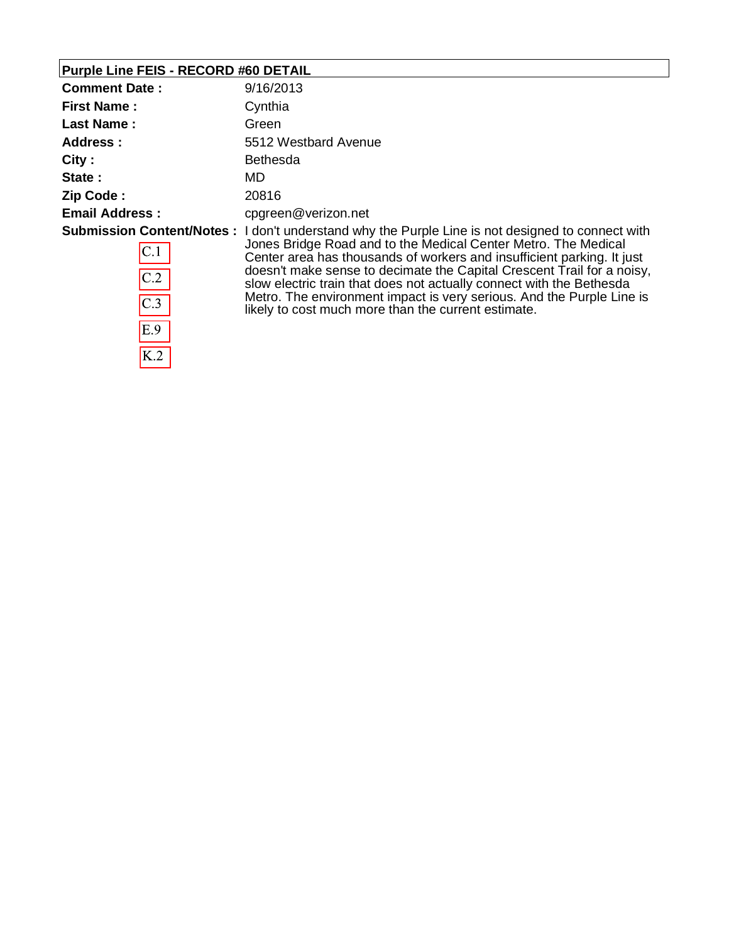# **Purple Line FEIS - RECORD #60 DETAIL**

 $E.9$ 

 $\overline{K.2}$ 

| <b>Comment Date:</b>  | 9/16/2013                                                                                                                                                                                                                                                                                                                                                                                                                                                                                                                             |
|-----------------------|---------------------------------------------------------------------------------------------------------------------------------------------------------------------------------------------------------------------------------------------------------------------------------------------------------------------------------------------------------------------------------------------------------------------------------------------------------------------------------------------------------------------------------------|
| <b>First Name:</b>    | Cynthia                                                                                                                                                                                                                                                                                                                                                                                                                                                                                                                               |
| <b>Last Name:</b>     | Green                                                                                                                                                                                                                                                                                                                                                                                                                                                                                                                                 |
| Address:              | 5512 Westbard Avenue                                                                                                                                                                                                                                                                                                                                                                                                                                                                                                                  |
| City:                 | <b>Bethesda</b>                                                                                                                                                                                                                                                                                                                                                                                                                                                                                                                       |
| State:                | MD                                                                                                                                                                                                                                                                                                                                                                                                                                                                                                                                    |
| Zip Code:             | 20816                                                                                                                                                                                                                                                                                                                                                                                                                                                                                                                                 |
| <b>Email Address:</b> | cpgreen@verizon.net                                                                                                                                                                                                                                                                                                                                                                                                                                                                                                                   |
| C.1<br>C.2<br>C.3     | <b>Submission Content/Notes:</b> I don't understand why the Purple Line is not designed to connect with<br>Jones Bridge Road and to the Medical Center Metro. The Medical<br>Center area has thousands of workers and insufficient parking. It just<br>doesn't make sense to decimate the Capital Crescent Trail for a noisy,<br>slow electric train that does not actually connect with the Bethesda<br>Metro. The environment impact is very serious. And the Purple Line is<br>likely to cost much more than the current estimate. |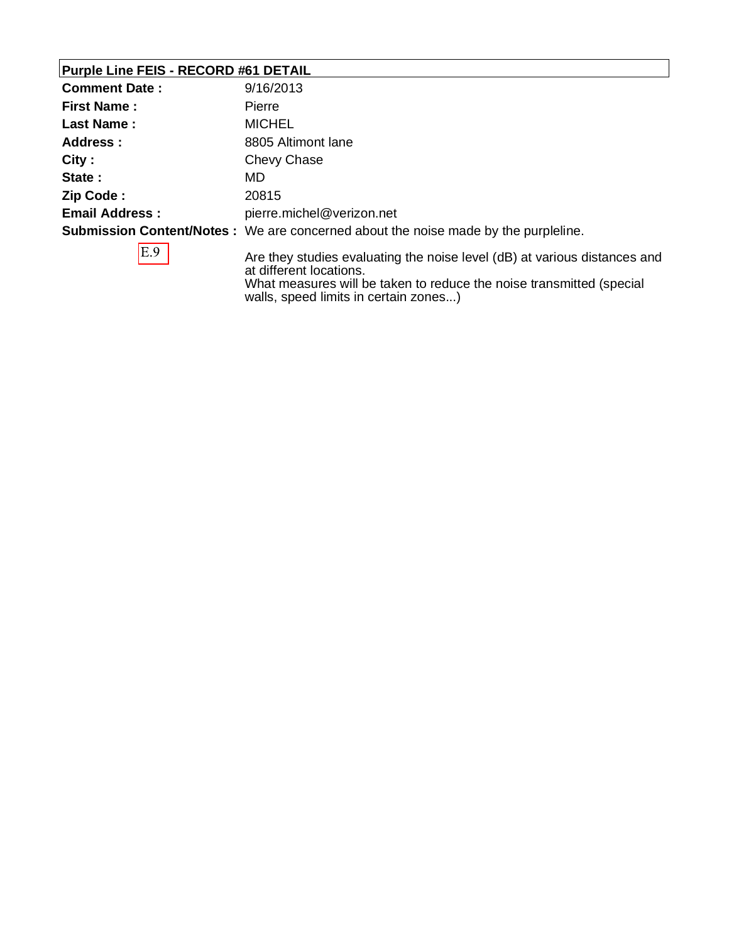#### **Purple Line FEIS - RECORD #61 DETAIL**

| <b>Comment Date:</b>  | 9/16/2013                                                                                            |
|-----------------------|------------------------------------------------------------------------------------------------------|
| <b>First Name:</b>    | Pierre                                                                                               |
| <b>Last Name:</b>     | <b>MICHEL</b>                                                                                        |
| Address :             | 8805 Altimont lane                                                                                   |
| City:                 | Chevy Chase                                                                                          |
| State:                | MD                                                                                                   |
| Zip Code:             | 20815                                                                                                |
| <b>Email Address:</b> | pierre.michel@verizon.net                                                                            |
|                       | <b>Submission Content/Notes</b> : We are concerned about the noise made by the purpleline.           |
| E.9                   | Are they studies evaluating the noise level (dB) at various distances and<br>at different locations. |

What measures will be taken to reduce the noise transmitted (special walls, speed limits in certain zones...)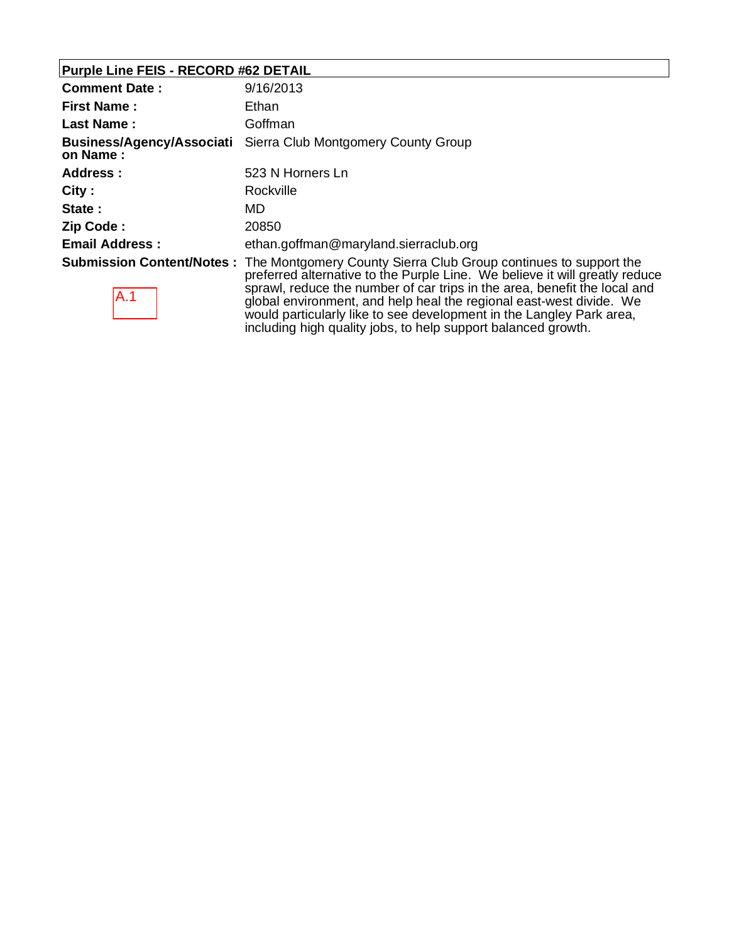# **Purple Line FEIS - RECORD #62 DETAIL**

| <b>Comment Date:</b>                         | 9/16/2013                                                                                                                                                                                                                                                                                                                                                                                                                                                                     |
|----------------------------------------------|-------------------------------------------------------------------------------------------------------------------------------------------------------------------------------------------------------------------------------------------------------------------------------------------------------------------------------------------------------------------------------------------------------------------------------------------------------------------------------|
| <b>First Name:</b>                           | Ethan                                                                                                                                                                                                                                                                                                                                                                                                                                                                         |
| <b>Last Name:</b>                            | Goffman                                                                                                                                                                                                                                                                                                                                                                                                                                                                       |
| <b>Business/Agency/Associati</b><br>on Name: | Sierra Club Montgomery County Group                                                                                                                                                                                                                                                                                                                                                                                                                                           |
| Address:                                     | 523 N Horners Ln                                                                                                                                                                                                                                                                                                                                                                                                                                                              |
| City:                                        | Rockville                                                                                                                                                                                                                                                                                                                                                                                                                                                                     |
| State:                                       | MD                                                                                                                                                                                                                                                                                                                                                                                                                                                                            |
| Zip Code:                                    | 20850                                                                                                                                                                                                                                                                                                                                                                                                                                                                         |
| <b>Email Address:</b>                        | ethan.goffman@maryland.sierraclub.org                                                                                                                                                                                                                                                                                                                                                                                                                                         |
| IA.1                                         | <b>Submission Content/Notes:</b> The Montgomery County Sierra Club Group continues to support the<br>preferred alternative to the Purple Line. We believe it will greatly reduce<br>sprawl, reduce the number of car trips in the area, benefit the local and<br>global environment, and help heal the regional east-west divide. We<br>would particularly like to see development in the Langley Park area,<br>including high quality jobs, to help support balanced growth. |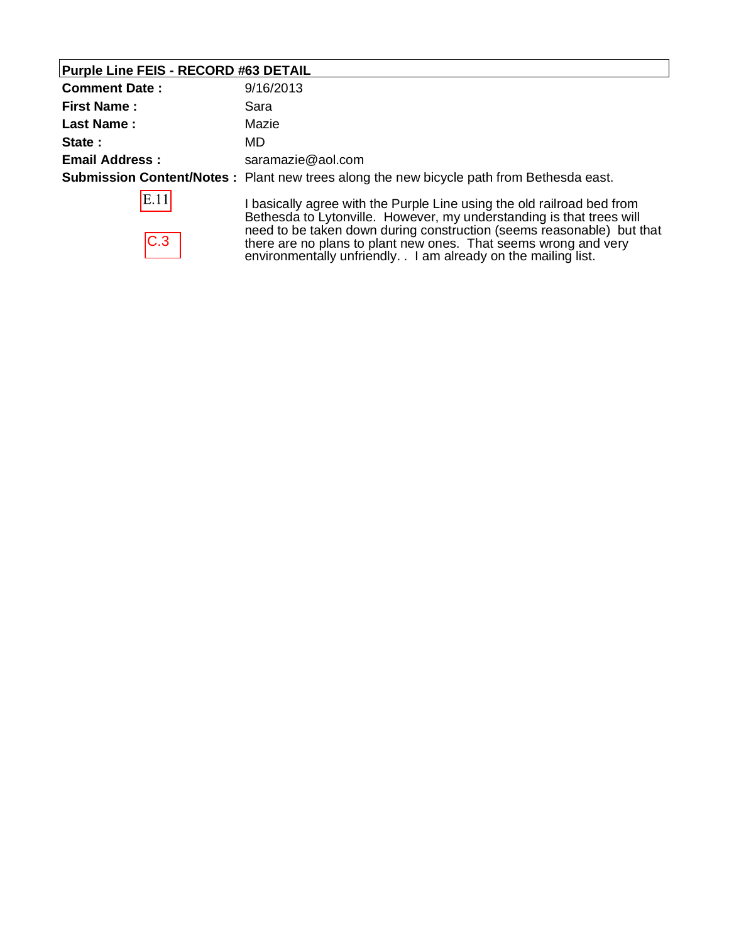# **Purple Line FEIS - RECORD #63 DETAIL**

| <b>Comment Date:</b>  | 9/16/2013                                                                                                                                                                                                   |
|-----------------------|-------------------------------------------------------------------------------------------------------------------------------------------------------------------------------------------------------------|
| <b>First Name:</b>    | Sara                                                                                                                                                                                                        |
| <b>Last Name:</b>     | Mazie                                                                                                                                                                                                       |
| State:                | MD.                                                                                                                                                                                                         |
| <b>Email Address:</b> | saramazie@aol.com                                                                                                                                                                                           |
|                       | <b>Submission Content/Notes</b> : Plant new trees along the new bicycle path from Bethesda east.                                                                                                            |
| E.11                  | basically agree with the Purple Line using the old railroad bed from<br>Bethesda to Lytonville. However, my understanding is that trees will                                                                |
| C.3                   | need to be taken down during construction (seems reasonable) but that<br>there are no plans to plant new ones. That seems wrong and very<br>environmentally unfriendly. . I am already on the mailing list. |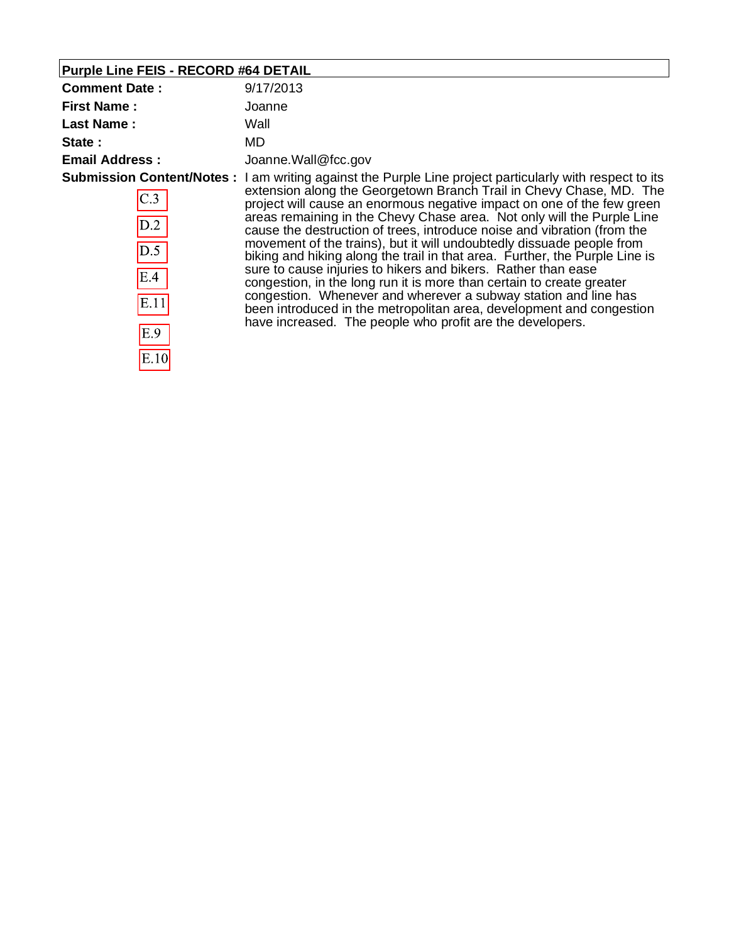| <b>Purple Line FEIS - RECORD #64 DETAIL</b>     |                                                                                                                                                                                                                                                                                                                                                                                                                                                                                                                                                                                                                                                                                                                                                                                                                                                                                                                         |
|-------------------------------------------------|-------------------------------------------------------------------------------------------------------------------------------------------------------------------------------------------------------------------------------------------------------------------------------------------------------------------------------------------------------------------------------------------------------------------------------------------------------------------------------------------------------------------------------------------------------------------------------------------------------------------------------------------------------------------------------------------------------------------------------------------------------------------------------------------------------------------------------------------------------------------------------------------------------------------------|
| <b>Comment Date:</b>                            | 9/17/2013                                                                                                                                                                                                                                                                                                                                                                                                                                                                                                                                                                                                                                                                                                                                                                                                                                                                                                               |
| <b>First Name:</b>                              | Joanne                                                                                                                                                                                                                                                                                                                                                                                                                                                                                                                                                                                                                                                                                                                                                                                                                                                                                                                  |
| <b>Last Name:</b>                               | Wall                                                                                                                                                                                                                                                                                                                                                                                                                                                                                                                                                                                                                                                                                                                                                                                                                                                                                                                    |
| State:                                          | MD.                                                                                                                                                                                                                                                                                                                                                                                                                                                                                                                                                                                                                                                                                                                                                                                                                                                                                                                     |
| <b>Email Address:</b>                           | Joanne.Wall@fcc.gov                                                                                                                                                                                                                                                                                                                                                                                                                                                                                                                                                                                                                                                                                                                                                                                                                                                                                                     |
| C.3<br>D.2<br>D.5<br>E.4<br>E.11<br>E.9<br>E.10 | Submission Content/Notes: I am writing against the Purple Line project particularly with respect to its<br>extension along the Georgetown Branch Trail in Chevy Chase, MD. The<br>project will cause an enormous negative impact on one of the few green<br>areas remaining in the Chevy Chase area. Not only will the Purple Line<br>cause the destruction of trees, introduce noise and vibration (from the<br>movement of the trains), but it will undoubtedly dissuade people from<br>biking and hiking along the trail in that area. Further, the Purple Line is<br>sure to cause injuries to hikers and bikers. Rather than ease<br>congestion, in the long run it is more than certain to create greater<br>congestion. Whenever and wherever a subway station and line has<br>been introduced in the metropolitan area, development and congestion<br>have increased. The people who profit are the developers. |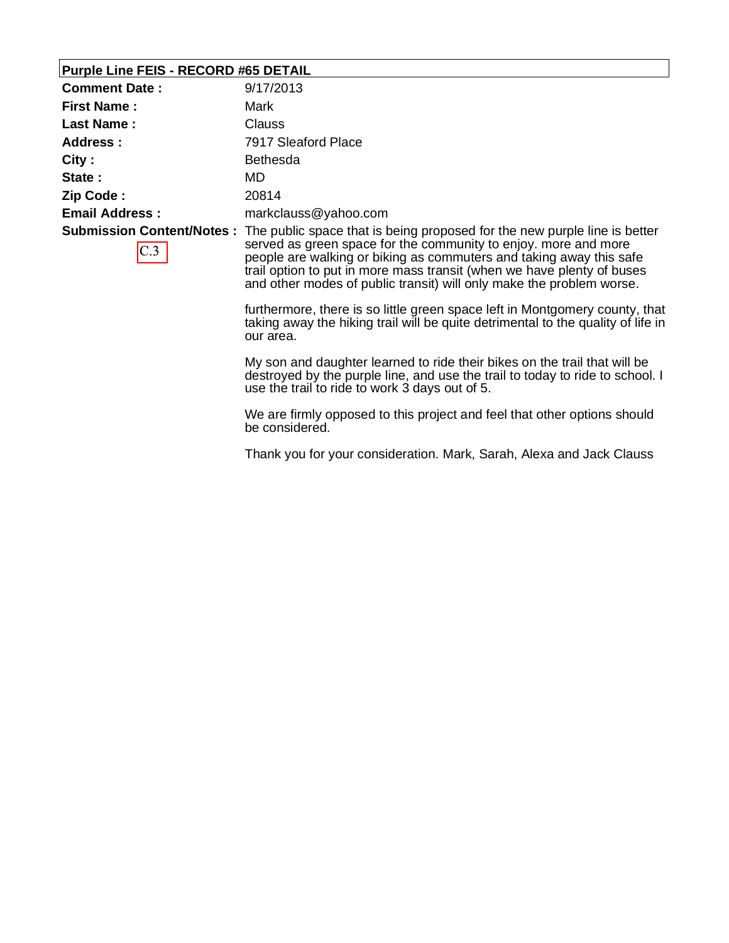#### **Purple Line FEIS - RECORD #65 DETAIL**

| <b>Comment Date:</b>  | 9/17/2013                                                                                                                                                                                                                                                                                                                                                                                                                                                                      |
|-----------------------|--------------------------------------------------------------------------------------------------------------------------------------------------------------------------------------------------------------------------------------------------------------------------------------------------------------------------------------------------------------------------------------------------------------------------------------------------------------------------------|
| <b>First Name:</b>    | Mark                                                                                                                                                                                                                                                                                                                                                                                                                                                                           |
| <b>Last Name:</b>     | <b>Clauss</b>                                                                                                                                                                                                                                                                                                                                                                                                                                                                  |
| Address:              | 7917 Sleaford Place                                                                                                                                                                                                                                                                                                                                                                                                                                                            |
| City:                 | <b>Bethesda</b>                                                                                                                                                                                                                                                                                                                                                                                                                                                                |
| State:                | MD                                                                                                                                                                                                                                                                                                                                                                                                                                                                             |
| Zip Code:             | 20814                                                                                                                                                                                                                                                                                                                                                                                                                                                                          |
| <b>Email Address:</b> | markclauss@yahoo.com                                                                                                                                                                                                                                                                                                                                                                                                                                                           |
|                       | Submission Content/Notes: The public space that is being proposed for the new purple line is better<br>served as green space for the community to enjoy, more and more<br>people are walking or biking as commuters and taking away this safe<br>trail option to put in more mass transit (when we have plenty of buses<br>and other modes of public transit) will only make the problem worse.<br>furthermore, there is so little green space left in Montgomery county, that |
|                       | taking away the hiking trail will be quite detrimental to the quality of life in                                                                                                                                                                                                                                                                                                                                                                                               |

our area.

My son and daughter learned to ride their bikes on the trail that will be destroyed by the purple line, and use the trail to today to ride to school. I use the trail to ride to work 3 days out of 5.

We are firmly opposed to this project and feel that other options should be considered.

Thank you for your consideration. Mark, Sarah, Alexa and Jack Clauss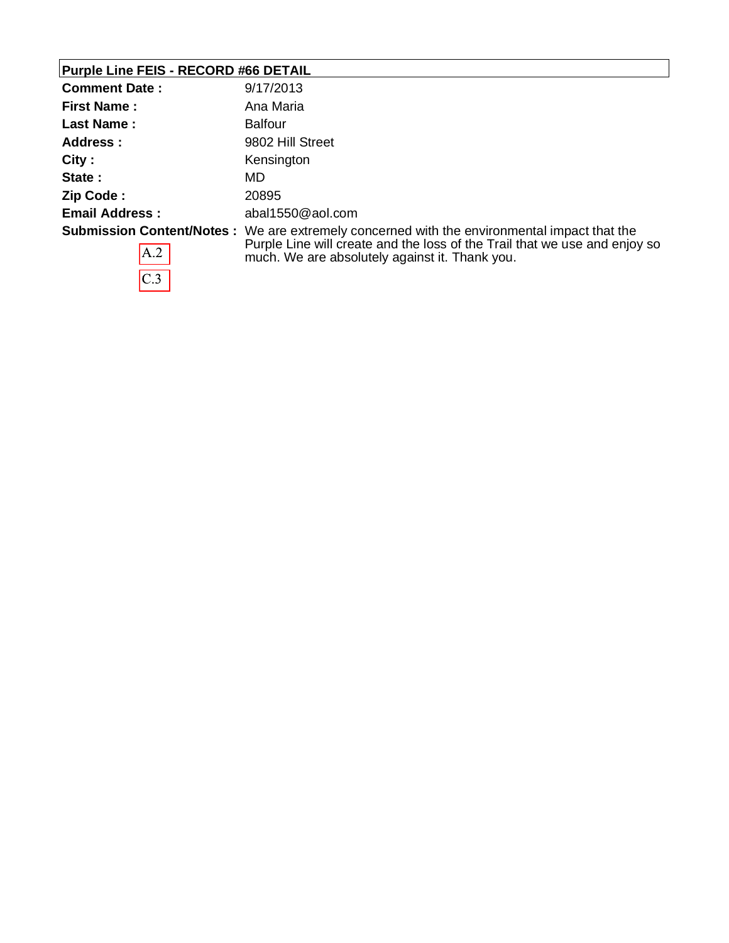# **Purple Line FEIS - RECORD #66 DETAIL**

 $C.3$ 

| <b>Comment Date:</b>  | 9/17/2013                                                                                                                                                                                                                           |
|-----------------------|-------------------------------------------------------------------------------------------------------------------------------------------------------------------------------------------------------------------------------------|
| <b>First Name:</b>    | Ana Maria                                                                                                                                                                                                                           |
| <b>Last Name:</b>     | <b>Balfour</b>                                                                                                                                                                                                                      |
| Address :             | 9802 Hill Street                                                                                                                                                                                                                    |
| City:                 | Kensington                                                                                                                                                                                                                          |
| State:                | MD                                                                                                                                                                                                                                  |
| Zip Code:             | 20895                                                                                                                                                                                                                               |
| <b>Email Address:</b> | abal1550@aol.com                                                                                                                                                                                                                    |
| AA.2                  | <b>Submission Content/Notes</b> : We are extremely concerned with the environmental impact that the<br>Purple Line will create and the loss of the Trail that we use and enjoy so<br>much. We are absolutely against it. Thank you. |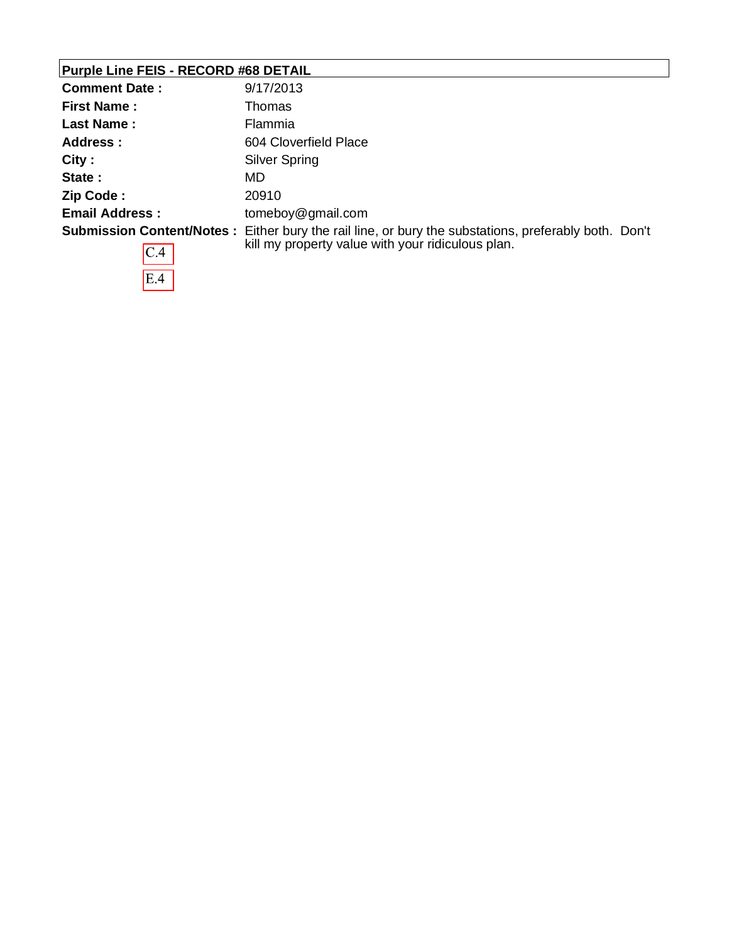### **Purple Line FEIS - RECORD #68 DETAIL**

 $E.4$ 

| <b>Comment Date:</b>  | 9/17/2013                                                                                                                                                         |
|-----------------------|-------------------------------------------------------------------------------------------------------------------------------------------------------------------|
| <b>First Name:</b>    | Thomas                                                                                                                                                            |
| <b>Last Name:</b>     | Flammia                                                                                                                                                           |
| Address :             | 604 Cloverfield Place                                                                                                                                             |
| City:                 | Silver Spring                                                                                                                                                     |
| State:                | MD                                                                                                                                                                |
| Zip Code:             | 20910                                                                                                                                                             |
| <b>Email Address:</b> | tomeboy@gmail.com                                                                                                                                                 |
| IC.4                  | <b>Submission Content/Notes</b> : Either bury the rail line, or bury the substations, preferably both. Don't<br>kill my property value with your ridiculous plan. |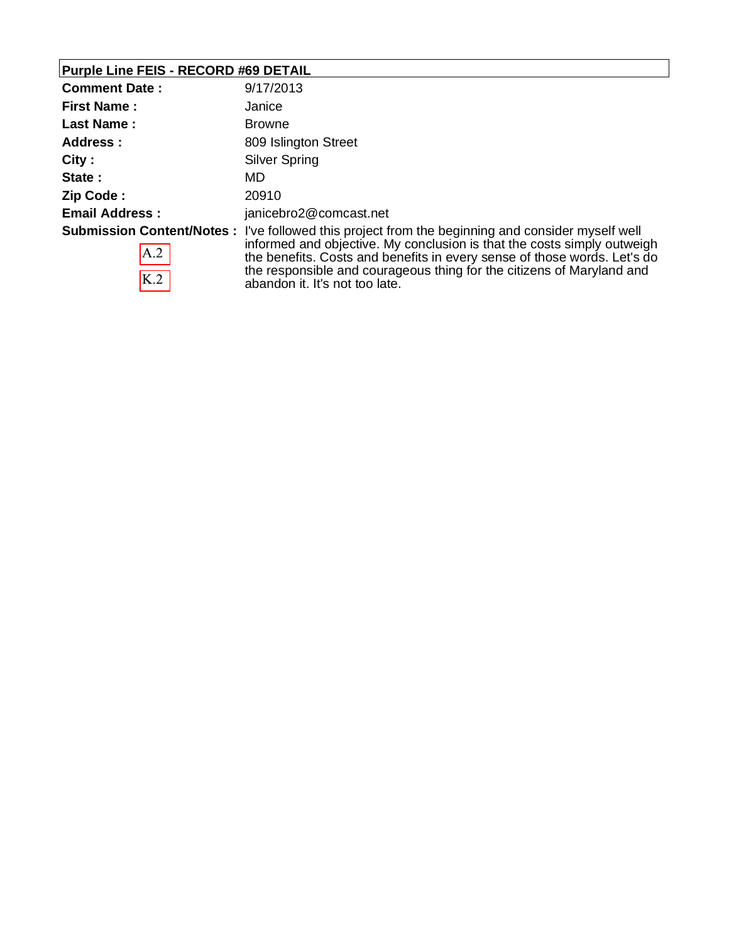### **Purple Line FEIS - RECORD #69 DETAIL**

| <b>Comment Date:</b>  | 9/17/2013                                                                                                                                                                                                                                                                                                                                                                 |
|-----------------------|---------------------------------------------------------------------------------------------------------------------------------------------------------------------------------------------------------------------------------------------------------------------------------------------------------------------------------------------------------------------------|
| <b>First Name:</b>    | Janice                                                                                                                                                                                                                                                                                                                                                                    |
| <b>Last Name:</b>     | <b>Browne</b>                                                                                                                                                                                                                                                                                                                                                             |
| Address:              | 809 Islington Street                                                                                                                                                                                                                                                                                                                                                      |
| City:                 | Silver Spring                                                                                                                                                                                                                                                                                                                                                             |
| State:                | MD                                                                                                                                                                                                                                                                                                                                                                        |
| Zip Code:             | 20910                                                                                                                                                                                                                                                                                                                                                                     |
| <b>Email Address:</b> | janicebro2@comcast.net                                                                                                                                                                                                                                                                                                                                                    |
| A.2<br>K.2            | <b>Submission Content/Notes:</b> I've followed this project from the beginning and consider myself well<br>informed and objective. My conclusion is that the costs simply outweigh<br>the benefits. Costs and benefits in every sense of those words. Let's do<br>the responsible and courageous thing for the citizens of Maryland and<br>abandon it. It's not too late. |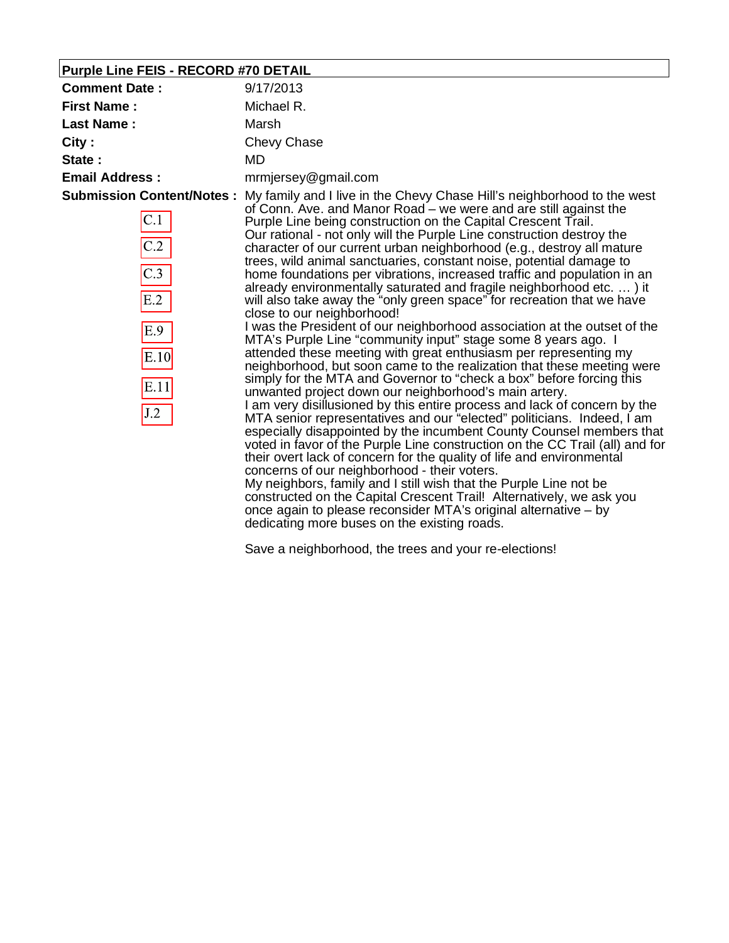# **Purple Line FEIS - RECORD #70 DETAIL**

| <b>First Name:</b><br>Michael R.<br>Last Name:<br>Marsh<br>City:<br><b>Chevy Chase</b><br>MD<br>State:<br><b>Email Address:</b><br>mrmjersey@gmail.com<br><b>Submission Content/Notes:</b><br>My family and I live in the Chevy Chase Hill's neighborhood to the west<br>of Conn. Ave. and Manor Road – we were and are still against the<br>C.1<br>Purple Line being construction on the Capital Crescent Trail.<br>Our rational - not only will the Purple Line construction destroy the<br>$\overline{C.2}$<br>character of our current urban neighborhood (e.g., destroy all mature<br>trees, wild animal sanctuaries, constant noise, potential damage to<br>$\overline{C.3}$<br>home foundations per vibrations, increased traffic and population in an<br>already environmentally saturated and fragile neighborhood etc. ) it<br>E.2<br>will also take away the "only green space" for recreation that we have<br>close to our neighborhood!<br>I was the President of our neighborhood association at the outset of the<br>E.9                                     | <b>Comment Date:</b><br>9/17/2013 |
|-----------------------------------------------------------------------------------------------------------------------------------------------------------------------------------------------------------------------------------------------------------------------------------------------------------------------------------------------------------------------------------------------------------------------------------------------------------------------------------------------------------------------------------------------------------------------------------------------------------------------------------------------------------------------------------------------------------------------------------------------------------------------------------------------------------------------------------------------------------------------------------------------------------------------------------------------------------------------------------------------------------------------------------------------------------------------------|-----------------------------------|
|                                                                                                                                                                                                                                                                                                                                                                                                                                                                                                                                                                                                                                                                                                                                                                                                                                                                                                                                                                                                                                                                             |                                   |
|                                                                                                                                                                                                                                                                                                                                                                                                                                                                                                                                                                                                                                                                                                                                                                                                                                                                                                                                                                                                                                                                             |                                   |
|                                                                                                                                                                                                                                                                                                                                                                                                                                                                                                                                                                                                                                                                                                                                                                                                                                                                                                                                                                                                                                                                             |                                   |
|                                                                                                                                                                                                                                                                                                                                                                                                                                                                                                                                                                                                                                                                                                                                                                                                                                                                                                                                                                                                                                                                             |                                   |
|                                                                                                                                                                                                                                                                                                                                                                                                                                                                                                                                                                                                                                                                                                                                                                                                                                                                                                                                                                                                                                                                             |                                   |
| MTA's Purple Line "community input" stage some 8 years ago. I<br>attended these meeting with great enthusiasm per representing my<br>E.10<br>neighborhood, but soon came to the realization that these meeting were<br>simply for the MTA and Governor to "check a box" before forcing this<br>E.11<br>unwanted project down our neighborhood's main artery.<br>I am very disillusioned by this entire process and lack of concern by the<br>J.2<br>MTA senior representatives and our "elected" politicians. Indeed, I am<br>especially disappointed by the incumbent County Counsel members that<br>voted in favor of the Purple Line construction on the CC Trail (all) and for<br>their overt lack of concern for the quality of life and environmental<br>concerns of our neighborhood - their voters.<br>My neighbors, family and I still wish that the Purple Line not be<br>constructed on the Capital Crescent Trail! Alternatively, we ask you<br>once again to please reconsider MTA's original alternative – by<br>dedicating more buses on the existing roads. |                                   |

Save a neighborhood, the trees and your re-elections!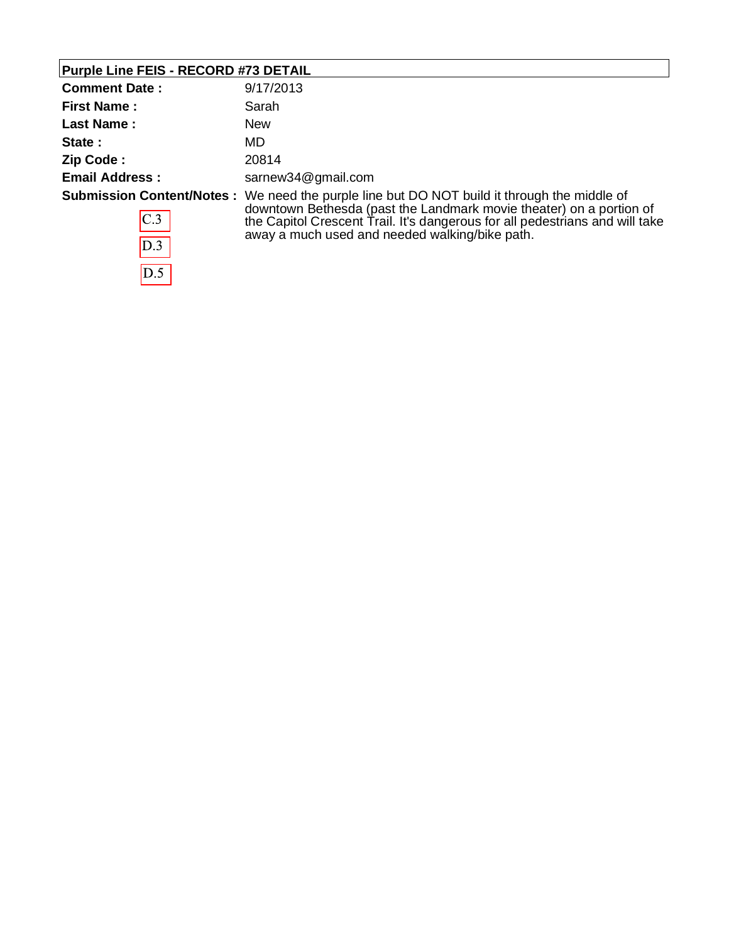# **Purple Line FEIS - RECORD #73 DETAIL**

| <b>Comment Date:</b>  | 9/17/2013                                                                                                                                                                                                                                                                                                   |
|-----------------------|-------------------------------------------------------------------------------------------------------------------------------------------------------------------------------------------------------------------------------------------------------------------------------------------------------------|
| <b>First Name:</b>    | Sarah                                                                                                                                                                                                                                                                                                       |
| <b>Last Name:</b>     | <b>New</b>                                                                                                                                                                                                                                                                                                  |
| State:                | MD.                                                                                                                                                                                                                                                                                                         |
| Zip Code:             | 20814                                                                                                                                                                                                                                                                                                       |
| <b>Email Address:</b> | sarnew34@gmail.com                                                                                                                                                                                                                                                                                          |
| C.3<br>D.3<br>D.5     | <b>Submission Content/Notes:</b> We need the purple line but DO NOT build it through the middle of<br>downtown Bethesda (past the Landmark movie theater) on a portion of<br>the Capitol Crescent Trail. It's dangerous for all pedestrians and will take<br>away a much used and needed walking/bike path. |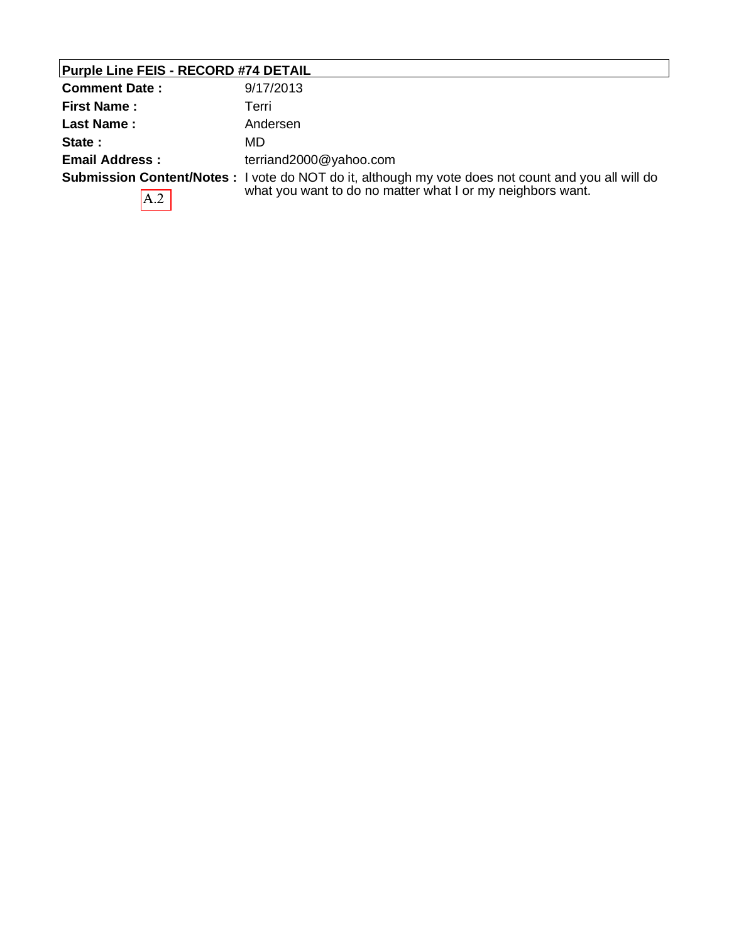| <b>Comment Date:</b>  | 9/17/2013                                                                                                                                                                |
|-----------------------|--------------------------------------------------------------------------------------------------------------------------------------------------------------------------|
| <b>First Name:</b>    | Terri                                                                                                                                                                    |
| Last Name:            | Andersen                                                                                                                                                                 |
| State:                | MD                                                                                                                                                                       |
| <b>Email Address:</b> | terriand2000@yahoo.com                                                                                                                                                   |
| $\mathsf{A.2}$        | <b>Submission Content/Notes</b> : I vote do NOT do it, although my vote does not count and you all will do<br>what you want to do no matter what I or my neighbors want. |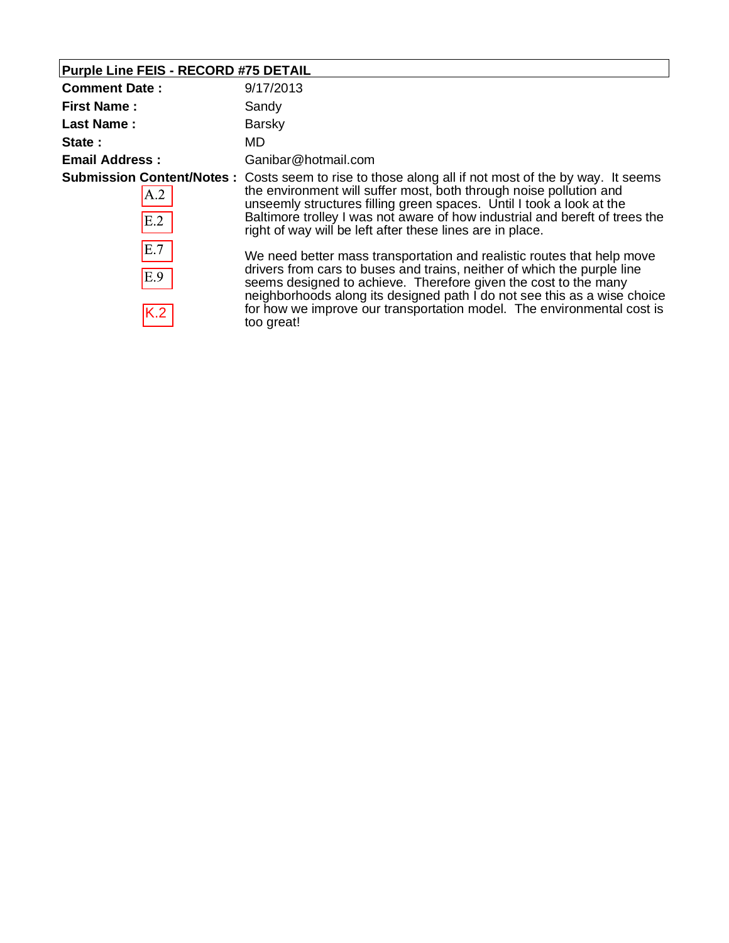| Purple Line FEIS - RECORD #75 DETAIL |                                                                                                                                                                                                                                                                                                                                                                                                      |
|--------------------------------------|------------------------------------------------------------------------------------------------------------------------------------------------------------------------------------------------------------------------------------------------------------------------------------------------------------------------------------------------------------------------------------------------------|
| <b>Comment Date:</b>                 | 9/17/2013                                                                                                                                                                                                                                                                                                                                                                                            |
| <b>First Name:</b>                   | Sandy                                                                                                                                                                                                                                                                                                                                                                                                |
| Last Name:                           | <b>Barsky</b>                                                                                                                                                                                                                                                                                                                                                                                        |
| State:                               | MD.                                                                                                                                                                                                                                                                                                                                                                                                  |
| <b>Email Address:</b>                | Ganibar@hotmail.com                                                                                                                                                                                                                                                                                                                                                                                  |
| A.2<br>E.2                           | <b>Submission Content/Notes:</b> Costs seem to rise to those along all if not most of the by way. It seems<br>the environment will suffer most, both through noise pollution and<br>unseemly structures filling green spaces. Until I took a look at the<br>Baltimore trolley I was not aware of how industrial and bereft of trees the<br>right of way will be left after these lines are in place. |
| E.7<br>E.9<br>K.2                    | We need better mass transportation and realistic routes that help move<br>drivers from cars to buses and trains, neither of which the purple line<br>seems designed to achieve. Therefore given the cost to the many<br>neighborhoods along its designed path I do not see this as a wise choice<br>for how we improve our transportation model. The environmental cost is<br>too great!             |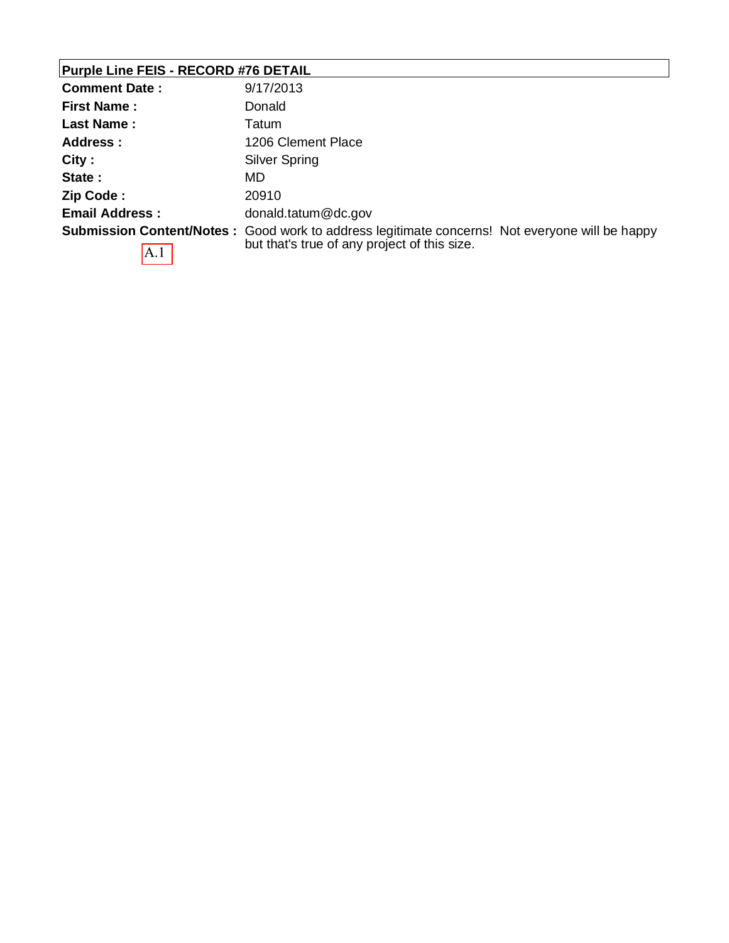# **Purple Line FEIS - RECORD #76 DETAIL**

| <b>Comment Date:</b>             | 9/17/2013                                                            |
|----------------------------------|----------------------------------------------------------------------|
| <b>First Name:</b>               | Donald                                                               |
| Last Name:                       | Tatum                                                                |
| Address:                         | 1206 Clement Place                                                   |
| City:                            | Silver Spring                                                        |
| State:                           | MD                                                                   |
| Zip Code:                        | 20910                                                                |
| <b>Email Address:</b>            | donald.tatum@dc.gov                                                  |
| <b>Submission Content/Notes:</b> | Good work to address legitimate concerns! Not everyone will be happy |
| A.1                              | but that's true of any project of this size.                         |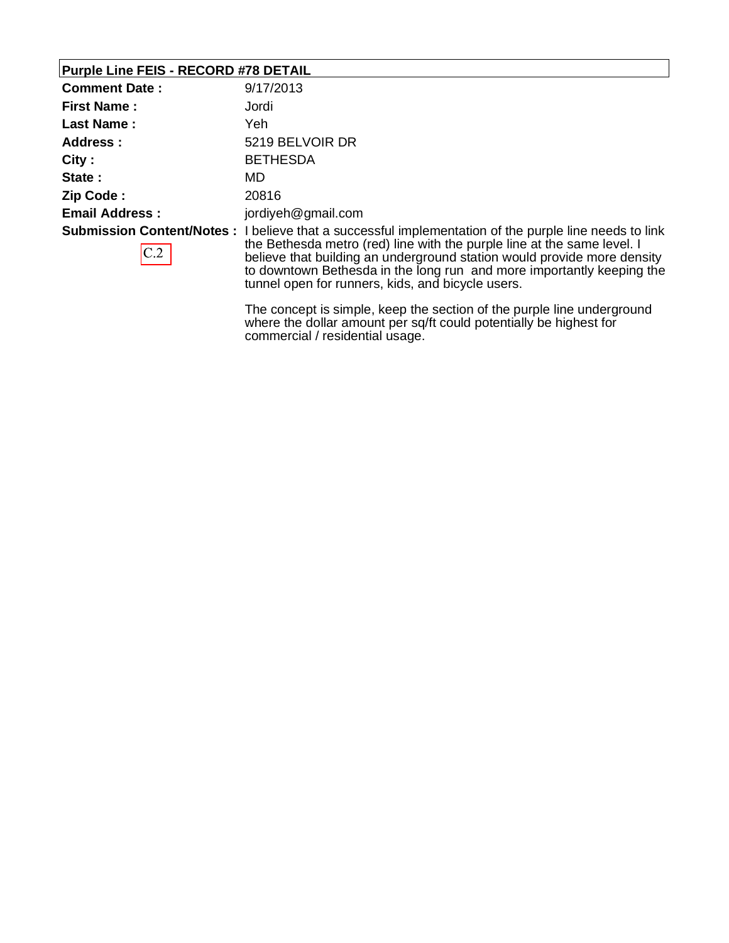#### **Purple Line FEIS - RECORD #78 DETAIL**

| <b>Comment Date:</b>  | 9/17/2013                                                                                                                                                                                                                                                                                                                                                                                         |
|-----------------------|---------------------------------------------------------------------------------------------------------------------------------------------------------------------------------------------------------------------------------------------------------------------------------------------------------------------------------------------------------------------------------------------------|
| <b>First Name:</b>    | Jordi                                                                                                                                                                                                                                                                                                                                                                                             |
| <b>Last Name:</b>     | Yeh                                                                                                                                                                                                                                                                                                                                                                                               |
| Address :             | 5219 BELVOIR DR                                                                                                                                                                                                                                                                                                                                                                                   |
| City:                 | <b>BETHESDA</b>                                                                                                                                                                                                                                                                                                                                                                                   |
| State:                | MD                                                                                                                                                                                                                                                                                                                                                                                                |
| Zip Code:             | 20816                                                                                                                                                                                                                                                                                                                                                                                             |
| <b>Email Address:</b> | jordiyeh@gmail.com                                                                                                                                                                                                                                                                                                                                                                                |
| C.2                   | <b>Submission Content/Notes</b> : I believe that a successful implementation of the purple line needs to link<br>the Bethesda metro (red) line with the purple line at the same level. I<br>believe that building an underground station would provide more density<br>to downtown Bethesda in the long run and more importantly keeping the<br>tunnel open for runners, kids, and bicycle users. |

The concept is simple, keep the section of the purple line underground where the dollar amount per sq/ft could potentially be highest for commercial / residential usage.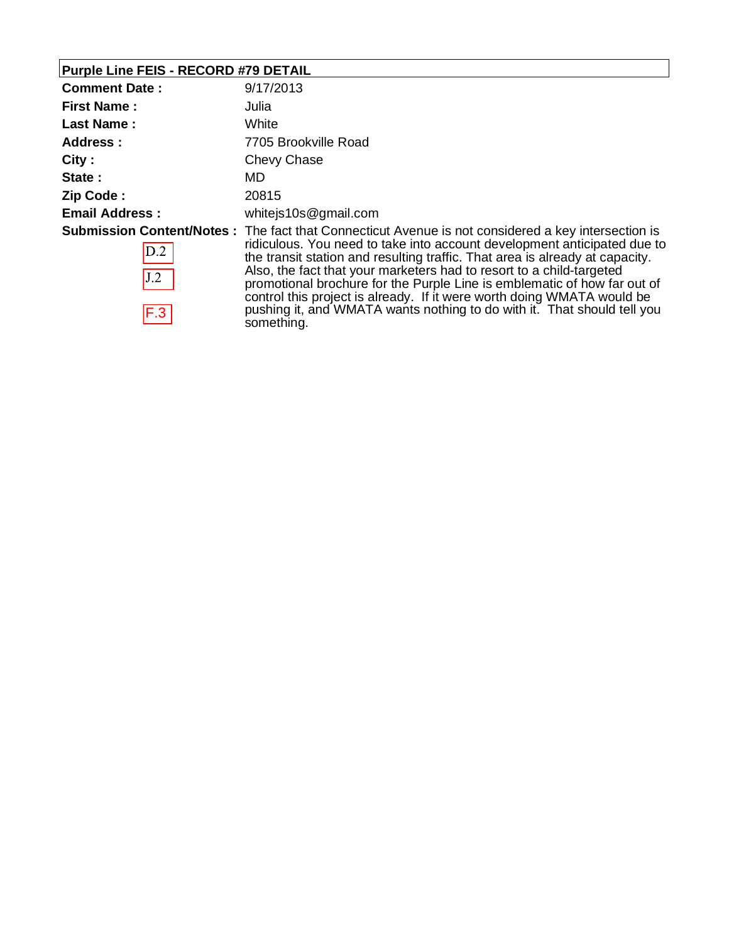# **Purple Line FEIS - RECORD #79 DETAIL**

| <b>Comment Date:</b>  | 9/17/2013                                                                                                                                                                                                                                                                                                                                                                                                                                                                                                                                                                                     |
|-----------------------|-----------------------------------------------------------------------------------------------------------------------------------------------------------------------------------------------------------------------------------------------------------------------------------------------------------------------------------------------------------------------------------------------------------------------------------------------------------------------------------------------------------------------------------------------------------------------------------------------|
| <b>First Name:</b>    | Julia                                                                                                                                                                                                                                                                                                                                                                                                                                                                                                                                                                                         |
| <b>Last Name:</b>     | White                                                                                                                                                                                                                                                                                                                                                                                                                                                                                                                                                                                         |
| <b>Address:</b>       | 7705 Brookville Road                                                                                                                                                                                                                                                                                                                                                                                                                                                                                                                                                                          |
| City:                 | Chevy Chase                                                                                                                                                                                                                                                                                                                                                                                                                                                                                                                                                                                   |
| State:                | MD.                                                                                                                                                                                                                                                                                                                                                                                                                                                                                                                                                                                           |
| Zip Code:             | 20815                                                                                                                                                                                                                                                                                                                                                                                                                                                                                                                                                                                         |
| <b>Email Address:</b> | whitejs10s@gmail.com                                                                                                                                                                                                                                                                                                                                                                                                                                                                                                                                                                          |
| D.2<br>J.2<br>F.3     | <b>Submission Content/Notes</b> : The fact that Connecticut Avenue is not considered a key intersection is<br>ridiculous. You need to take into account development anticipated due to<br>the transit station and resulting traffic. That area is already at capacity.<br>Also, the fact that your marketers had to resort to a child-targeted<br>promotional brochure for the Purple Line is emblematic of how far out of<br>control this project is already. If it were worth doing WMATA would be<br>pushing it, and WMATA wants nothing to do with it. That should tell you<br>something. |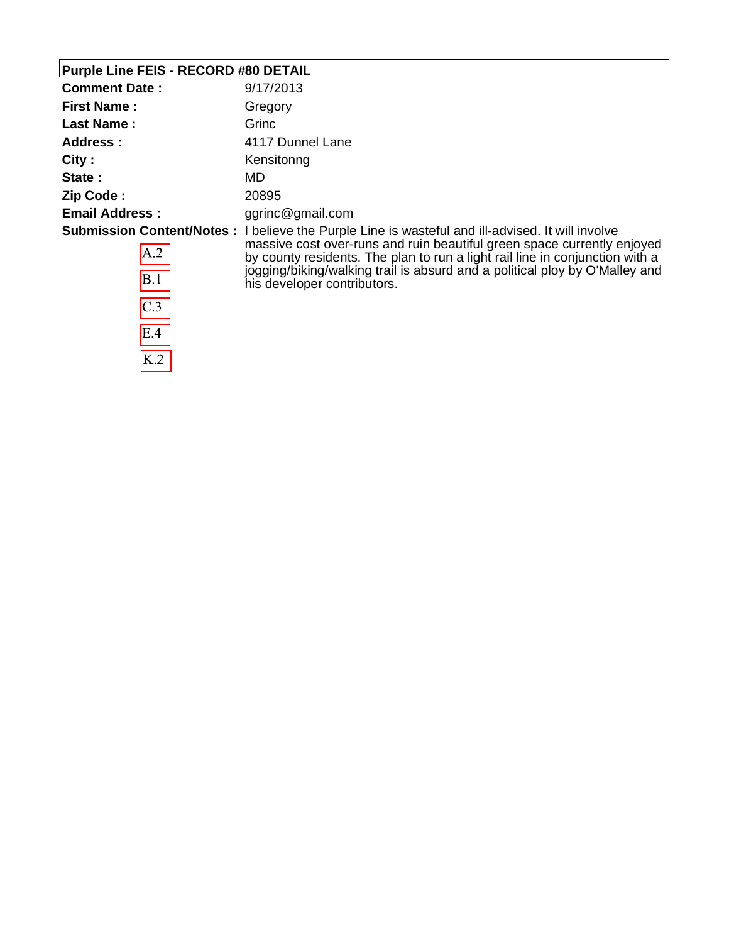### **Purple Line FEIS - RECORD #80 DETAIL**

 $\overline{C.3}$ 

 $E.4$ 

 $K.2$ 

| <b>Comment Date:</b>  | 9/17/2013                                                                                                                                                                                                                                                                                                                                                                         |
|-----------------------|-----------------------------------------------------------------------------------------------------------------------------------------------------------------------------------------------------------------------------------------------------------------------------------------------------------------------------------------------------------------------------------|
| <b>First Name:</b>    | Gregory                                                                                                                                                                                                                                                                                                                                                                           |
| <b>Last Name:</b>     | Grinc                                                                                                                                                                                                                                                                                                                                                                             |
| Address :             | 4117 Dunnel Lane                                                                                                                                                                                                                                                                                                                                                                  |
| City:                 | Kensitonng                                                                                                                                                                                                                                                                                                                                                                        |
| State:                | MD                                                                                                                                                                                                                                                                                                                                                                                |
| Zip Code:             | 20895                                                                                                                                                                                                                                                                                                                                                                             |
| <b>Email Address:</b> | ggrinc@gmail.com                                                                                                                                                                                                                                                                                                                                                                  |
| A.2<br>B.1            | <b>Submission Content/Notes</b> : I believe the Purple Line is wasteful and ill-advised. It will involve<br>massive cost over-runs and ruin beautiful green space currently enjoyed<br>by county residents. The plan to run a light rail line in conjunction with a<br>jogging/biking/walking trail is absurd and a political ploy by O'Malley and<br>his developer contributors. |

his developer contributors.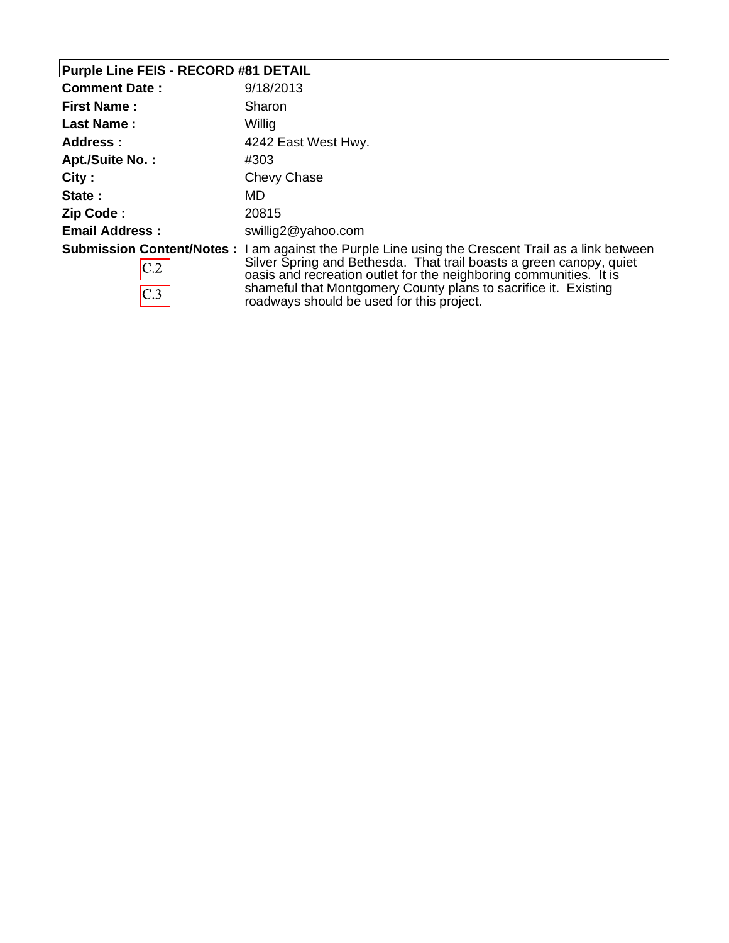# **Purple Line FEIS - RECORD #81 DETAIL**

| <b>Comment Date:</b>   | 9/18/2013                                                                                                                                                                                                                                                                                                                                                              |
|------------------------|------------------------------------------------------------------------------------------------------------------------------------------------------------------------------------------------------------------------------------------------------------------------------------------------------------------------------------------------------------------------|
| <b>First Name:</b>     | Sharon                                                                                                                                                                                                                                                                                                                                                                 |
| <b>Last Name:</b>      | Willig                                                                                                                                                                                                                                                                                                                                                                 |
| Address:               | 4242 East West Hwy.                                                                                                                                                                                                                                                                                                                                                    |
| <b>Apt./Suite No.:</b> | #303                                                                                                                                                                                                                                                                                                                                                                   |
| City:                  | Chevy Chase                                                                                                                                                                                                                                                                                                                                                            |
| State:                 | MD.                                                                                                                                                                                                                                                                                                                                                                    |
| Zip Code:              | 20815                                                                                                                                                                                                                                                                                                                                                                  |
| <b>Email Address:</b>  | swillig2@yahoo.com                                                                                                                                                                                                                                                                                                                                                     |
| C.2<br>C.3             | <b>Submission Content/Notes</b> : I am against the Purple Line using the Crescent Trail as a link between<br>Silver Spring and Bethesda. That trail boasts a green canopy, quiet<br>oasis and recreation outlet for the neighboring communities. It is<br>shameful that Montgomery County plans to sacrifice it. Existing<br>roadways should be used for this project. |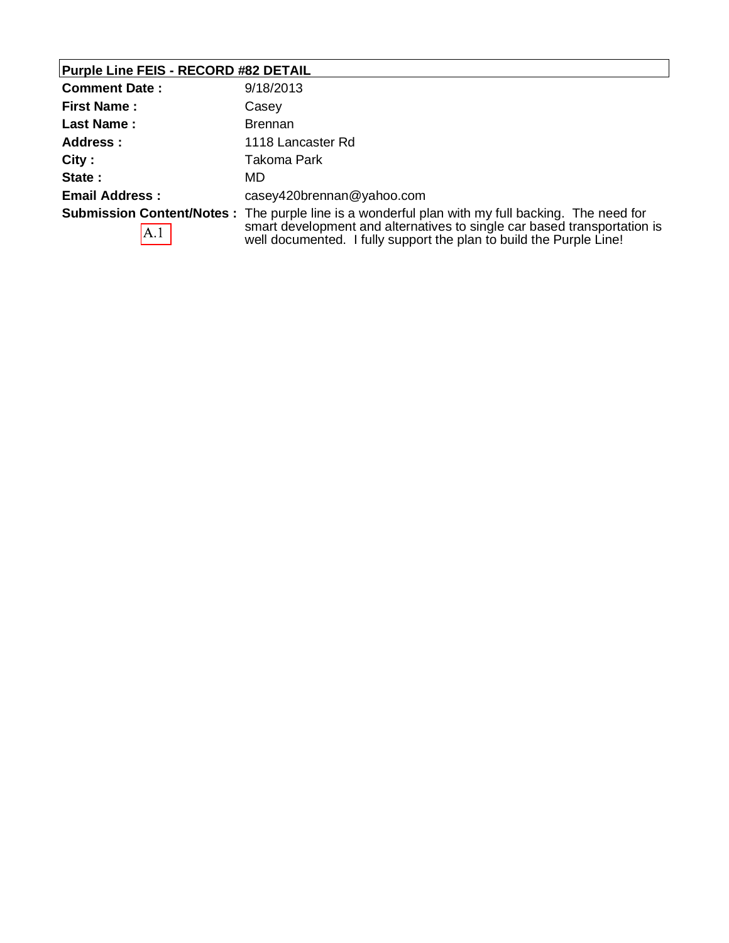# **Purple Line FEIS - RECORD #82 DETAIL**

| <b>Comment Date:</b>  | 9/18/2013                                                                                                                                                                                                                                                   |
|-----------------------|-------------------------------------------------------------------------------------------------------------------------------------------------------------------------------------------------------------------------------------------------------------|
| <b>First Name:</b>    | Casey                                                                                                                                                                                                                                                       |
| <b>Last Name:</b>     | <b>Brennan</b>                                                                                                                                                                                                                                              |
| <b>Address:</b>       | 1118 Lancaster Rd                                                                                                                                                                                                                                           |
| City:                 | Takoma Park                                                                                                                                                                                                                                                 |
| State:                | MD                                                                                                                                                                                                                                                          |
| <b>Email Address:</b> | casey420brennan@yahoo.com                                                                                                                                                                                                                                   |
| A.1                   | <b>Submission Content/Notes</b> : The purple line is a wonderful plan with my full backing. The need for<br>smart development and alternatives to single car based transportation is<br>well documented. I fully support the plan to build the Purple Line! |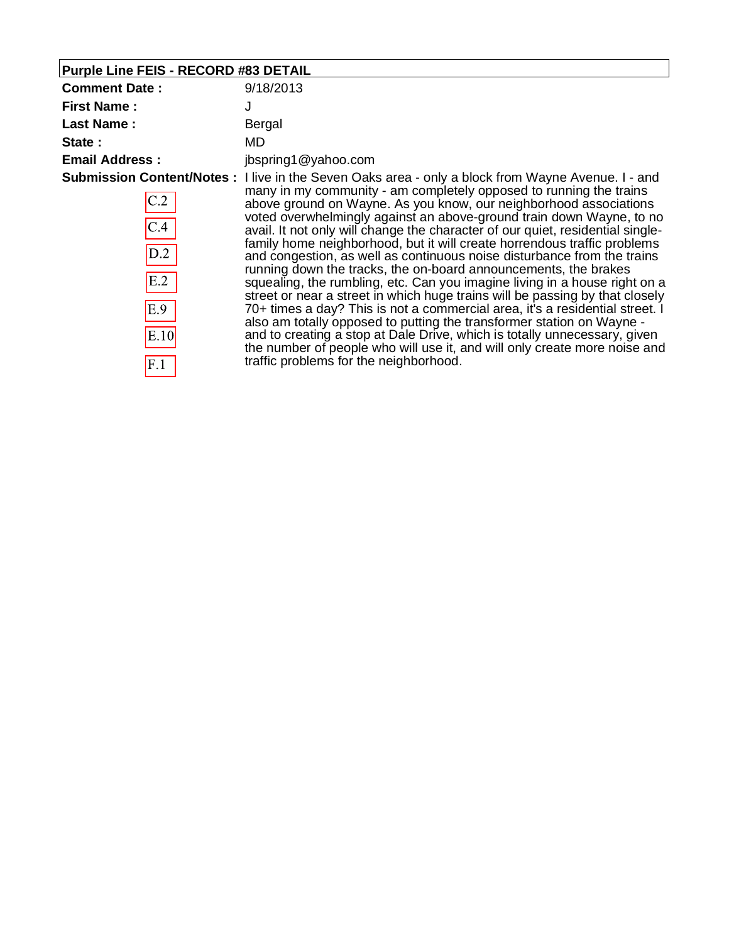| Purple Line FEIS - RECORD #83 DETAIL |                                                                                                                                                                                                                                                                                                                                                                                                                                                                                                                         |
|--------------------------------------|-------------------------------------------------------------------------------------------------------------------------------------------------------------------------------------------------------------------------------------------------------------------------------------------------------------------------------------------------------------------------------------------------------------------------------------------------------------------------------------------------------------------------|
| <b>Comment Date:</b>                 | 9/18/2013                                                                                                                                                                                                                                                                                                                                                                                                                                                                                                               |
| <b>First Name:</b>                   | J                                                                                                                                                                                                                                                                                                                                                                                                                                                                                                                       |
| <b>Last Name:</b>                    | Bergal                                                                                                                                                                                                                                                                                                                                                                                                                                                                                                                  |
| State:                               | MD                                                                                                                                                                                                                                                                                                                                                                                                                                                                                                                      |
| <b>Email Address:</b>                | jbspring1@yahoo.com                                                                                                                                                                                                                                                                                                                                                                                                                                                                                                     |
|                                      | Submission Content/Notes: I live in the Seven Oaks area - only a block from Wayne Avenue. I - and                                                                                                                                                                                                                                                                                                                                                                                                                       |
| C.2                                  | many in my community - am completely opposed to running the trains<br>above ground on Wayne. As you know, our neighborhood associations<br>voted overwhelmingly against an above-ground train down Wayne, to no                                                                                                                                                                                                                                                                                                         |
| C.4                                  | avail. It not only will change the character of our quiet, residential single-                                                                                                                                                                                                                                                                                                                                                                                                                                          |
| D.2                                  | family home neighborhood, but it will create horrendous traffic problems<br>and congestion, as well as continuous noise disturbance from the trains<br>running down the tracks, the on-board announcements, the brakes                                                                                                                                                                                                                                                                                                  |
| E.2                                  | squealing, the rumbling, etc. Can you imagine living in a house right on a<br>street or near a street in which huge trains will be passing by that closely<br>70+ times a day? This is not a commercial area, it's a residential street. I<br>also am totally opposed to putting the transformer station on Wayne -<br>and to creating a stop at Dale Drive, which is totally unnecessary, given<br>the number of people who will use it, and will only create more noise and<br>traffic problems for the neighborhood. |
| E.9                                  |                                                                                                                                                                                                                                                                                                                                                                                                                                                                                                                         |
| E.10                                 |                                                                                                                                                                                                                                                                                                                                                                                                                                                                                                                         |
| F.1                                  |                                                                                                                                                                                                                                                                                                                                                                                                                                                                                                                         |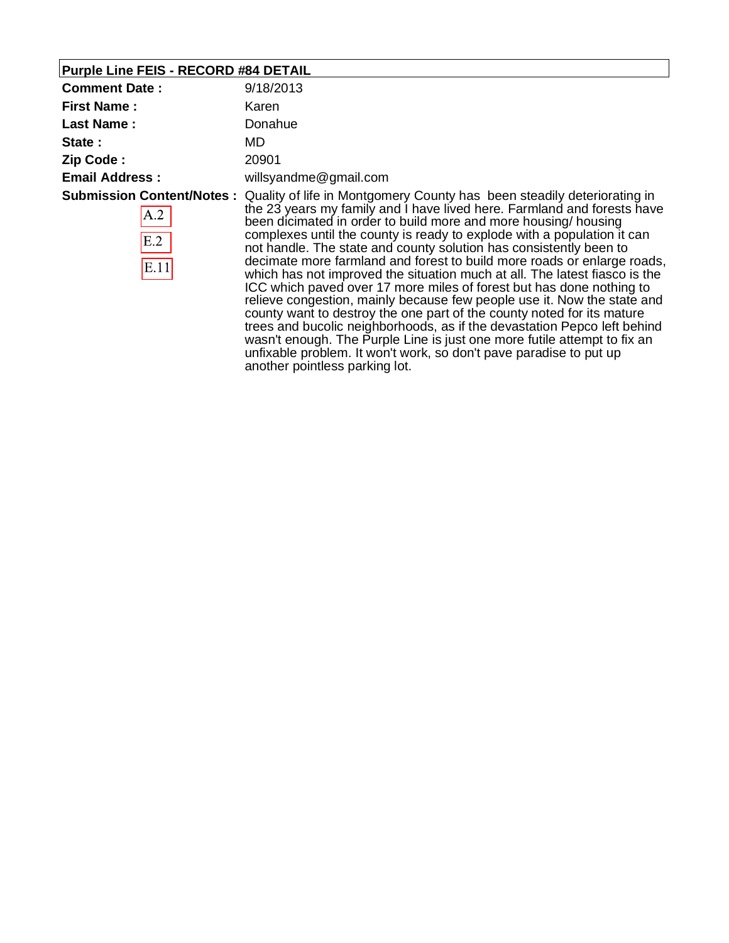# **Purple Line FEIS - RECORD #84 DETAIL**

| <b>Comment Date:</b>  | 9/18/2013                                                                                                                                                                                                                                                                                                                                                                                                                                                                                                                                                                                                                                                                                                                                                                                                                                                                                                                                                                                                                                             |
|-----------------------|-------------------------------------------------------------------------------------------------------------------------------------------------------------------------------------------------------------------------------------------------------------------------------------------------------------------------------------------------------------------------------------------------------------------------------------------------------------------------------------------------------------------------------------------------------------------------------------------------------------------------------------------------------------------------------------------------------------------------------------------------------------------------------------------------------------------------------------------------------------------------------------------------------------------------------------------------------------------------------------------------------------------------------------------------------|
| <b>First Name:</b>    | Karen                                                                                                                                                                                                                                                                                                                                                                                                                                                                                                                                                                                                                                                                                                                                                                                                                                                                                                                                                                                                                                                 |
| <b>Last Name:</b>     | Donahue                                                                                                                                                                                                                                                                                                                                                                                                                                                                                                                                                                                                                                                                                                                                                                                                                                                                                                                                                                                                                                               |
| State:                | MD.                                                                                                                                                                                                                                                                                                                                                                                                                                                                                                                                                                                                                                                                                                                                                                                                                                                                                                                                                                                                                                                   |
| Zip Code:             | 20901                                                                                                                                                                                                                                                                                                                                                                                                                                                                                                                                                                                                                                                                                                                                                                                                                                                                                                                                                                                                                                                 |
| <b>Email Address:</b> | willsyandme@gmail.com                                                                                                                                                                                                                                                                                                                                                                                                                                                                                                                                                                                                                                                                                                                                                                                                                                                                                                                                                                                                                                 |
| A.2<br>E.2<br>E.11    | Submission Content/Notes: Quality of life in Montgomery County has been steadily deteriorating in<br>the 23 years my family and I have lived here. Farmland and forests have<br>been dicimated in order to build more and more housing/housing<br>complexes until the county is ready to explode with a population it can<br>not handle. The state and county solution has consistently been to<br>decimate more farmland and forest to build more roads or enlarge roads,<br>which has not improved the situation much at all. The latest fiasco is the<br>ICC which paved over 17 more miles of forest but has done nothing to<br>relieve congestion, mainly because few people use it. Now the state and<br>county want to destroy the one part of the county noted for its mature<br>trees and bucolic neighborhoods, as if the devastation Pepco left behind<br>wasn't enough. The Purple Line is just one more futile attempt to fix an<br>unfixable problem. It won't work, so don't pave paradise to put up<br>another pointless parking lot. |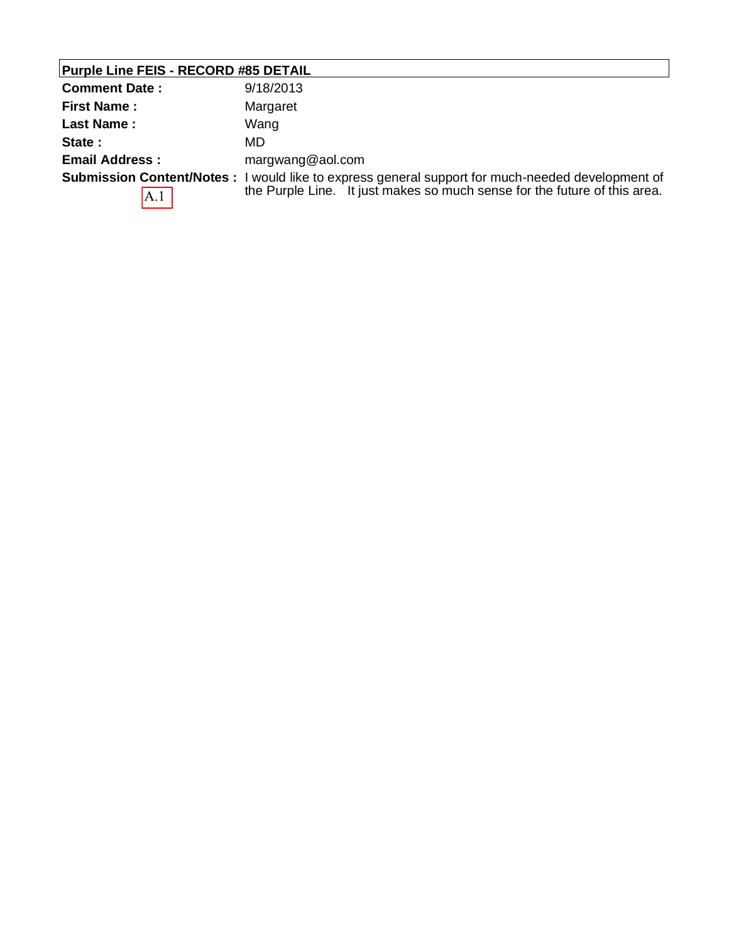| <b>Purple Line FEIS - RECORD #85 DETAIL</b> |                                                                                                                                                                                      |  |
|---------------------------------------------|--------------------------------------------------------------------------------------------------------------------------------------------------------------------------------------|--|
| <b>Comment Date:</b>                        | 9/18/2013                                                                                                                                                                            |  |
| <b>First Name:</b>                          | Margaret                                                                                                                                                                             |  |
| <b>Last Name:</b>                           | Wang                                                                                                                                                                                 |  |
| State:                                      | MD.                                                                                                                                                                                  |  |
| <b>Email Address:</b>                       | margwang@aol.com                                                                                                                                                                     |  |
| A.1                                         | <b>Submission Content/Notes:</b> I would like to express general support for much-needed development of<br>the Purple Line. It just makes so much sense for the future of this area. |  |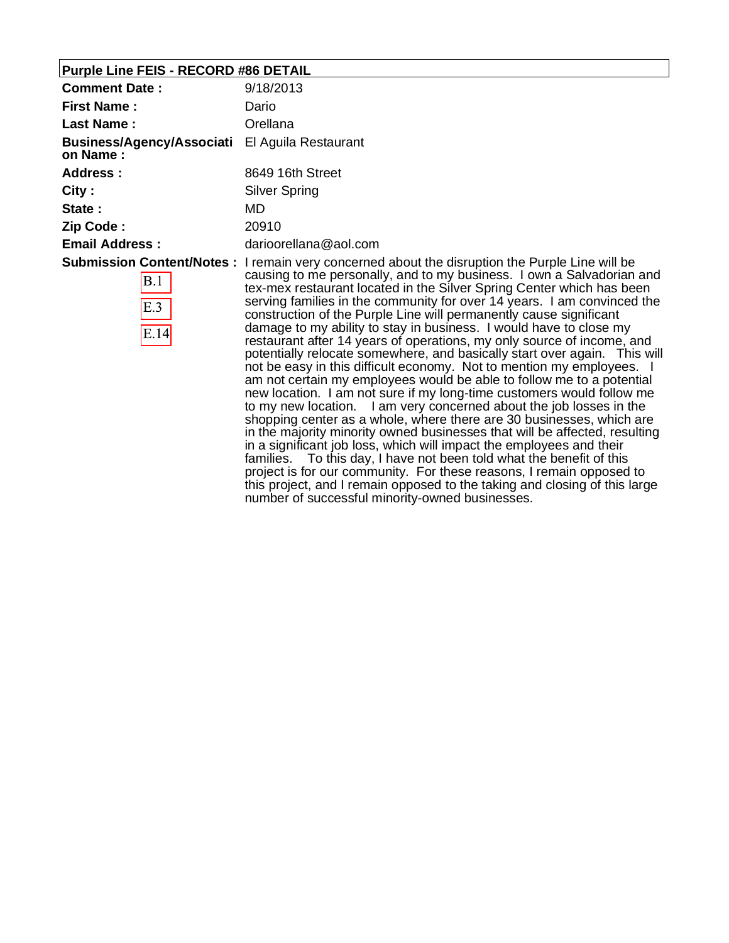# **Purple Line FEIS - RECORD #86 DETAIL**

| <b>Comment Date:</b>                  | 9/18/2013                                                                                                                                                                                                                                                                                                                                                                                                                                                                                                                                                                                                                                                                                                                                                                                                                                                                                                                                                                                                                                                                                                                                                                                                                                                                                                                                                                                                                                       |  |
|---------------------------------------|-------------------------------------------------------------------------------------------------------------------------------------------------------------------------------------------------------------------------------------------------------------------------------------------------------------------------------------------------------------------------------------------------------------------------------------------------------------------------------------------------------------------------------------------------------------------------------------------------------------------------------------------------------------------------------------------------------------------------------------------------------------------------------------------------------------------------------------------------------------------------------------------------------------------------------------------------------------------------------------------------------------------------------------------------------------------------------------------------------------------------------------------------------------------------------------------------------------------------------------------------------------------------------------------------------------------------------------------------------------------------------------------------------------------------------------------------|--|
| <b>First Name:</b>                    | Dario                                                                                                                                                                                                                                                                                                                                                                                                                                                                                                                                                                                                                                                                                                                                                                                                                                                                                                                                                                                                                                                                                                                                                                                                                                                                                                                                                                                                                                           |  |
| <b>Last Name:</b>                     | Orellana                                                                                                                                                                                                                                                                                                                                                                                                                                                                                                                                                                                                                                                                                                                                                                                                                                                                                                                                                                                                                                                                                                                                                                                                                                                                                                                                                                                                                                        |  |
| Business/Agency/Associati<br>on Name: | El Aguila Restaurant                                                                                                                                                                                                                                                                                                                                                                                                                                                                                                                                                                                                                                                                                                                                                                                                                                                                                                                                                                                                                                                                                                                                                                                                                                                                                                                                                                                                                            |  |
| Address:                              | 8649 16th Street                                                                                                                                                                                                                                                                                                                                                                                                                                                                                                                                                                                                                                                                                                                                                                                                                                                                                                                                                                                                                                                                                                                                                                                                                                                                                                                                                                                                                                |  |
| City :                                | <b>Silver Spring</b>                                                                                                                                                                                                                                                                                                                                                                                                                                                                                                                                                                                                                                                                                                                                                                                                                                                                                                                                                                                                                                                                                                                                                                                                                                                                                                                                                                                                                            |  |
| State:                                | MD                                                                                                                                                                                                                                                                                                                                                                                                                                                                                                                                                                                                                                                                                                                                                                                                                                                                                                                                                                                                                                                                                                                                                                                                                                                                                                                                                                                                                                              |  |
| Zip Code :                            | 20910                                                                                                                                                                                                                                                                                                                                                                                                                                                                                                                                                                                                                                                                                                                                                                                                                                                                                                                                                                                                                                                                                                                                                                                                                                                                                                                                                                                                                                           |  |
| <b>Email Address:</b>                 | darioorellana@aol.com                                                                                                                                                                                                                                                                                                                                                                                                                                                                                                                                                                                                                                                                                                                                                                                                                                                                                                                                                                                                                                                                                                                                                                                                                                                                                                                                                                                                                           |  |
| B.1<br>E.3<br>E.14                    | Submission Content/Notes: I remain very concerned about the disruption the Purple Line will be<br>causing to me personally, and to my business. I own a Salvadorian and<br>tex-mex restaurant located in the Silver Spring Center which has been<br>serving families in the community for over 14 years. I am convinced the<br>construction of the Purple Line will permanently cause significant<br>damage to my ability to stay in business. I would have to close my<br>restaurant after 14 years of operations, my only source of income, and<br>potentially relocate somewhere, and basically start over again. This will<br>not be easy in this difficult economy. Not to mention my employees. I<br>am not certain my employees would be able to follow me to a potential<br>new location. I am not sure if my long-time customers would follow me<br>to my new location. I am very concerned about the job losses in the<br>shopping center as a whole, where there are 30 businesses, which are<br>in the majority minority owned businesses that will be affected, resulting<br>in a significant job loss, which will impact the employees and their<br>families. To this day, I have not been told what the benefit of this<br>project is for our community. For these reasons, I remain opposed to<br>this project, and I remain opposed to the taking and closing of this large<br>number of successful minority-owned businesses. |  |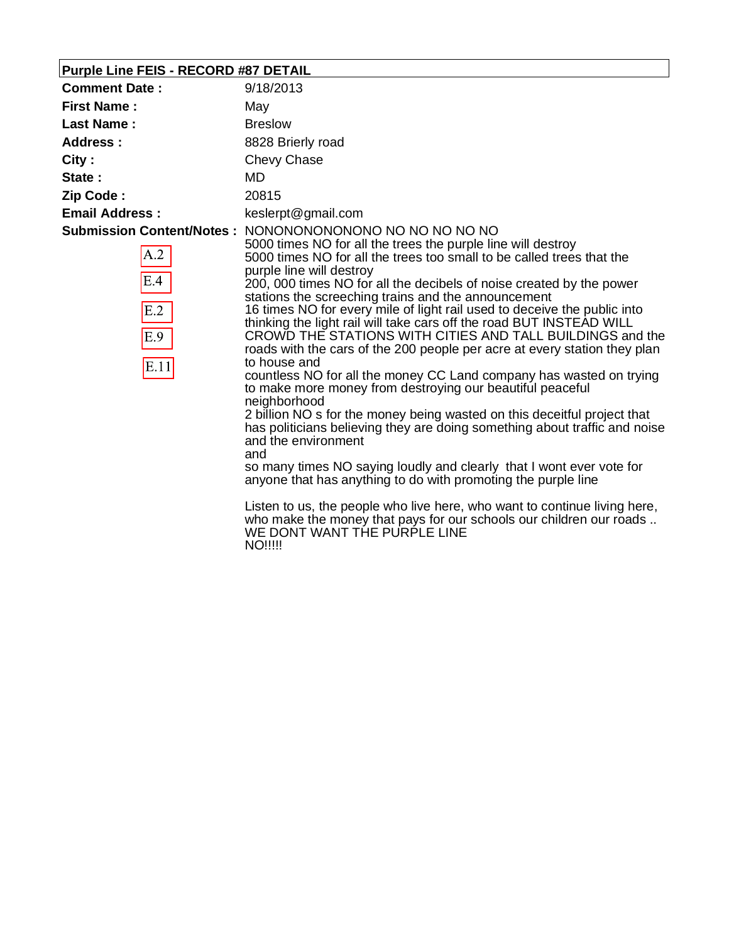# **Purple Line FEIS - RECORD #87 DETAIL**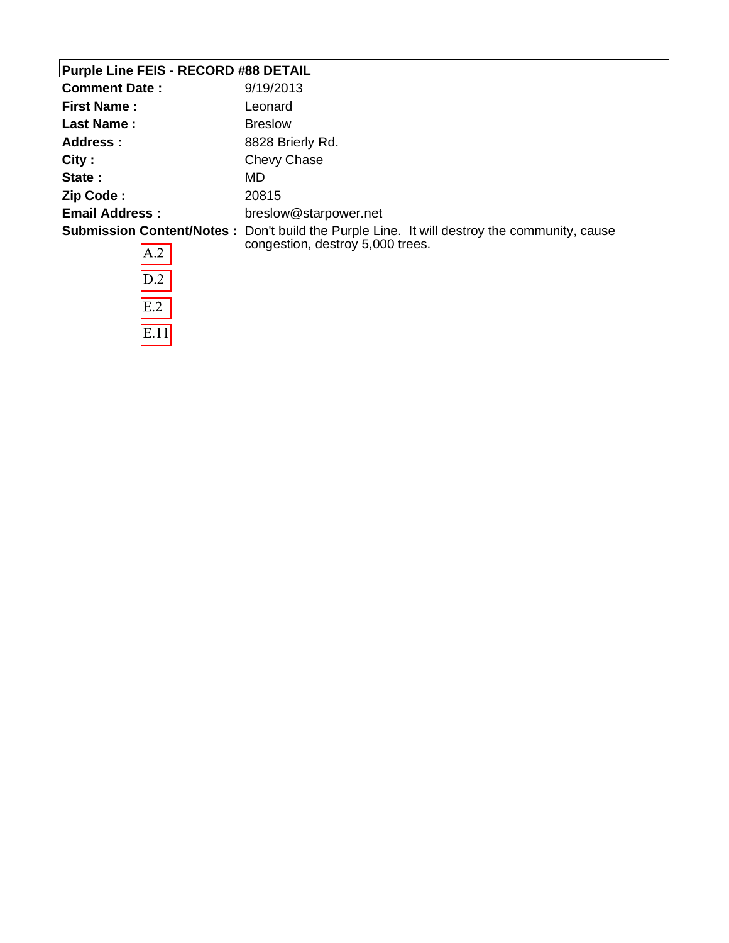### **Purple Line FEIS - RECORD #88 DETAIL**

| <b>Comment Date:</b>  | 9/19/2013                                                                                                                              |
|-----------------------|----------------------------------------------------------------------------------------------------------------------------------------|
| <b>First Name:</b>    | Leonard                                                                                                                                |
| Last Name:            | <b>Breslow</b>                                                                                                                         |
| Address :             | 8828 Brierly Rd.                                                                                                                       |
| City:                 | Chevy Chase                                                                                                                            |
| State:                | MD.                                                                                                                                    |
| Zip Code:             | 20815                                                                                                                                  |
| <b>Email Address:</b> | breslow@starpower.net                                                                                                                  |
| A.2                   | <b>Submission Content/Notes:</b> Don't build the Purple Line. It will destroy the community, cause<br>congestion, destroy 5,000 trees. |

| A.Z  |
|------|
| D.2  |
| E.2  |
| E.11 |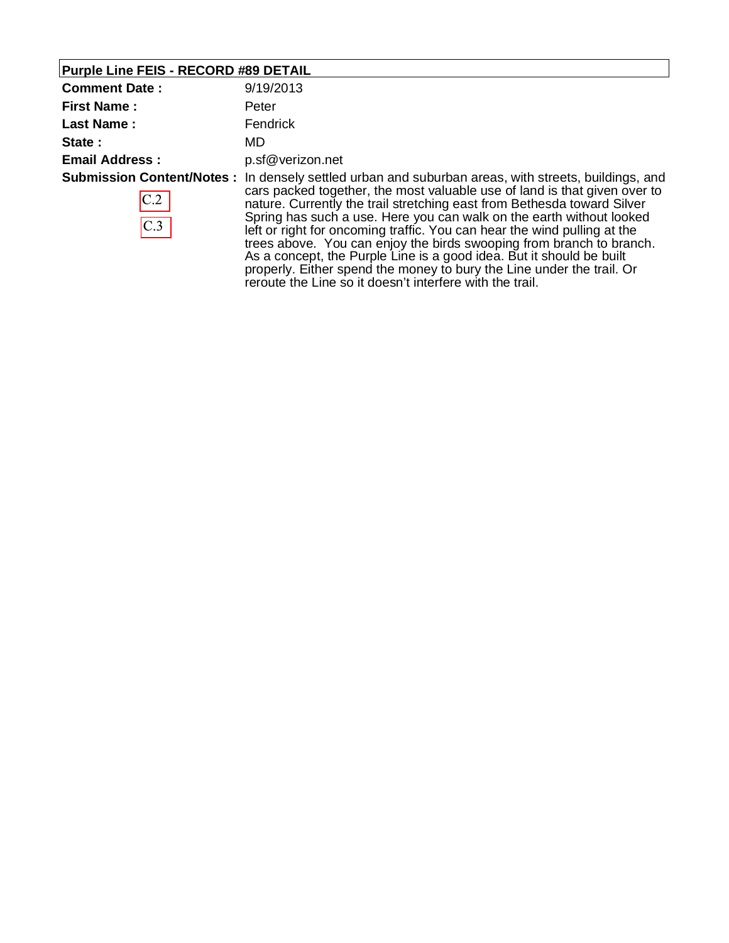### **Purple Line FEIS - RECORD #89 DETAIL**

| <b>Comment Date:</b>                           | 9/19/2013                                                                                                                                                                                                                                                                                                                                                                                                                                                     |
|------------------------------------------------|---------------------------------------------------------------------------------------------------------------------------------------------------------------------------------------------------------------------------------------------------------------------------------------------------------------------------------------------------------------------------------------------------------------------------------------------------------------|
| <b>First Name:</b>                             | Peter                                                                                                                                                                                                                                                                                                                                                                                                                                                         |
| <b>Last Name:</b>                              | Fendrick                                                                                                                                                                                                                                                                                                                                                                                                                                                      |
| State:                                         | MD.                                                                                                                                                                                                                                                                                                                                                                                                                                                           |
| <b>Email Address:</b>                          | p.sf@verizon.net                                                                                                                                                                                                                                                                                                                                                                                                                                              |
| <b>Submission Content/Notes:</b><br>C.2<br>C.3 | In densely settled urban and suburban areas, with streets, buildings, and<br>cars packed together, the most valuable use of land is that given over to<br>nature. Currently the trail stretching east from Bethesda toward Silver<br>Spring has such a use. Here you can walk on the earth without looked<br>left or right for oncoming traffic. You can hear the wind pulling at the<br>trees above. You can enjoy the birds swooping from branch to branch. |

As a concept, the Purple Line is a good idea. But it should be built properly. Either spend the money to bury the Line under the trail. Or

reroute the Line so it doesn't interfere with the trail.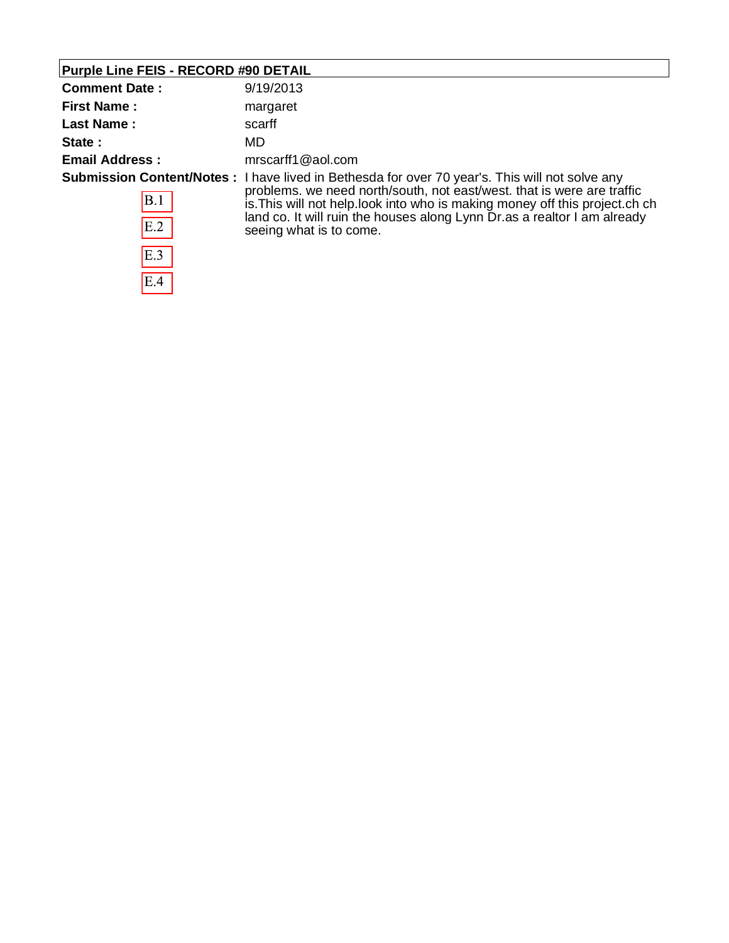### **Purple Line FEIS - RECORD #90 DETAIL**

 $\overline{E.4}$ 

| <b>Comment Date:</b>  | 9/19/2013                                                                                                                                              |
|-----------------------|--------------------------------------------------------------------------------------------------------------------------------------------------------|
| <b>First Name:</b>    | margaret                                                                                                                                               |
| <b>Last Name:</b>     | scarff                                                                                                                                                 |
| State:                | MD                                                                                                                                                     |
| <b>Email Address:</b> | mrscarff1@aol.com                                                                                                                                      |
|                       | <b>Submission Content/Notes:</b> I have lived in Bethesda for over 70 year's. This will not solve any                                                  |
| B.1                   | problems. we need north/south, not east/west. that is were are traffic<br>is. This will not help look into who is making money off this project. ch ch |
| E.2                   | land co. It will ruin the houses along Lynn Dr.as a realtor I am already<br>seeing what is to come.                                                    |
| E.3                   |                                                                                                                                                        |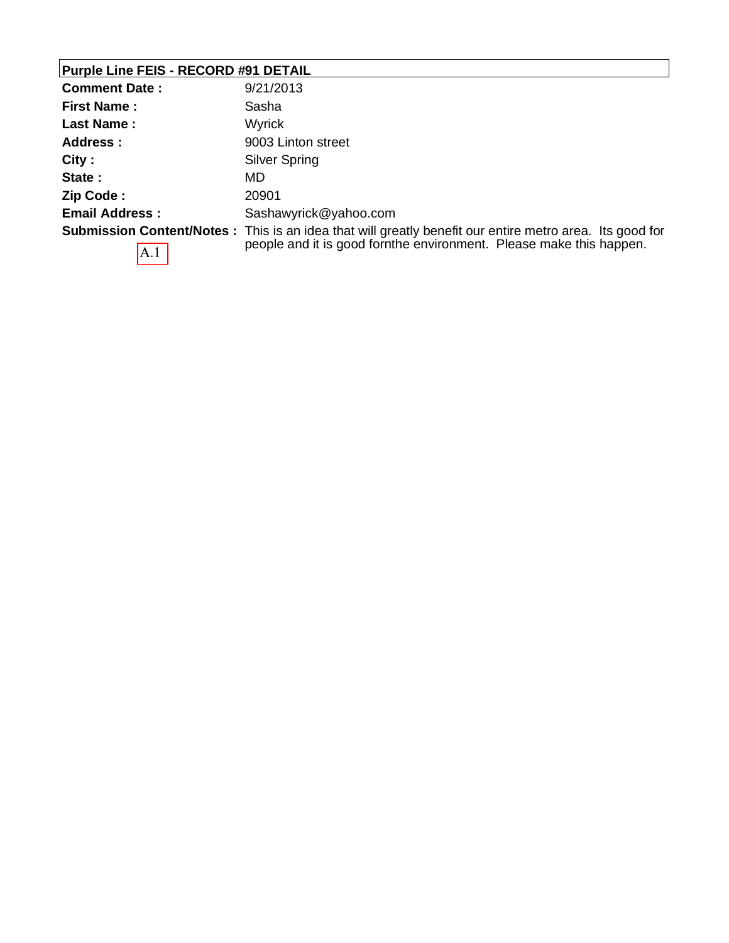# **Purple Line FEIS - RECORD #91 DETAIL**

| <b>Comment Date:</b>  | 9/21/2013                                                                                                                                                                              |
|-----------------------|----------------------------------------------------------------------------------------------------------------------------------------------------------------------------------------|
| <b>First Name:</b>    | Sasha                                                                                                                                                                                  |
| <b>Last Name:</b>     | <b>Wyrick</b>                                                                                                                                                                          |
| Address:              | 9003 Linton street                                                                                                                                                                     |
| City:                 | Silver Spring                                                                                                                                                                          |
| State:                | MD.                                                                                                                                                                                    |
| Zip Code:             | 20901                                                                                                                                                                                  |
| <b>Email Address:</b> | Sashawyrick@yahoo.com                                                                                                                                                                  |
| A.1                   | <b>Submission Content/Notes</b> : This is an idea that will greatly benefit our entire metro area. Its good for<br>people and it is good fornthe environment. Please make this happen. |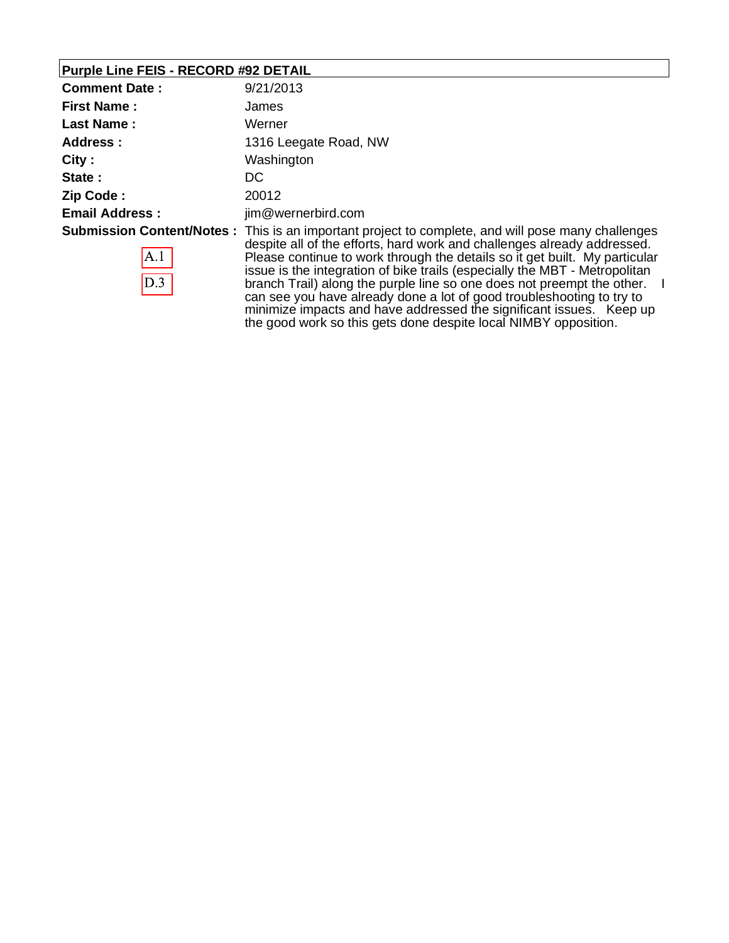### **Purple Line FEIS - RECORD #92 DETAIL**

| <b>Comment Date:</b>  | 9/21/2013                                                                                                                                                                                                                                                                                                                                                                                                                                                                                             |
|-----------------------|-------------------------------------------------------------------------------------------------------------------------------------------------------------------------------------------------------------------------------------------------------------------------------------------------------------------------------------------------------------------------------------------------------------------------------------------------------------------------------------------------------|
| <b>First Name:</b>    | James                                                                                                                                                                                                                                                                                                                                                                                                                                                                                                 |
| <b>Last Name:</b>     | Werner                                                                                                                                                                                                                                                                                                                                                                                                                                                                                                |
| <b>Address:</b>       | 1316 Leegate Road, NW                                                                                                                                                                                                                                                                                                                                                                                                                                                                                 |
| City:                 | Washington                                                                                                                                                                                                                                                                                                                                                                                                                                                                                            |
| State:                | DC                                                                                                                                                                                                                                                                                                                                                                                                                                                                                                    |
| Zip Code:             | 20012                                                                                                                                                                                                                                                                                                                                                                                                                                                                                                 |
| <b>Email Address:</b> | jim@wernerbird.com                                                                                                                                                                                                                                                                                                                                                                                                                                                                                    |
| $\mathbf{A}.1$<br>D.3 | <b>Submission Content/Notes</b> : This is an important project to complete, and will pose many challenges<br>despite all of the efforts, hard work and challenges already addressed.<br>Please continue to work through the details so it get built. My particular<br>issue is the integration of bike trails (especially the MBT - Metropolitan<br>branch Trail) along the purple line so one does not preempt the other. I<br>can see you have already done a lot of good troubleshooting to try to |

minimize impacts and have addressed the significant issues. Keep up the good work so this gets done despite local NIMBY opposition.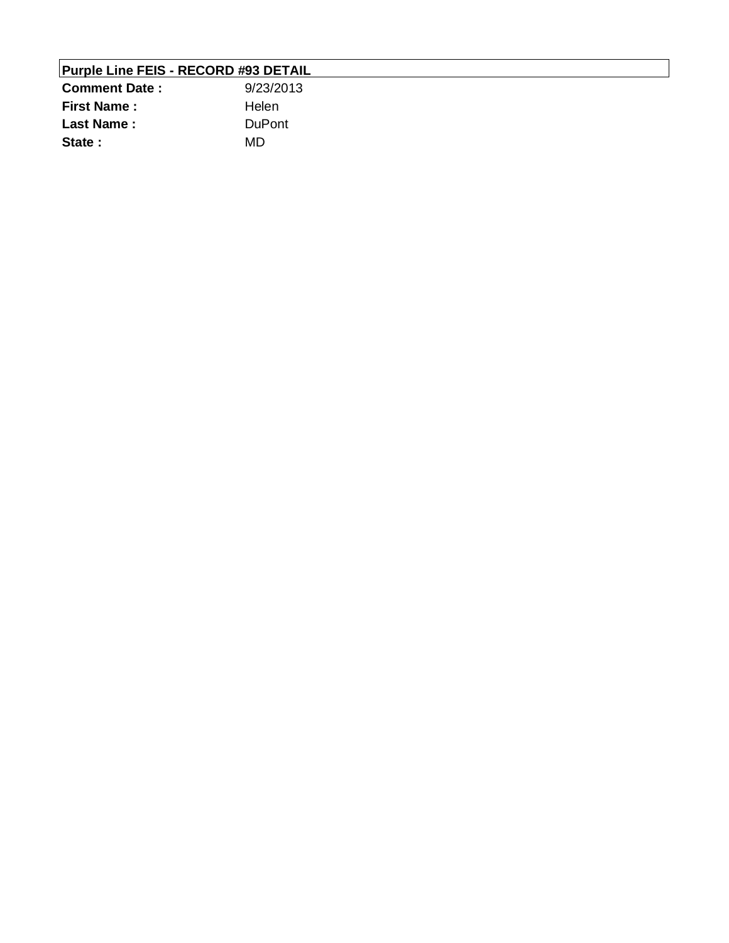| <b>Purple Line FEIS - RECORD #93 DETAIL</b> |               |  |
|---------------------------------------------|---------------|--|
| <b>Comment Date:</b>                        | 9/23/2013     |  |
| <b>First Name:</b>                          | Helen         |  |
| <b>Last Name:</b>                           | <b>DuPont</b> |  |
| State:                                      | MD.           |  |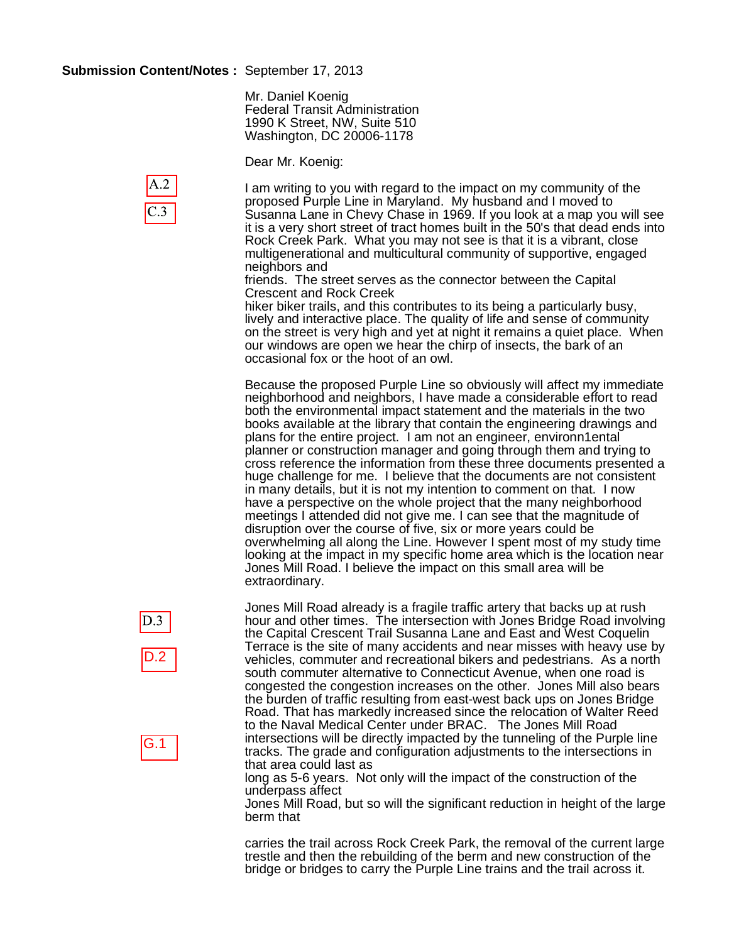#### **Submission Content/Notes :** September 17, 2013

A.2

 $C.3$ 

Mr. Daniel Koenig Federal Transit Administration 1990 K Street, NW, Suite 510 Washington, DC 20006-1178

Dear Mr. Koenig:

I am writing to you with regard to the impact on my community of the proposed Purple Line in Maryland. My husband and I moved to Susanna Lane in Chevy Chase in 1969. If you look at a map you will see it is a very short street of tract homes built in the 50's that dead ends into Rock Creek Park. What you may not see is that it is a vibrant, close multigenerational and multicultural community of supportive, engaged neighbors and

friends. The street serves as the connector between the Capital Crescent and Rock Creek

hiker biker trails, and this contributes to its being a particularly busy, lively and interactive place. The quality of life and sense of community on the street is very high and yet at night it remains a quiet place. When our windows are open we hear the chirp of insects, the bark of an occasional fox or the hoot of an owl.

Because the proposed Purple Line so obviously will affect my immediate neighborhood and neighbors, I have made a considerable effort to read both the environmental impact statement and the materials in the two books available at the library that contain the engineering drawings and plans for the entire project. I am not an engineer, environn1ental planner or construction manager and going through them and trying to cross reference the information from these three documents presented a huge challenge for me. I believe that the documents are not consistent in many details, but it is not my intention to comment on that. I now have a perspective on the whole project that the many neighborhood meetings I attended did not give me. I can see that the magnitude of disruption over the course of five, six or more years could be overwhelming all along the Line. However I spent most of my study time looking at the impact in my specific home area which is the location near Jones Mill Road. I believe the impact on this small area will be extraordinary.



G.1

Jones Mill Road already is a fragile traffic artery that backs up at rush hour and other times. The intersection with Jones Bridge Road involving the Capital Crescent Trail Susanna Lane and East and West Coquelin Terrace is the site of many accidents and near misses with heavy use by vehicles, commuter and recreational bikers and pedestrians. As a north south commuter alternative to Connecticut Avenue, when one road is congested the congestion increases on the other. Jones Mill also bears the burden of traffic resulting from east-west back ups on Jones Bridge Road. That has markedly increased since the relocation of Walter Reed to the Naval Medical Center under BRAC. The Jones Mill Road intersections will be directly impacted by the tunneling of the Purple line tracks. The grade and configuration adjustments to the intersections in that area could last as

long as 5-6 years. Not only will the impact of the construction of the underpass affect

Jones Mill Road, but so will the significant reduction in height of the large berm that

carries the trail across Rock Creek Park, the removal of the current large trestle and then the rebuilding of the berm and new construction of the bridge or bridges to carry the Purple Line trains and the trail across it.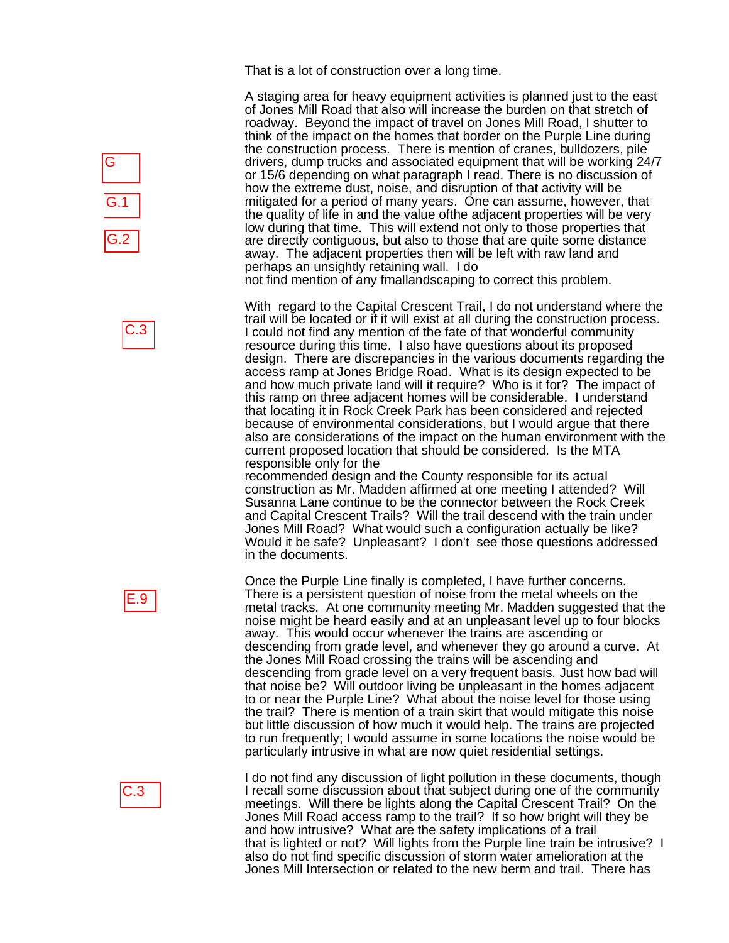That is a lot of construction over a long time.

A staging area for heavy equipment activities is planned just to the east of Jones Mill Road that also will increase the burden on that stretch of roadway. Beyond the impact of travel on Jones Mill Road, I shutter to think of the impact on the homes that border on the Purple Line during the construction process. There is mention of cranes, bulldozers, pile drivers, dump trucks and associated equipment that will be working 24/7 or 15/6 depending on what paragraph I read. There is no discussion of how the extreme dust, noise, and disruption of that activity will be mitigated for a period of many years. One can assume, however, that the quality of life in and the value ofthe adjacent properties will be very low during that time. This will extend not only to those properties that are directly contiguous, but also to those that are quite some distance away. The adjacent properties then will be left with raw land and perhaps an unsightly retaining wall. I do

not find mention of any fmallandscaping to correct this problem.

With regard to the Capital Crescent Trail, I do not understand where the trail will be located or if it will exist at all during the construction process. I could not find any mention of the fate of that wonderful community resource during this time. I also have questions about its proposed design. There are discrepancies in the various documents regarding the access ramp at Jones Bridge Road. What is its design expected to be and how much private land will it require? Who is it for? The impact of this ramp on three adjacent homes will be considerable. I understand that locating it in Rock Creek Park has been considered and rejected because of environmental considerations, but I would argue that there also are considerations of the impact on the human environment with the current proposed location that should be considered. Is the MTA responsible only for the

recommended design and the County responsible for its actual construction as Mr. Madden affirmed at one meeting I attended? Will Susanna Lane continue to be the connector between the Rock Creek and Capital Crescent Trails? Will the trail descend with the train under Jones Mill Road? What would such a configuration actually be like? Would it be safe? Unpleasant? I don't see those questions addressed in the documents.

Once the Purple Line finally is completed, I have further concerns. There is a persistent question of noise from the metal wheels on the metal tracks. At one community meeting Mr. Madden suggested that the noise might be heard easily and at an unpleasant level up to four blocks away. This would occur whenever the trains are ascending or descending from grade level, and whenever they go around a curve. At the Jones Mill Road crossing the trains will be ascending and descending from grade level on a very frequent basis. Just how bad will that noise be? Will outdoor living be unpleasant in the homes adjacent to or near the Purple Line? What about the noise level for those using the trail? There is mention of a train skirt that would mitigate this noise but little discussion of how much it would help. The trains are projected to run frequently; I would assume in some locations the noise would be particularly intrusive in what are now quiet residential settings.

I do not find any discussion of light pollution in these documents, though I recall some discussion about that subject during one of the community meetings. Will there be lights along the Capital Crescent Trail? On the Jones Mill Road access ramp to the trail? If so how bright will they be and how intrusive? What are the safety implications of a trail that is lighted or not? Will lights from the Purple line train be intrusive? I also do not find specific discussion of storm water amelioration at the Jones Mill Intersection or related to the new berm and trail. There has



C.3



### C.3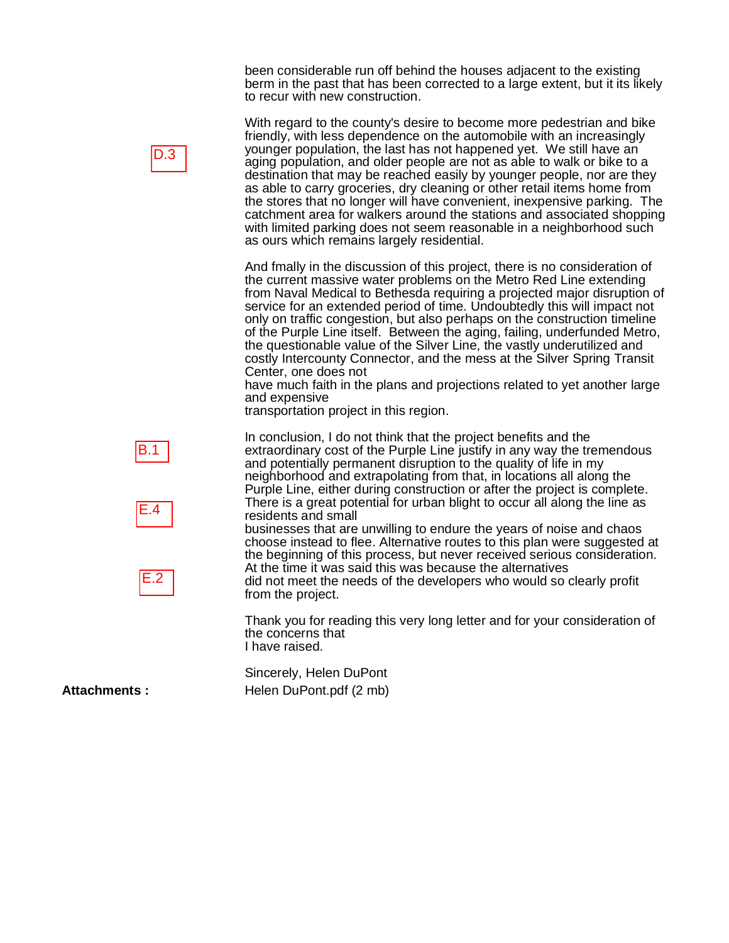been considerable run off behind the houses adjacent to the existing berm in the past that has been corrected to a large extent, but it its likely to recur with new construction.

With regard to the county's desire to become more pedestrian and bike friendly, with less dependence on the automobile with an increasingly younger population, the last has not happened yet. We still have an aging population, and older people are not as able to walk or bike to a destination that may be reached easily by younger people, nor are they as able to carry groceries, dry cleaning or other retail items home from the stores that no longer will have convenient, inexpensive parking. The catchment area for walkers around the stations and associated shopping with limited parking does not seem reasonable in a neighborhood such as ours which remains largely residential.

And fmally in the discussion of this project, there is no consideration of the current massive water problems on the Metro Red Line extending from Naval Medical to Bethesda requiring a projected major disruption of service for an extended period of time. Undoubtedly this will impact not only on traffic congestion, but also perhaps on the construction timeline of the Purple Line itself. Between the aging, failing, underfunded Metro, the questionable value of the Silver Line, the vastly underutilized and costly Intercounty Connector, and the mess at the Silver Spring Transit Center, one does not

have much faith in the plans and projections related to yet another large and expensive

transportation project in this region.

In conclusion, I do not think that the project benefits and the extraordinary cost of the Purple Line justify in any way the tremendous and potentially permanent disruption to the quality of life in my neighborhood and extrapolating from that, in locations all along the Purple Line, either during construction or after the project is complete. There is a great potential for urban blight to occur all along the line as residents and small

businesses that are unwilling to endure the years of noise and chaos choose instead to flee. Alternative routes to this plan were suggested at the beginning of this process, but never received serious consideration. At the time it was said this was because the alternatives did not meet the needs of the developers who would so clearly profit from the project.

Thank you for reading this very long letter and for your consideration of the concerns that I have raised.

Sincerely, Helen DuPont Attachments : Helen DuPont.pdf (2 mb)

D.3





E.2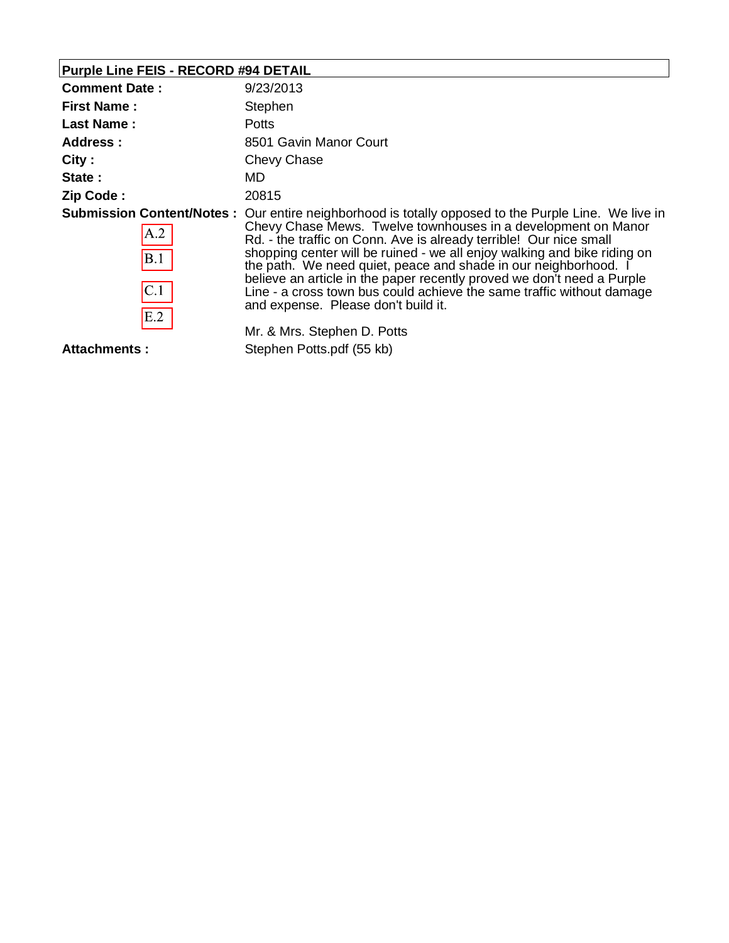| Purple Line FEIS - RECORD #94 DETAIL |  |
|--------------------------------------|--|
|--------------------------------------|--|

| <b>Comment Date:</b>                                         | 9/23/2013                                                                                                                                                                                                                                                                                                                                                                                                                                                                                                                                                 |  |
|--------------------------------------------------------------|-----------------------------------------------------------------------------------------------------------------------------------------------------------------------------------------------------------------------------------------------------------------------------------------------------------------------------------------------------------------------------------------------------------------------------------------------------------------------------------------------------------------------------------------------------------|--|
| <b>First Name:</b>                                           | Stephen                                                                                                                                                                                                                                                                                                                                                                                                                                                                                                                                                   |  |
| Last Name:                                                   | <b>Potts</b>                                                                                                                                                                                                                                                                                                                                                                                                                                                                                                                                              |  |
| <b>Address:</b>                                              | 8501 Gavin Manor Court                                                                                                                                                                                                                                                                                                                                                                                                                                                                                                                                    |  |
| City:                                                        | Chevy Chase                                                                                                                                                                                                                                                                                                                                                                                                                                                                                                                                               |  |
| State:                                                       | MD.                                                                                                                                                                                                                                                                                                                                                                                                                                                                                                                                                       |  |
| Zip Code:                                                    | 20815                                                                                                                                                                                                                                                                                                                                                                                                                                                                                                                                                     |  |
| <b>Submission Content/Notes:</b><br>A.2<br>B.1<br>C.1<br>E.2 | Our entire neighborhood is totally opposed to the Purple Line. We live in<br>Chevy Chase Mews. Twelve townhouses in a development on Manor<br>Rd. - the traffic on Conn. Ave is already terrible! Our nice small<br>shopping center will be ruined - we all enjoy walking and bike riding on<br>the path. We need quiet, peace and shade in our neighborhood. I<br>believe an article in the paper recently proved we don't need a Purple<br>Line - a cross town bus could achieve the same traffic without damage<br>and expense. Please don't build it. |  |
|                                                              | Mr. & Mrs. Stephen D. Potts                                                                                                                                                                                                                                                                                                                                                                                                                                                                                                                               |  |
| Attachments:                                                 | Stephen Potts.pdf (55 kb)                                                                                                                                                                                                                                                                                                                                                                                                                                                                                                                                 |  |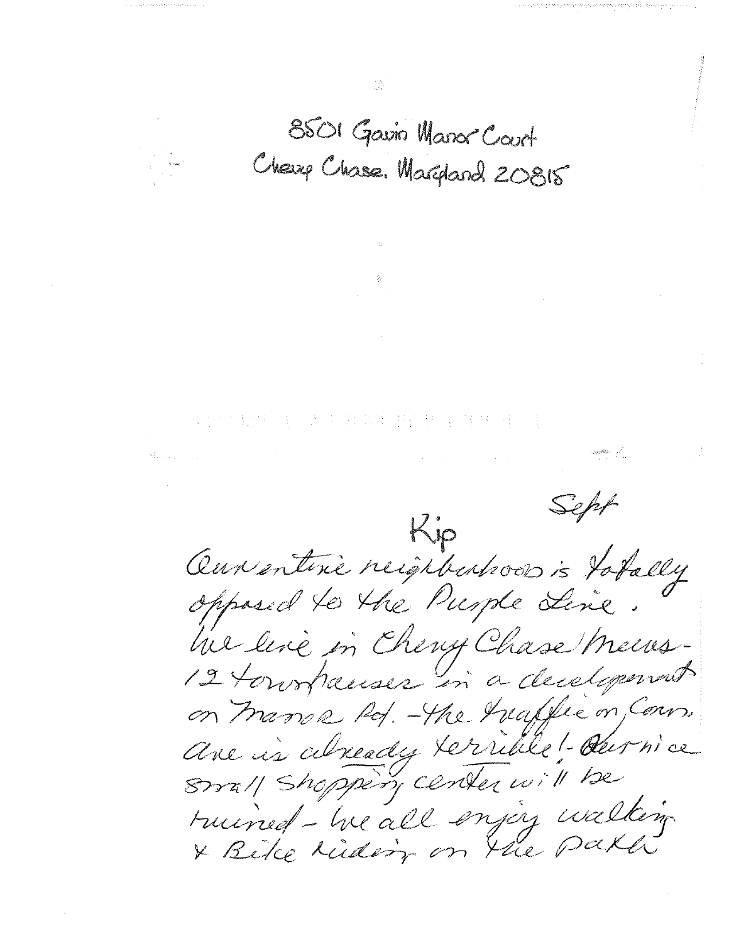8501 Gavin Manor Court Cherry Chase. Margard 20815

 $\label{eq:2.1} \frac{1}{2\pi}\frac{\partial}{\partial t} \frac{\partial}{\partial t} = 0 \quad .$ 

 $\mathcal{O}(\mathcal{O}_\mathcal{O})$  . The set of  $\mathcal{O}(\mathcal{O}_\mathcal{O})$  is a set of  $\mathcal{O}(\mathcal{O}_\mathcal{O})$ 

第四章 第四章 大夫事件 出生于四年十月

.<br>Maria de la constitución de la constitución de la constitución de la constitución de la constitución de la con  $\label{eq:4} \mathcal{L}=\frac{1}{\sqrt{2\pi\hbar^2}}\frac{\partial\mathcal{L}^2}{\partial\mathcal{L}^2}\frac{\partial}{\partial\mathcal{L}^2}\frac{\partial}{\partial\mathcal{L}^2}\frac{\partial}{\partial\mathcal{L}^2}\frac{\partial}{\partial\mathcal{L}^2}\frac{\partial}{\partial\mathcal{L}^2}\frac{\partial}{\partial\mathcal{L}^2}\frac{\partial}{\partial\mathcal{L}^2}\frac{\partial}{\partial\mathcal{L}^2}\frac{\partial}{\partial\mathcal{L}^2}\frac{\partial}{\partial\mathcal{L}^2}\frac{\partial}{\partial\mathcal{L}^2}\frac$ 

 $\mathcal{L}^{\mathcal{L}}(\mathcal{L}^{\mathcal{L}})$  and  $\mathcal{L}^{\mathcal{L}}(\mathcal{L}^{\mathcal{L}})$  and  $\mathcal{L}^{\mathcal{L}}(\mathcal{L}^{\mathcal{L}})$  and  $\mathcal{L}^{\mathcal{L}}(\mathcal{L}^{\mathcal{L}})$ 

Sept Kip Our entire reighborhood is totally opposed to the Purple Line. he line in Cherry Chase Mens-12 tourhauses in a decelopement on trange Rd. - the healthe on Cours. ave is already terrible! durnice Small Shoppery center will be ruined - he all enjoy walking & Bike tiding on the paker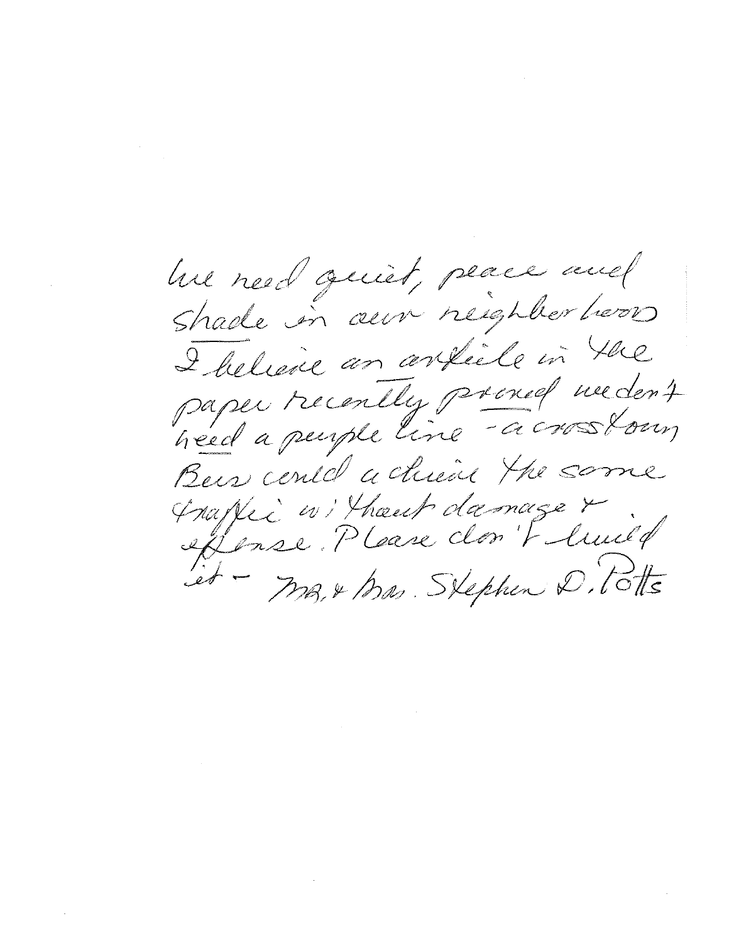he hed quiet, peace and Shade in aux neighborhers I believe an article in the paper recently prened medent Bus center a chiene the same Inapper avi Thoust damage & iet - MB, & Mas. Stephen D. Totts

 $\mathcal{L}_{\text{max}}$  and  $\mathcal{L}_{\text{max}}$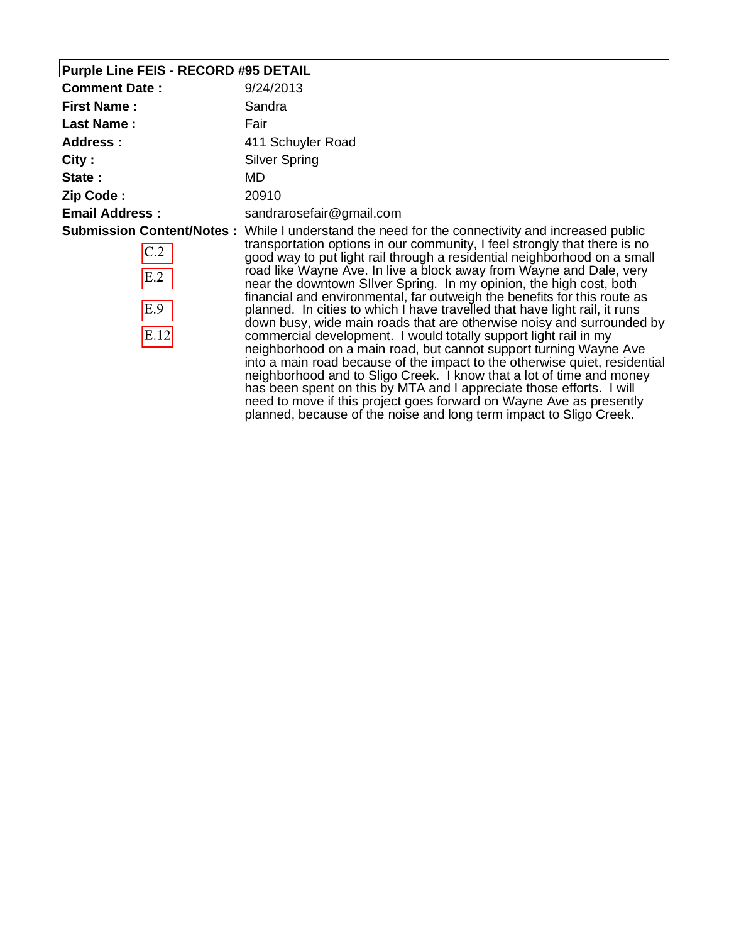# **Purple Line FEIS - RECORD #95 DETAIL**

| <b>Comment Date:</b>      | 9/24/2013                                                                                                                                                                                                                                                                                                                                                                                                                                                                                                                                                                                                                                                                                                                                                                                                                                                                                                                                                                                                                                                                                      |  |
|---------------------------|------------------------------------------------------------------------------------------------------------------------------------------------------------------------------------------------------------------------------------------------------------------------------------------------------------------------------------------------------------------------------------------------------------------------------------------------------------------------------------------------------------------------------------------------------------------------------------------------------------------------------------------------------------------------------------------------------------------------------------------------------------------------------------------------------------------------------------------------------------------------------------------------------------------------------------------------------------------------------------------------------------------------------------------------------------------------------------------------|--|
| <b>First Name:</b>        | Sandra                                                                                                                                                                                                                                                                                                                                                                                                                                                                                                                                                                                                                                                                                                                                                                                                                                                                                                                                                                                                                                                                                         |  |
| <b>Last Name:</b>         | Fair                                                                                                                                                                                                                                                                                                                                                                                                                                                                                                                                                                                                                                                                                                                                                                                                                                                                                                                                                                                                                                                                                           |  |
| <b>Address:</b>           | 411 Schuyler Road                                                                                                                                                                                                                                                                                                                                                                                                                                                                                                                                                                                                                                                                                                                                                                                                                                                                                                                                                                                                                                                                              |  |
| City:                     | <b>Silver Spring</b>                                                                                                                                                                                                                                                                                                                                                                                                                                                                                                                                                                                                                                                                                                                                                                                                                                                                                                                                                                                                                                                                           |  |
| State:                    | MD.                                                                                                                                                                                                                                                                                                                                                                                                                                                                                                                                                                                                                                                                                                                                                                                                                                                                                                                                                                                                                                                                                            |  |
| Zip Code:                 | 20910                                                                                                                                                                                                                                                                                                                                                                                                                                                                                                                                                                                                                                                                                                                                                                                                                                                                                                                                                                                                                                                                                          |  |
| <b>Email Address:</b>     | sandrarosefair@gmail.com                                                                                                                                                                                                                                                                                                                                                                                                                                                                                                                                                                                                                                                                                                                                                                                                                                                                                                                                                                                                                                                                       |  |
| C.2<br>E.2<br>E.9<br>E.12 | <b>Submission Content/Notes:</b> While I understand the need for the connectivity and increased public<br>transportation options in our community, I feel strongly that there is no<br>good way to put light rail through a residential neighborhood on a small<br>road like Wayne Ave. In live a block away from Wayne and Dale, very<br>near the downtown Silver Spring. In my opinion, the high cost, both<br>financial and environmental, far outweigh the benefits for this route as<br>planned. In cities to which I have travelled that have light rail, it runs<br>down busy, wide main roads that are otherwise noisy and surrounded by<br>commercial development. I would totally support light rail in my<br>neighborhood on a main road, but cannot support turning Wayne Ave<br>into a main road because of the impact to the otherwise quiet, residential<br>neighborhood and to Sligo Creek. I know that a lot of time and money<br>has been spent on this by MTA and I appreciate those efforts. I will<br>need to move if this project goes forward on Wayne Ave as presently |  |

planned, because of the noise and long term impact to Sligo Creek.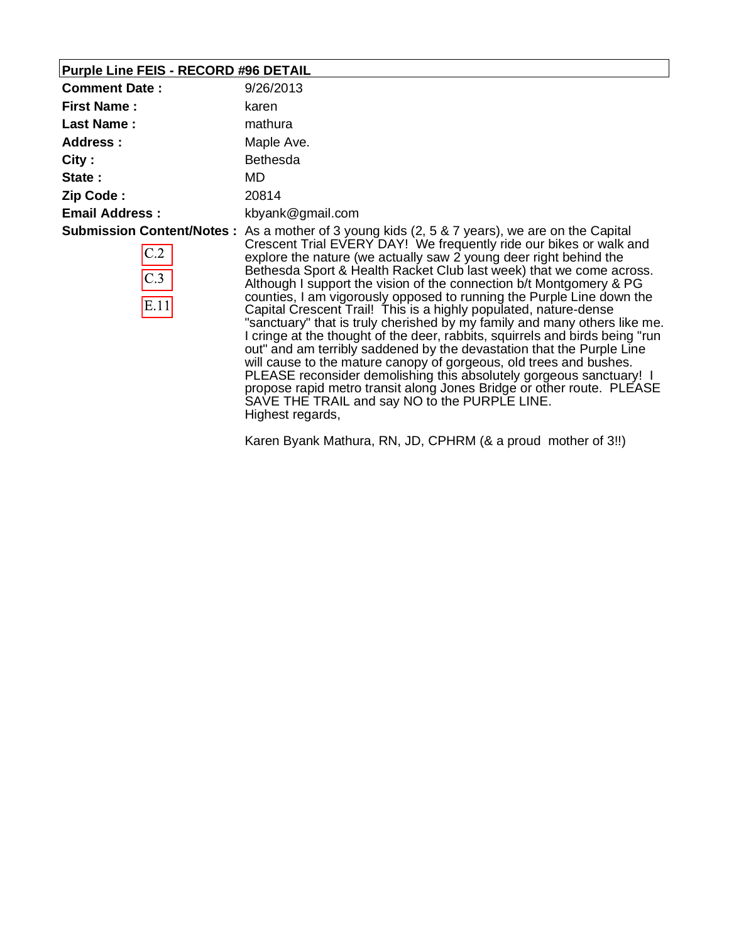# **Purple Line FEIS - RECORD #96 DETAIL**

| <b>Comment Date:</b>            | 9/26/2013                                                                                                                                                                                                                                                                                                                                                                                                                                                                                                                                                                                                                                                                                                                                                                                                                                                                                                                                                                                                                                                                   |  |
|---------------------------------|-----------------------------------------------------------------------------------------------------------------------------------------------------------------------------------------------------------------------------------------------------------------------------------------------------------------------------------------------------------------------------------------------------------------------------------------------------------------------------------------------------------------------------------------------------------------------------------------------------------------------------------------------------------------------------------------------------------------------------------------------------------------------------------------------------------------------------------------------------------------------------------------------------------------------------------------------------------------------------------------------------------------------------------------------------------------------------|--|
| <b>First Name:</b>              | karen                                                                                                                                                                                                                                                                                                                                                                                                                                                                                                                                                                                                                                                                                                                                                                                                                                                                                                                                                                                                                                                                       |  |
| <b>Last Name:</b>               | mathura<br>Maple Ave.                                                                                                                                                                                                                                                                                                                                                                                                                                                                                                                                                                                                                                                                                                                                                                                                                                                                                                                                                                                                                                                       |  |
| <b>Address:</b>                 |                                                                                                                                                                                                                                                                                                                                                                                                                                                                                                                                                                                                                                                                                                                                                                                                                                                                                                                                                                                                                                                                             |  |
| City:                           | <b>Bethesda</b>                                                                                                                                                                                                                                                                                                                                                                                                                                                                                                                                                                                                                                                                                                                                                                                                                                                                                                                                                                                                                                                             |  |
| State:                          | MD.                                                                                                                                                                                                                                                                                                                                                                                                                                                                                                                                                                                                                                                                                                                                                                                                                                                                                                                                                                                                                                                                         |  |
| Zip Code:                       | 20814                                                                                                                                                                                                                                                                                                                                                                                                                                                                                                                                                                                                                                                                                                                                                                                                                                                                                                                                                                                                                                                                       |  |
| <b>Email Address:</b>           | kbyank@gmail.com                                                                                                                                                                                                                                                                                                                                                                                                                                                                                                                                                                                                                                                                                                                                                                                                                                                                                                                                                                                                                                                            |  |
| C.2<br>$\overline{C.3}$<br>E.11 | <b>Submission Content/Notes:</b> As a mother of 3 young kids (2, 5 & 7 years), we are on the Capital<br>Crescent Trial EVERY DAY! We frequently ride our bikes or walk and<br>explore the nature (we actually saw 2 young deer right behind the<br>Bethesda Sport & Health Racket Club last week) that we come across.<br>Although I support the vision of the connection b/t Montgomery & PG<br>counties, I am vigorously opposed to running the Purple Line down the<br>Capital Crescent Trail! This is a highly populated, nature-dense<br>"sanctuary" that is truly cherished by my family and many others like me.<br>I cringe at the thought of the deer, rabbits, squirrels and birds being "run<br>out" and am terribly saddened by the devastation that the Purple Line<br>will cause to the mature canopy of gorgeous, old trees and bushes.<br>PLEASE reconsider demolishing this absolutely gorgeous sanctuary! I<br>propose rapid metro transit along Jones Bridge or other route. PLEASE<br>SAVE THE TRAIL and say NO to the PURPLE LINE.<br>Highest regards, |  |

Karen Byank Mathura, RN, JD, CPHRM (& a proud mother of 3!!)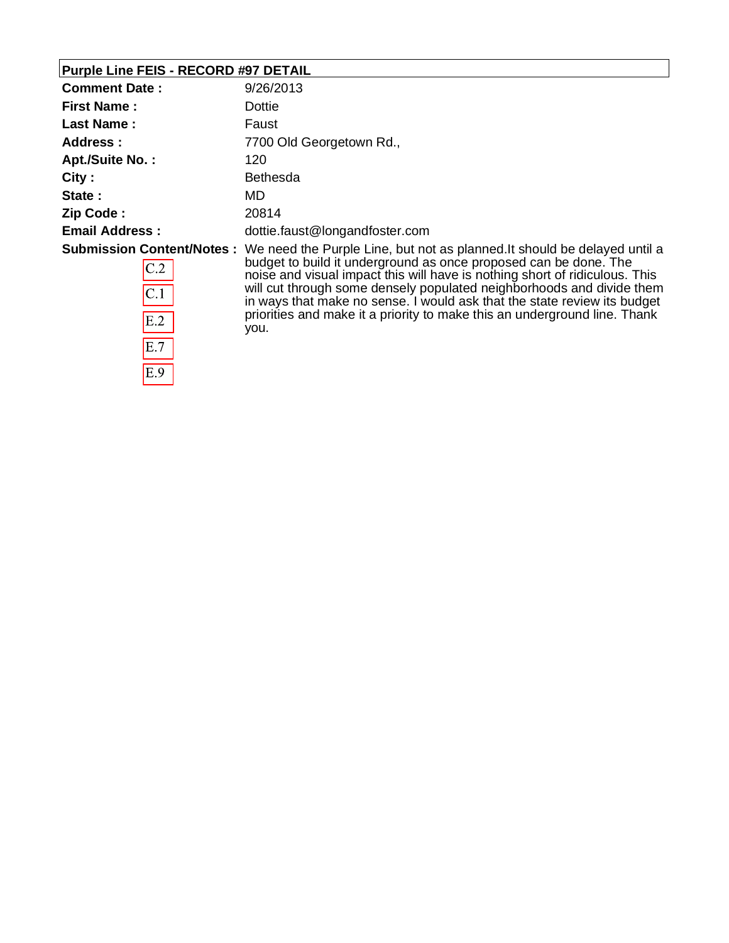### **Purple Line FEIS - RECORD #97 DETAIL**

| <b>Comment Date:</b>             | 9/26/2013                                                                                                                                         |
|----------------------------------|---------------------------------------------------------------------------------------------------------------------------------------------------|
| <b>First Name:</b>               | Dottie                                                                                                                                            |
| <b>Last Name:</b>                | Faust                                                                                                                                             |
| Address:                         | 7700 Old Georgetown Rd.,                                                                                                                          |
| <b>Apt./Suite No.:</b>           | 120                                                                                                                                               |
| City:                            | <b>Bethesda</b>                                                                                                                                   |
| State:                           | MD.                                                                                                                                               |
| Zip Code:                        | 20814                                                                                                                                             |
| <b>Email Address:</b>            | dottie.faust@longandfoster.com                                                                                                                    |
| <b>Submission Content/Notes:</b> | We need the Purple Line, but not as planned. It should be delayed until a                                                                         |
| C.2                              | budget to build it underground as once proposed can be done. The<br>noise and visual impact this will have is nothing short of ridiculous. This   |
| C.1                              | will cut through some densely populated neighborhoods and divide them<br>in ways that make no sense. I would ask that the state review its budget |
| E.2                              | priorities and make it a priority to make this an underground line. Thank<br>you.                                                                 |
| E.7                              |                                                                                                                                                   |
| E.9                              |                                                                                                                                                   |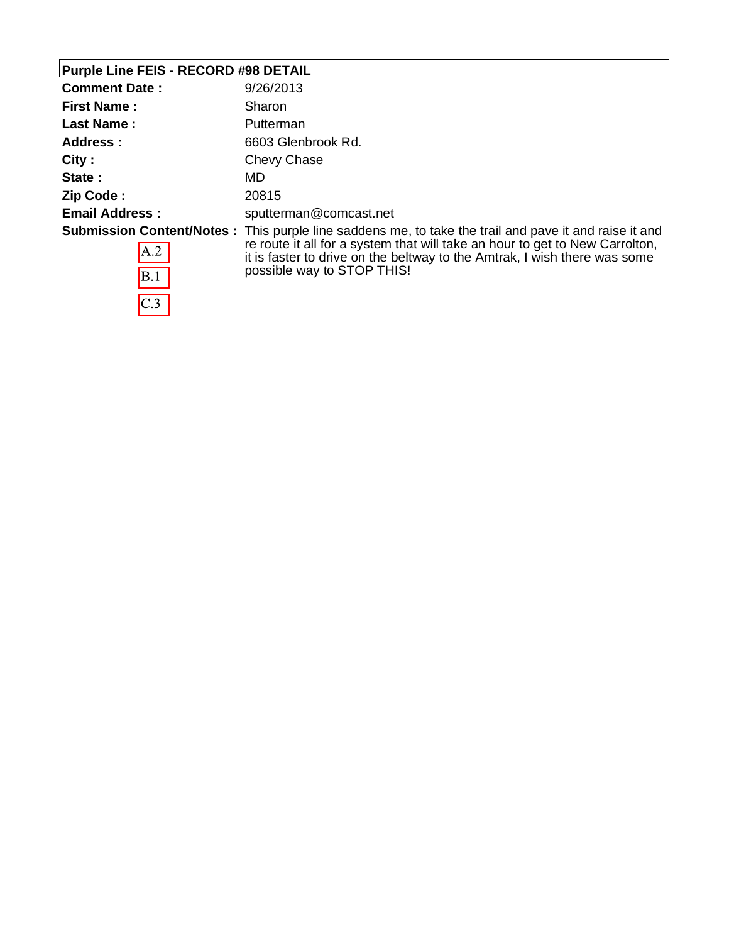# **Purple Line FEIS - RECORD #98 DETAIL**

 $\overline{C.3}$ 

| <b>Comment Date:</b>  | 9/26/2013                                                                                                                                                                                                                                                                                                |  |
|-----------------------|----------------------------------------------------------------------------------------------------------------------------------------------------------------------------------------------------------------------------------------------------------------------------------------------------------|--|
| <b>First Name:</b>    | Sharon                                                                                                                                                                                                                                                                                                   |  |
| <b>Last Name:</b>     | Putterman                                                                                                                                                                                                                                                                                                |  |
| Address :             | 6603 Glenbrook Rd.                                                                                                                                                                                                                                                                                       |  |
| City:                 | Chevy Chase                                                                                                                                                                                                                                                                                              |  |
| State:                | MD.                                                                                                                                                                                                                                                                                                      |  |
| Zip Code:             | 20815                                                                                                                                                                                                                                                                                                    |  |
| <b>Email Address:</b> | sputterman@comcast.net                                                                                                                                                                                                                                                                                   |  |
| A.2<br>B.1            | <b>Submission Content/Notes</b> : This purple line saddens me, to take the trail and pave it and raise it and<br>re route it all for a system that will take an hour to get to New Carrolton,<br>it is faster to drive on the beltway to the Amtrak, I wish there was some<br>possible way to STOP THIS! |  |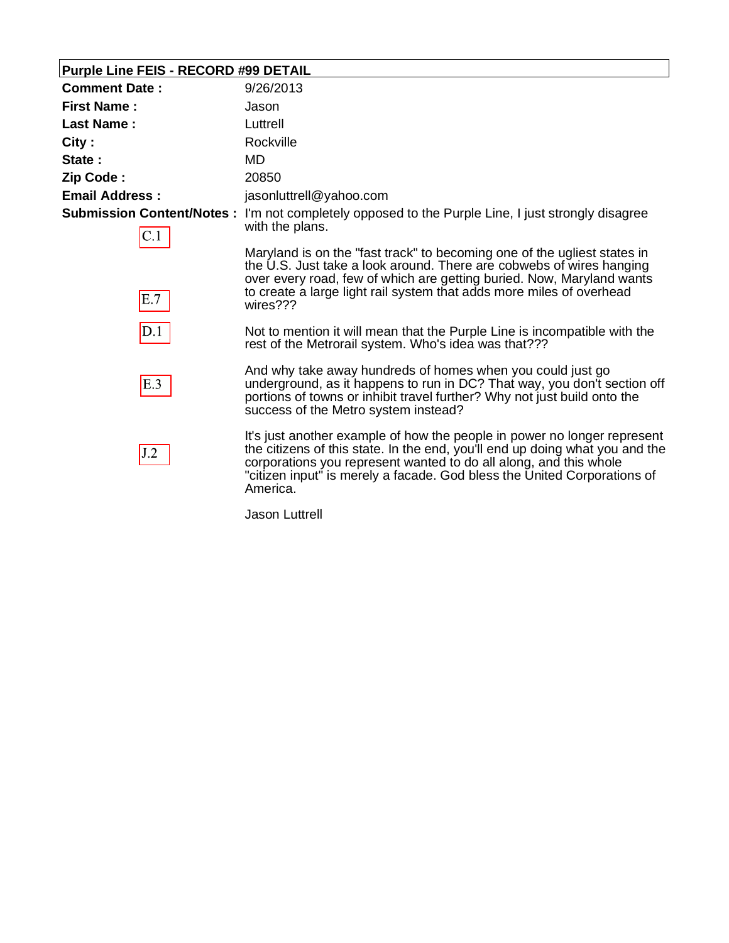# **Purple Line FEIS - RECORD #99 DETAIL**

| <b>Comment Date:</b>  | 9/26/2013                                                                                                                                                                                                                                                                                                             |
|-----------------------|-----------------------------------------------------------------------------------------------------------------------------------------------------------------------------------------------------------------------------------------------------------------------------------------------------------------------|
| <b>First Name :</b>   | Jason                                                                                                                                                                                                                                                                                                                 |
| <b>Last Name:</b>     | Luttrell                                                                                                                                                                                                                                                                                                              |
| City :                | Rockville                                                                                                                                                                                                                                                                                                             |
| State:                | MD                                                                                                                                                                                                                                                                                                                    |
| Zip Code :            | 20850                                                                                                                                                                                                                                                                                                                 |
| <b>Email Address:</b> | jasonluttrell@yahoo.com                                                                                                                                                                                                                                                                                               |
| $\mathop{\rm C}.1$    | <b>Submission Content/Notes:</b> I'm not completely opposed to the Purple Line, I just strongly disagree<br>with the plans.                                                                                                                                                                                           |
| E.7                   | Maryland is on the "fast track" to becoming one of the ugliest states in<br>the U.S. Just take a look around. There are cobwebs of wires hanging<br>over every road, few of which are getting buried. Now, Maryland wants<br>to create a large light rail system that adds more miles of overhead<br>wires???         |
| D.1                   | Not to mention it will mean that the Purple Line is incompatible with the<br>rest of the Metrorail system. Who's idea was that???                                                                                                                                                                                     |
| E.3                   | And why take away hundreds of homes when you could just go<br>underground, as it happens to run in DC? That way, you don't section off<br>portions of towns or inhibit travel further? Why not just build onto the<br>success of the Metro system instead?                                                            |
| J.2                   | It's just another example of how the people in power no longer represent<br>the citizens of this state. In the end, you'll end up doing what you and the<br>corporations you represent wanted to do all along, and this whole<br>"citizen input" is merely a facade. God bless the United Corporations of<br>America. |

Jason Luttrell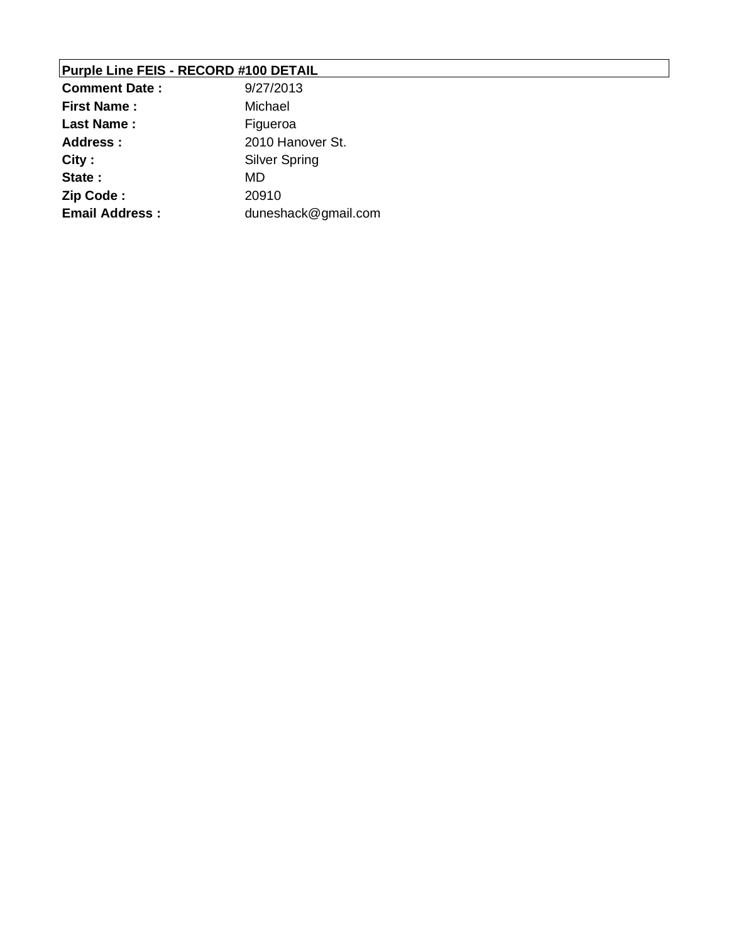### **Purple Line FEIS - RECORD #100 DETAIL**

| <b>Comment Date:</b>  | 9/27/2013            |
|-----------------------|----------------------|
| <b>First Name:</b>    | Michael              |
| <b>Last Name:</b>     | Figueroa             |
| Address :             | 2010 Hanover St.     |
| City:                 | <b>Silver Spring</b> |
| State:                | MD                   |
| Zip Code:             | 20910                |
| <b>Email Address:</b> | duneshack@gmail.com  |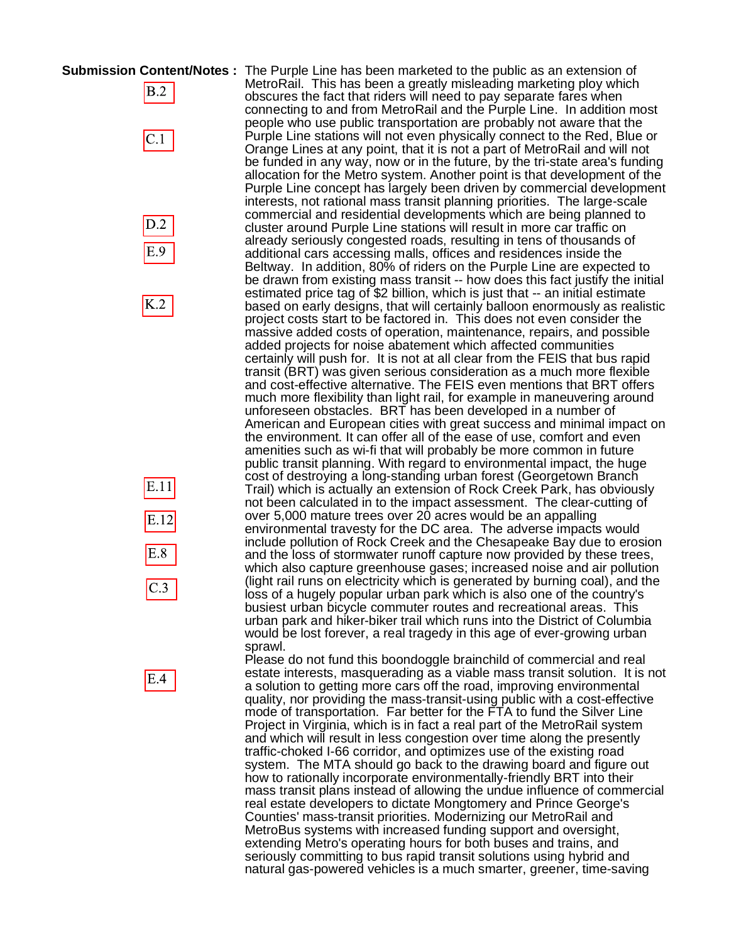**Submission Content/Notes :** The Purple Line has been marketed to the public as an extension of

 $B.2$ 

 $C.1$ 



K.2



 $E.4$ 

MetroRail. This has been a greatly misleading marketing ploy which obscures the fact that riders will need to pay separate fares when connecting to and from MetroRail and the Purple Line. In addition most people who use public transportation are probably not aware that the Purple Line stations will not even physically connect to the Red, Blue or Orange Lines at any point, that it is not a part of MetroRail and will not be funded in any way, now or in the future, by the tri-state area's funding allocation for the Metro system. Another point is that development of the Purple Line concept has largely been driven by commercial development interests, not rational mass transit planning priorities. The large-scale commercial and residential developments which are being planned to cluster around Purple Line stations will result in more car traffic on already seriously congested roads, resulting in tens of thousands of additional cars accessing malls, offices and residences inside the Beltway. In addition, 80% of riders on the Purple Line are expected to be drawn from existing mass transit -- how does this fact justify the initial estimated price tag of \$2 billion, which is just that -- an initial estimate based on early designs, that will certainly balloon enormously as realistic project costs start to be factored in. This does not even consider the massive added costs of operation, maintenance, repairs, and possible added projects for noise abatement which affected communities certainly will push for. It is not at all clear from the FEIS that bus rapid transit (BRT) was given serious consideration as a much more flexible and cost-effective alternative. The FEIS even mentions that BRT offers much more flexibility than light rail, for example in maneuvering around unforeseen obstacles. BRT has been developed in a number of American and European cities with great success and minimal impact on the environment. It can offer all of the ease of use, comfort and even amenities such as wi-fi that will probably be more common in future public transit planning. With regard to environmental impact, the huge cost of destroying a long-standing urban forest (Georgetown Branch Trail) which is actually an extension of Rock Creek Park, has obviously not been calculated in to the impact assessment. The clear-cutting of over 5,000 mature trees over 20 acres would be an appalling environmental travesty for the DC area. The adverse impacts would include pollution of Rock Creek and the Chesapeake Bay due to erosion and the loss of stormwater runoff capture now provided by these trees, which also capture greenhouse gases; increased noise and air pollution (light rail runs on electricity which is generated by burning coal), and the loss of a hugely popular urban park which is also one of the country's busiest urban bicycle commuter routes and recreational areas. This urban park and hiker-biker trail which runs into the District of Columbia would be lost forever, a real tragedy in this age of ever-growing urban sprawl.

Please do not fund this boondoggle brainchild of commercial and real estate interests, masquerading as a viable mass transit solution. It is not a solution to getting more cars off the road, improving environmental quality, nor providing the mass-transit-using public with a cost-effective mode of transportation. Far better for the FTA to fund the Silver Line Project in Virginia, which is in fact a real part of the MetroRail system and which will result in less congestion over time along the presently traffic-choked I-66 corridor, and optimizes use of the existing road system. The MTA should go back to the drawing board and figure out how to rationally incorporate environmentally-friendly BRT into their mass transit plans instead of allowing the undue influence of commercial real estate developers to dictate Mongtomery and Prince George's Counties' mass-transit priorities. Modernizing our MetroRail and MetroBus systems with increased funding support and oversight, extending Metro's operating hours for both buses and trains, and seriously committing to bus rapid transit solutions using hybrid and natural gas-powered vehicles is a much smarter, greener, time-saving